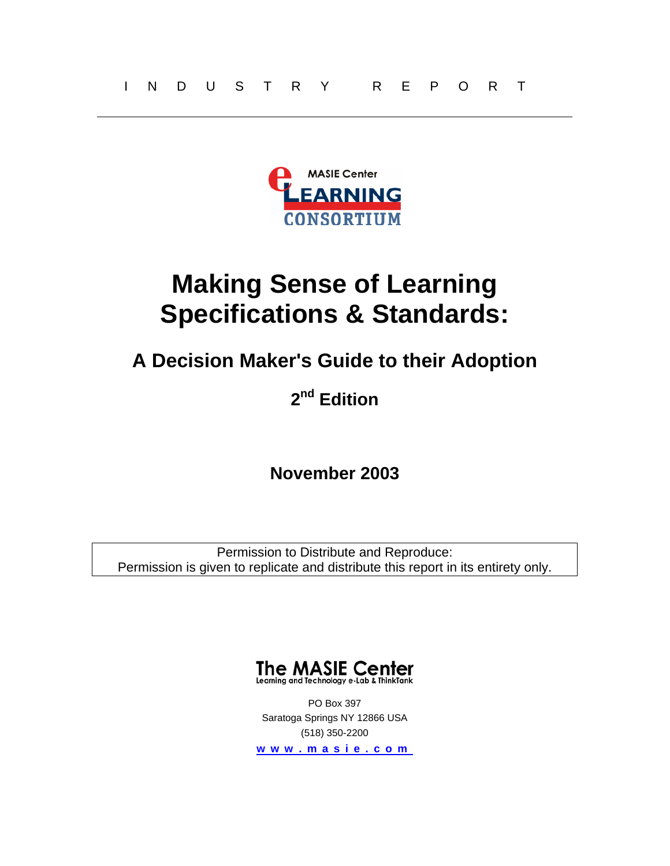<span id="page-0-0"></span>

# **Making Sense of Learning Specifications & Standards:**

## **A Decision Maker's Guide to their Adoption**

## **2nd Edition**

## **November 2003**

Permission to Distribute and Reproduce: Permission is given to replicate and distribute this report in its entirety only.



PO Box 397 Saratoga Springs NY 12866 USA (518) 350-2200

**www . m asie.c o m**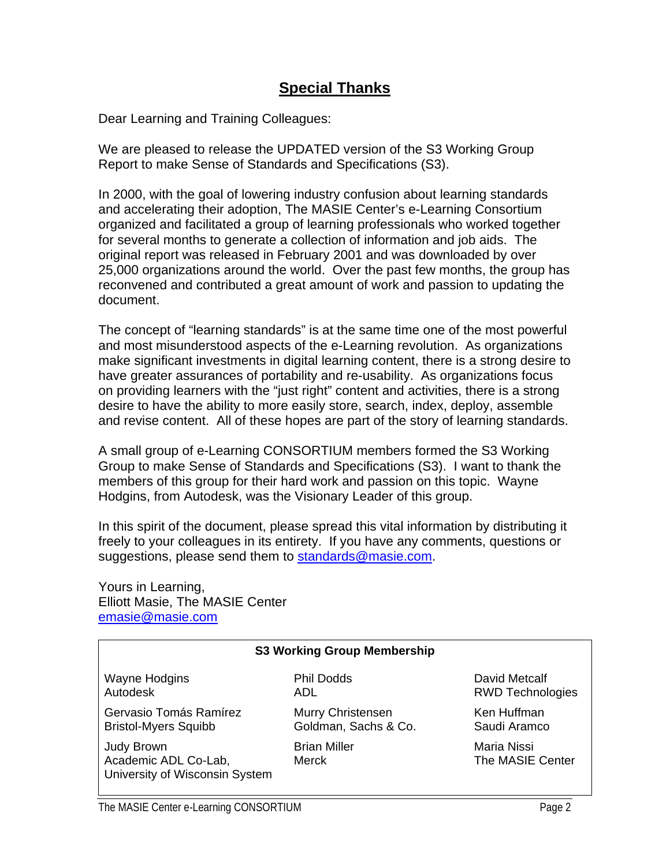## **Special Thanks**

<span id="page-1-0"></span>Dear Learning and Training Colleagues:

We are pleased to release the UPDATED version of the S3 Working Group Report to make Sense of Standards and Specifications (S3).

In 2000, with the goal of lowering industry confusion about learning standards and accelerating their adoption, The MASIE Center's e-Learning Consortium organized and facilitated a group of learning professionals who worked together for several months to generate a collection of information and job aids. The original report was released in February 2001 and was downloaded by over 25,000 organizations around the world. Over the past few months, the group has reconvened and contributed a great amount of work and passion to updating the document.

The concept of "learning standards" is at the same time one of the most powerful and most misunderstood aspects of the e-Learning revolution. As organizations make significant investments in digital learning content, there is a strong desire to have greater assurances of portability and re-usability. As organizations focus on providing learners with the "just right" content and activities, there is a strong desire to have the ability to more easily store, search, index, deploy, assemble and revise content. All of these hopes are part of the story of learning standards.

A small group of e-Learning CONSORTIUM members formed the S3 Working Group to make Sense of Standards and Specifications (S3). I want to thank the members of this group for their hard work and passion on this topic. Wayne Hodgins, from Autodesk, was the Visionary Leader of this group.

In this spirit of the document, please spread this vital information by distributing it freely to your colleagues in its entirety. If you have any comments, questions or suggestions, please send them to [standards@masie.com.](mailto:standards@masie.com)

Yours in Learning, Elliott Masie, The MASIE Center [emasie@masie.com](mailto:emasie@masie.com) 

#### **S3 Working Group Membership**

Wayne Hodgins Autodesk

Gervasio Tomás Ramírez Bristol-Myers Squibb

Judy Brown Academic ADL Co-Lab, University of Wisconsin System ADL Murry Christensen Goldman, Sachs & Co.

Phil Dodds

Brian Miller Merck

David Metcalf RWD Technologies

Ken Huffman Saudi Aramco

Maria Nissi The MASIE Center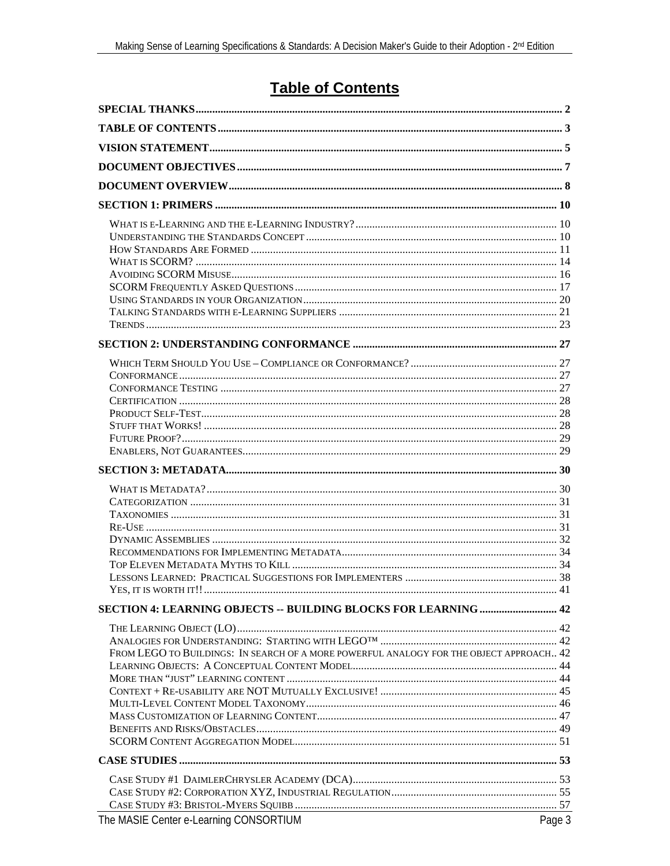## **Table of Contents**

<span id="page-2-0"></span>

| <b>SECTION 4: LEARNING OBJECTS -- BUILDING BLOCKS FOR LEARNING  42</b>                  |        |
|-----------------------------------------------------------------------------------------|--------|
|                                                                                         |        |
|                                                                                         |        |
| FROM LEGO TO BUILDINGS: IN SEARCH OF A MORE POWERFUL ANALOGY FOR THE OBJECT APPROACH 42 |        |
|                                                                                         |        |
|                                                                                         |        |
|                                                                                         |        |
|                                                                                         |        |
|                                                                                         |        |
|                                                                                         |        |
|                                                                                         |        |
|                                                                                         |        |
|                                                                                         |        |
|                                                                                         |        |
|                                                                                         |        |
| The MASIE Center e-Learning CONSORTIUM                                                  | Page 3 |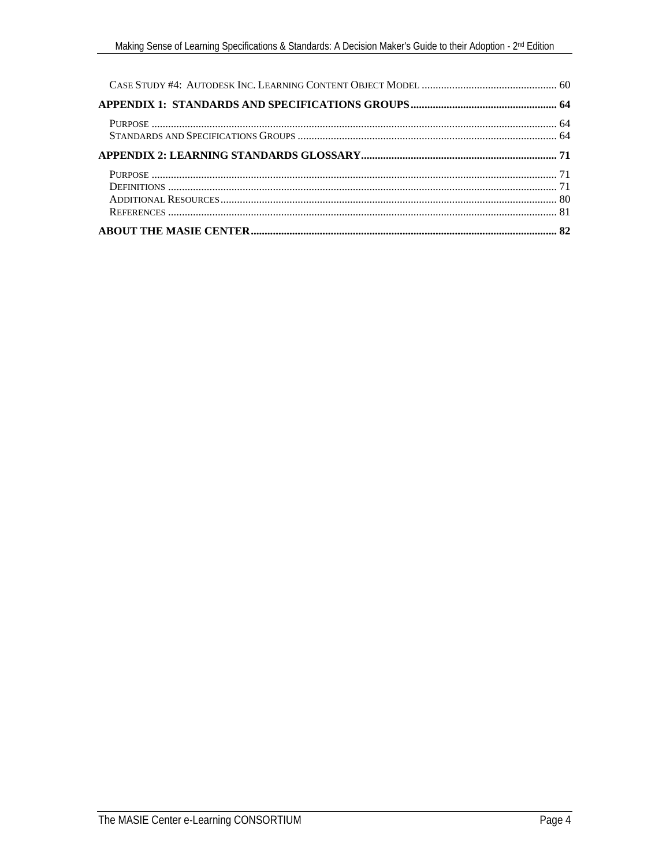<span id="page-3-0"></span>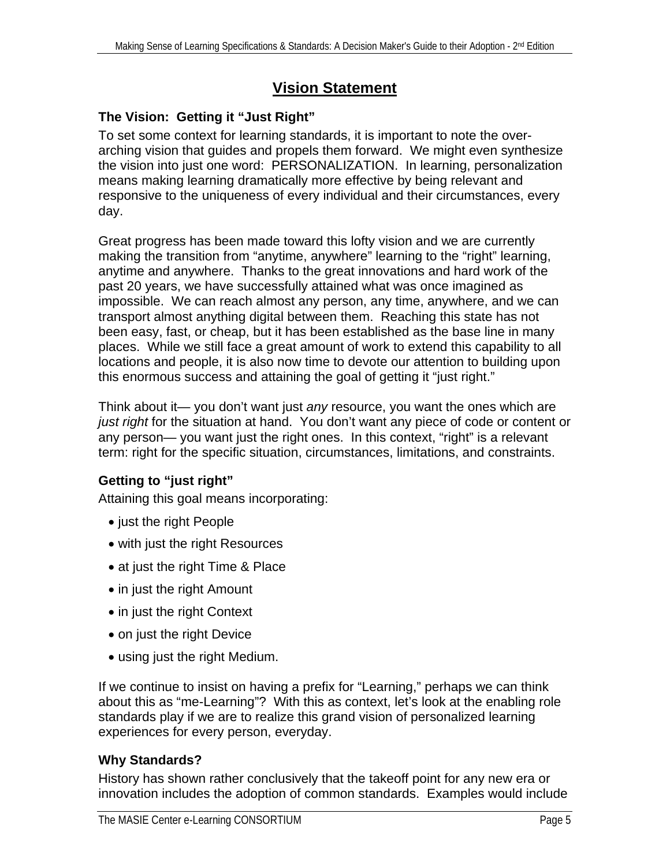## **Vision Statement**

#### <span id="page-4-0"></span>**The Vision: Getting it "Just Right"**

To set some context for learning standards, it is important to note the overarching vision that guides and propels them forward. We might even synthesize the vision into just one word: PERSONALIZATION. In learning, personalization means making learning dramatically more effective by being relevant and responsive to the uniqueness of every individual and their circumstances, every day.

Great progress has been made toward this lofty vision and we are currently making the transition from "anytime, anywhere" learning to the "right" learning, anytime and anywhere. Thanks to the great innovations and hard work of the past 20 years, we have successfully attained what was once imagined as impossible. We can reach almost any person, any time, anywhere, and we can transport almost anything digital between them. Reaching this state has not been easy, fast, or cheap, but it has been established as the base line in many places. While we still face a great amount of work to extend this capability to all locations and people, it is also now time to devote our attention to building upon this enormous success and attaining the goal of getting it "just right."

Think about it— you don't want just *any* resource, you want the ones which are *just right* for the situation at hand. You don't want any piece of code or content or any person— you want just the right ones. In this context, "right" is a relevant term: right for the specific situation, circumstances, limitations, and constraints.

#### **Getting to "just right"**

Attaining this goal means incorporating:

- just the right People
- with just the right Resources
- at just the right Time & Place
- in just the right Amount
- in just the right Context
- on just the right Device
- using just the right Medium.

If we continue to insist on having a prefix for "Learning," perhaps we can think about this as "me-Learning"? With this as context, let's look at the enabling role standards play if we are to realize this grand vision of personalized learning experiences for every person, everyday.

#### **Why Standards?**

History has shown rather conclusively that the takeoff point for any new era or innovation includes the adoption of common standards. Examples would include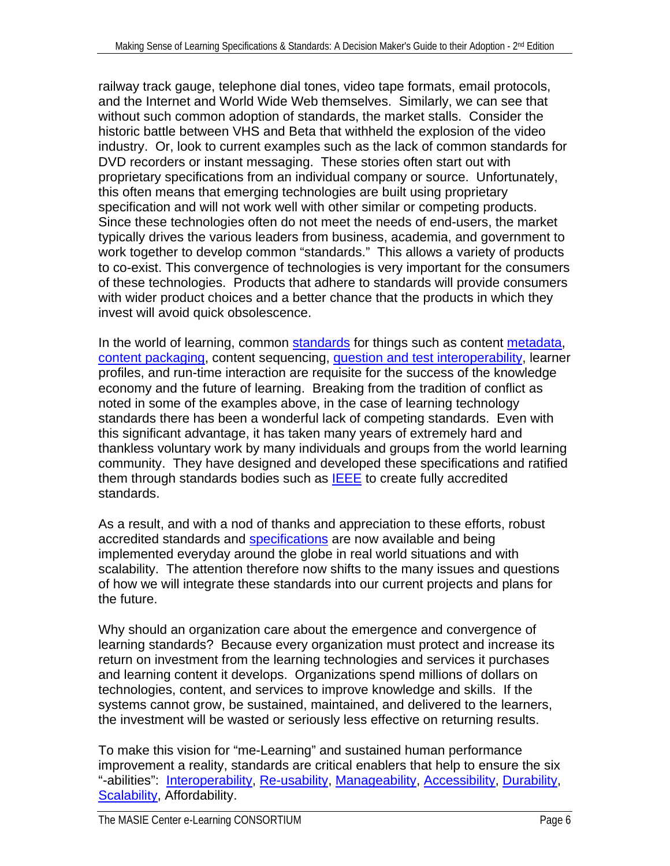railway track gauge, telephone dial tones, video tape formats, email protocols, and the Internet and World Wide Web themselves. Similarly, we can see that without such common adoption of standards, the market stalls. Consider the historic battle between VHS and Beta that withheld the explosion of the video industry. Or, look to current examples such as the lack of common standards for DVD recorders or instant messaging. These stories often start out with proprietary specifications from an individual company or source. Unfortunately, this often means that emerging technologies are built using proprietary specification and will not work well with other similar or competing products. Since these technologies often do not meet the needs of end-users, the market typically drives the various leaders from business, academia, and government to work together to develop common "standards." This allows a variety of products to co-exist. This convergence of technologies is very important for the consumers of these technologies. Products that adhere to standards will provide consumers with wider product choices and a better chance that the products in which they invest will avoid quick obsolescence.

In the world of learning, common [standards](#page-78-0) for things such as content [metadata,](#page-75-0) [content packaging](#page-71-0), content sequencing, [question and test interoperability,](#page-67-0) learner profiles, and run-time interaction are requisite for the success of the knowledge economy and the future of learning. Breaking from the tradition of conflict as noted in some of the examples above, in the case of learning technology standards there has been a wonderful lack of competing standards. Even with this significant advantage, it has taken many years of extremely hard and thankless voluntary work by many individuals and groups from the world learning community. They have designed and developed these specifications and ratified them through standards bodies such as **IEEE** to create fully accredited standards.

As a result, and with a nod of thanks and appreciation to these efforts, robust accredited standards and [specifications](#page-78-0) are now available and being implemented everyday around the globe in real world situations and with scalability. The attention therefore now shifts to the many issues and questions of how we will integrate these standards into our current projects and plans for the future.

Why should an organization care about the emergence and convergence of learning standards? Because every organization must protect and increase its return on investment from the learning technologies and services it purchases and learning content it develops. Organizations spend millions of dollars on technologies, content, and services to improve knowledge and skills. If the systems cannot grow, be sustained, maintained, and delivered to the learners, the investment will be wasted or seriously less effective on returning results.

To make this vision for "me-Learning" and sustained human performance improvement a reality, standards are critical enablers that help to ensure the six "-abilities": [Interoperability,](#page-70-0) [Re-usability](#page-77-0), [Manageability,](#page-75-0) [Accessibility,](#page-70-0) [Durability](#page-72-0), [Scalability](#page-77-0), Affordability.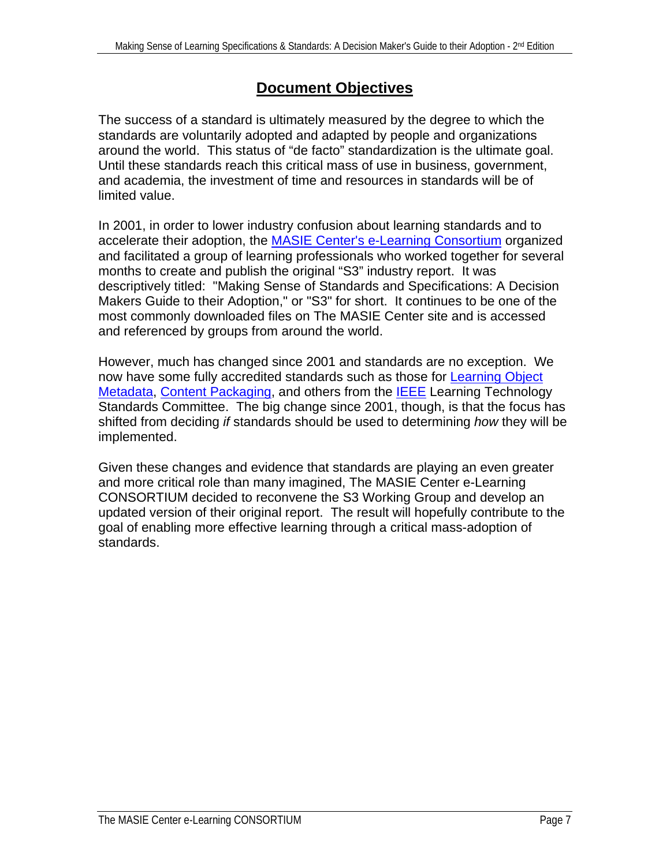### **Document Objectives**

<span id="page-6-0"></span>The success of a standard is ultimately measured by the degree to which the standards are voluntarily adopted and adapted by people and organizations around the world. This status of "de facto" standardization is the ultimate goal. Until these standards reach this critical mass of use in business, government, and academia, the investment of time and resources in standards will be of limited value.

In 2001, in order to lower industry confusion about learning standards and to accelerate their adoption, the [MASIE Center's e-Learning Consortium](#page-0-0) organized and facilitated a group of learning professionals who worked together for several months to create and publish the original "S3" industry report. It was descriptively titled: "Making Sense of Standards and Specifications: A Decision Makers Guide to their Adoption," or "S3" for short. It continues to be one of the most commonly downloaded files on The MASIE Center site and is accessed and referenced by groups from around the world.

However, much has changed since 2001 and standards are no exception. We now have some fully accredited standards such as those for [Learning Object](#page-66-0)  [Metadata](#page-66-0), [Content Packaging](#page-71-0), and others from the [IEEE](#page-65-0) Learning Technology Standards Committee. The big change since 2001, though, is that the focus has shifted from deciding *if* standards should be used to determining *how* they will be implemented.

Given these changes and evidence that standards are playing an even greater and more critical role than many imagined, The MASIE Center e-Learning CONSORTIUM decided to reconvene the S3 Working Group and develop an updated version of their original report. The result will hopefully contribute to the goal of enabling more effective learning through a critical mass-adoption of standards.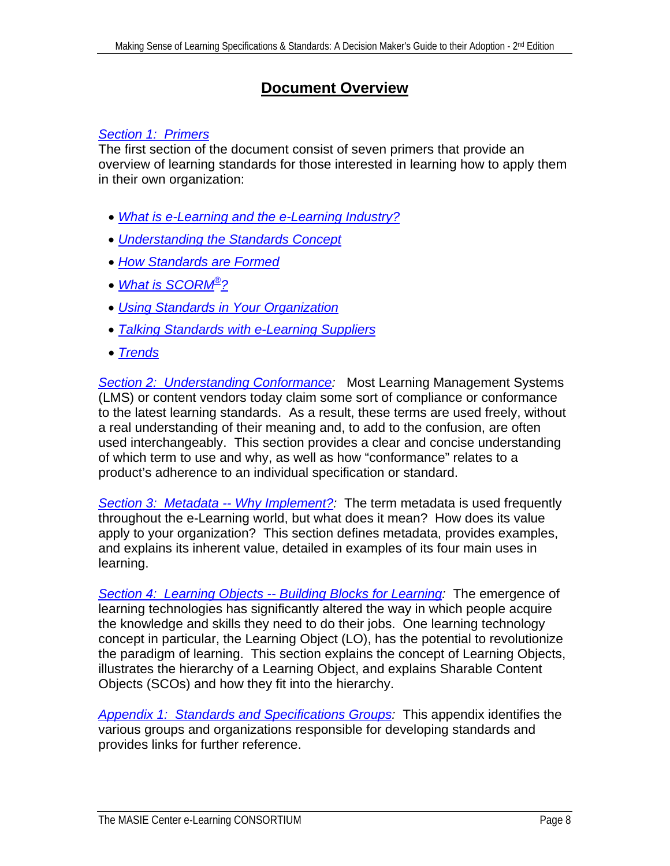### **Document Overview**

#### <span id="page-7-0"></span>*[Section 1: Primers](#page-8-0)*

The first section of the document consist of seven primers that provide an overview of learning standards for those interested in learning how to apply them in their own organization:

- *[What is e-Learning and the e-Learning Industry?](#page-9-0)*
- *[Understanding the Standards Concept](#page-9-0)*
- *[How Standards are Formed](#page-10-0)*
- *[What is SCORM®?](#page-13-0)*
- *[Using Standards in Your Organization](#page-19-0)*
- *[Talking Standards with e-Learning Suppliers](#page-20-0)*
- *[Trends](#page-22-0)*

*[Section 2: Understanding Conformance](#page-25-0):* Most Learning Management Systems (LMS) or content vendors today claim some sort of compliance or conformance to the latest learning standards. As a result, these terms are used freely, without a real understanding of their meaning and, to add to the confusion, are often used interchangeably. This section provides a clear and concise understanding of which term to use and why, as well as how "conformance" relates to a product's adherence to an individual specification or standard.

*[Section 3: Metadata -- Why Implement?:](#page-29-0)* The term metadata is used frequently throughout the e-Learning world, but what does it mean? How does its value apply to your organization? This section defines metadata, provides examples, and explains its inherent value, detailed in examples of its four main uses in learning.

*[Section 4: Learning Objects -- Building Blocks for Learning](#page-40-0):* The emergence of learning technologies has significantly altered the way in which people acquire the knowledge and skills they need to do their jobs. One learning technology concept in particular, the Learning Object (LO), has the potential to revolutionize the paradigm of learning. This section explains the concept of Learning Objects, illustrates the hierarchy of a Learning Object, and explains Sharable Content Objects (SCOs) and how they fit into the hierarchy.

*[Appendix 1: Standards and Specifications Groups](#page-62-0):* This appendix identifies the various groups and organizations responsible for developing standards and provides links for further reference.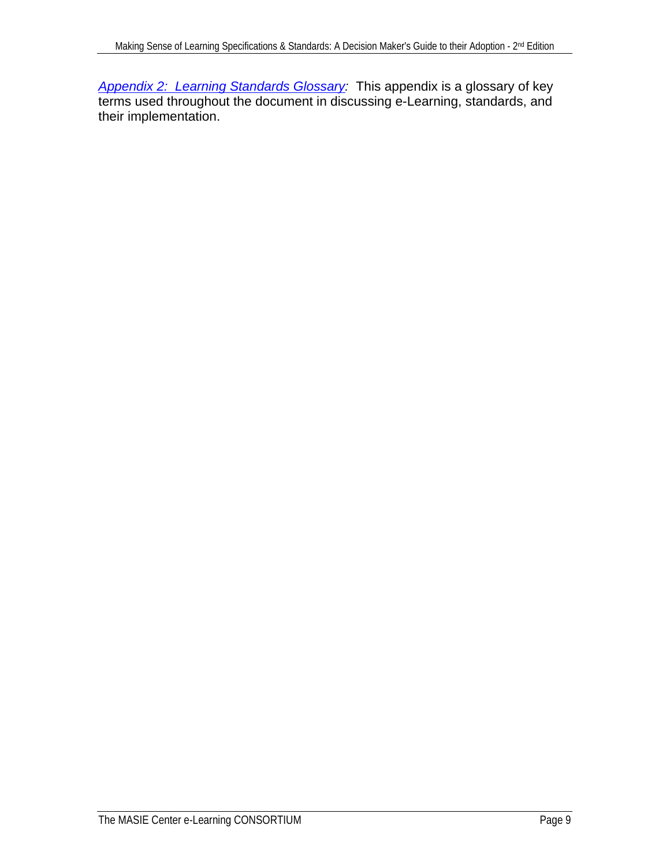<span id="page-8-0"></span>*[Appendix 2: Learning Standards Glossary:](#page-70-0)* This appendix is a glossary of key terms used throughout the document in discussing e-Learning, standards, and their implementation.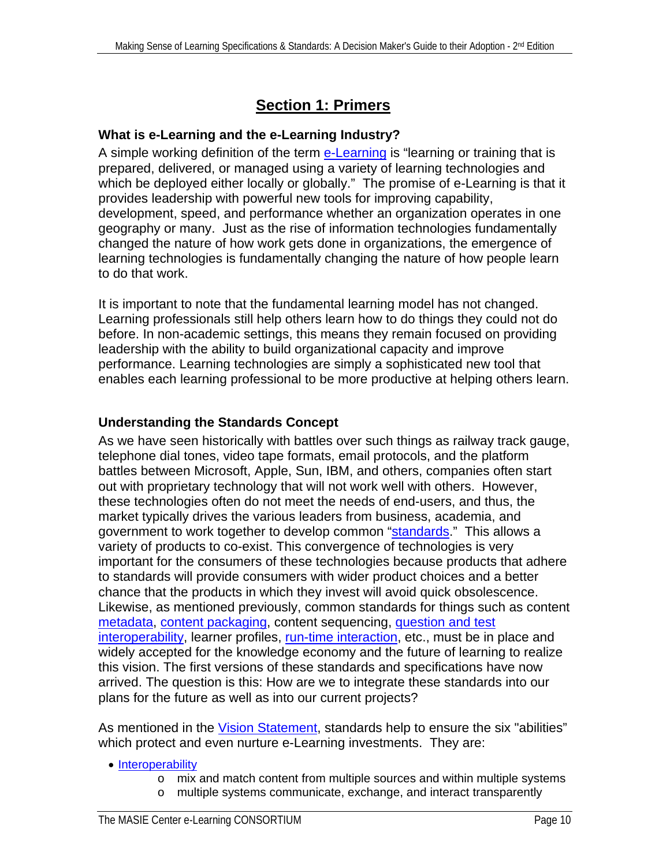## **Section 1: Primers**

#### <span id="page-9-0"></span>**What is e-Learning and the e-Learning Industry?**

A simple working definition of the term [e-Learning](#page-72-0) is "learning or training that is prepared, delivered, or managed using a variety of learning technologies and which be deployed either locally or globally." The promise of e-Learning is that it provides leadership with powerful new tools for improving capability, development, speed, and performance whether an organization operates in one geography or many. Just as the rise of information technologies fundamentally changed the nature of how work gets done in organizations, the emergence of learning technologies is fundamentally changing the nature of how people learn to do that work.

It is important to note that the fundamental learning model has not changed. Learning professionals still help others learn how to do things they could not do before. In non-academic settings, this means they remain focused on providing leadership with the ability to build organizational capacity and improve performance. Learning technologies are simply a sophisticated new tool that enables each learning professional to be more productive at helping others learn.

#### **Understanding the Standards Concept**

As we have seen historically with battles over such things as railway track gauge, telephone dial tones, video tape formats, email protocols, and the platform battles between Microsoft, Apple, Sun, IBM, and others, companies often start out with proprietary technology that will not work well with others. However, these technologies often do not meet the needs of end-users, and thus, the market typically drives the various leaders from business, academia, and government to work together to develop common ["standards.](#page-78-0)" This allows a variety of products to co-exist. This convergence of technologies is very important for the consumers of these technologies because products that adhere to standards will provide consumers with wider product choices and a better chance that the products in which they invest will avoid quick obsolescence. Likewise, as mentioned previously, common standards for things such as content [metadata](#page-75-0), [content packaging](#page-71-0), content sequencing, [question and test](#page-67-0)  [interoperability](#page-67-0), learner profiles, [run-time interaction](#page-77-0), etc., must be in place and widely accepted for the knowledge economy and the future of learning to realize this vision. The first versions of these standards and specifications have now arrived. The question is this: How are we to integrate these standards into our plans for the future as well as into our current projects?

As mentioned in the [Vision Statement](#page-3-0), standards help to ensure the six "abilities" which protect and even nurture e-Learning investments. They are:

#### • [Interoperability](#page-74-0)

- $\circ$  mix and match content from multiple sources and within multiple systems
- o multiple systems communicate, exchange, and interact transparently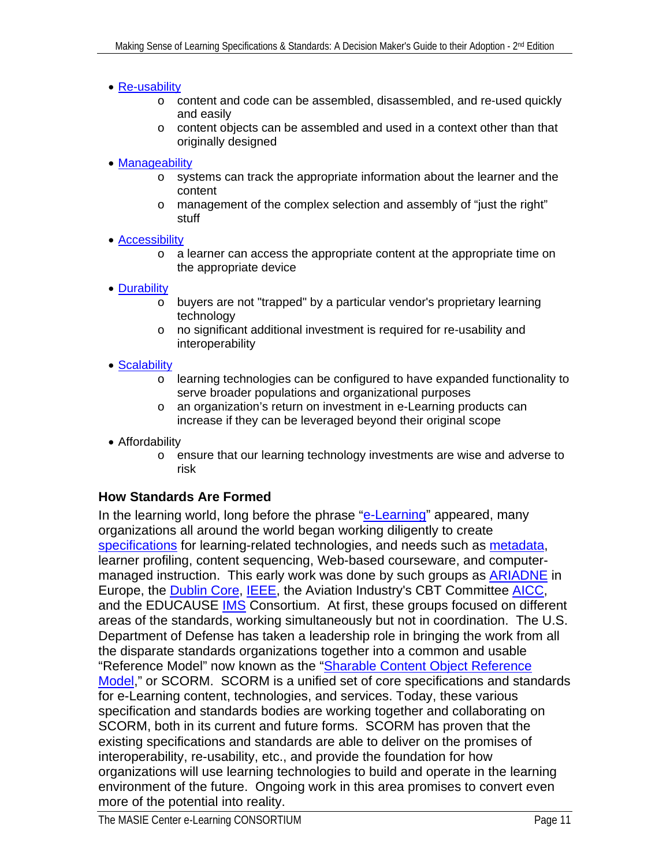#### <span id="page-10-0"></span>• [Re-usability](#page-77-0)

- o content and code can be assembled, disassembled, and re-used quickly and easily
- o content objects can be assembled and used in a context other than that originally designed
- [Manageability](#page-75-0)
	- o systems can track the appropriate information about the learner and the content
	- o management of the complex selection and assembly of "just the right" stuff
- [Accessibility](#page-70-0)
	- o a learner can access the appropriate content at the appropriate time on the appropriate device
- [Durability](#page-72-0)
	- o buyers are not "trapped" by a particular vendor's proprietary learning technology
	- o no significant additional investment is required for re-usability and interoperability
- Scalability
	- o learning technologies can be configured to have expanded functionality to serve broader populations and organizational purposes
	- o an organization's return on investment in e-Learning products can increase if they can be leveraged beyond their original scope
- Affordability
	- o ensure that our learning technology investments are wise and adverse to risk

#### **How Standards Are Formed**

In the learning world, long before the phrase ["e-Learning](#page-72-0)" appeared, many organizations all around the world began working diligently to create [specifications](#page-78-0) for learning-related technologies, and needs such as [metadata,](#page-75-0) learner profiling, content sequencing, Web-based courseware, and computermanaged instruction. This early work was done by such groups as **ARIADNE** in Europe, the [Dublin Core,](#page-64-0) [IEEE,](#page-65-0) the Aviation Industry's CBT Committee [AICC](#page-63-0), and the EDUCAUSE **IMS** Consortium. At first, these groups focused on different areas of the standards, working simultaneously but not in coordination. The U.S. Department of Defense has taken a leadership role in bringing the work from all the disparate standards organizations together into a common and usable "Reference Model" now known as the ["Sharable Content Object Reference](#page-78-0)  [Model,](#page-78-0)" or SCORM. SCORM is a unified set of core specifications and standards for e-Learning content, technologies, and services. Today, these various specification and standards bodies are working together and collaborating on SCORM, both in its current and future forms. SCORM has proven that the existing specifications and standards are able to deliver on the promises of interoperability, re-usability, etc., and provide the foundation for how organizations will use learning technologies to build and operate in the learning environment of the future. Ongoing work in this area promises to convert even more of the potential into reality.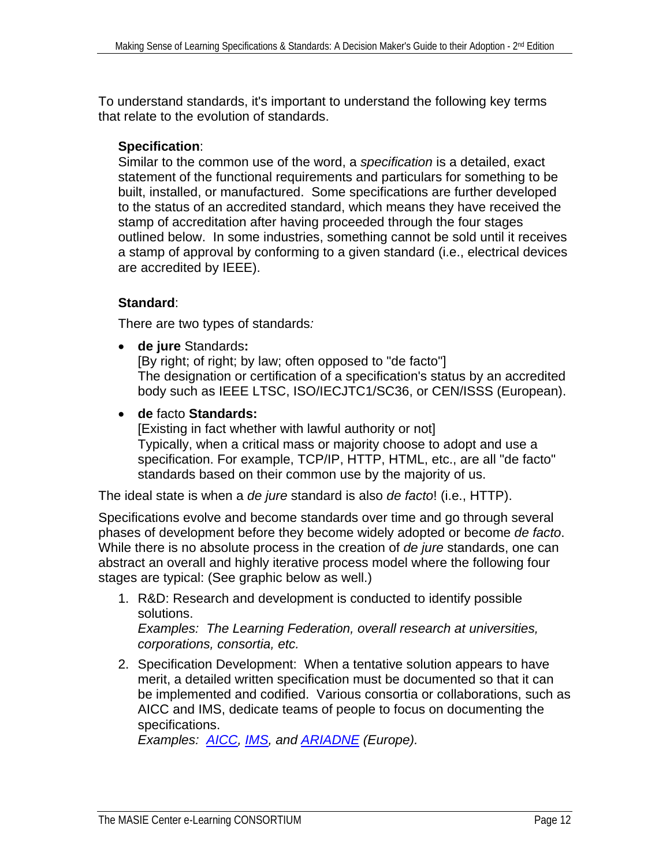To understand standards, it's important to understand the following key terms that relate to the evolution of standards.

#### **Specification**:

Similar to the common use of the word, a *specification* is a detailed, exact statement of the functional requirements and particulars for something to be built, installed, or manufactured. Some specifications are further developed to the status of an accredited standard, which means they have received the stamp of accreditation after having proceeded through the four stages outlined below. In some industries, something cannot be sold until it receives a stamp of approval by conforming to a given standard (i.e., electrical devices are accredited by IEEE).

#### **Standard**:

There are two types of standards*:* 

• **de jure** Standards**:**

[By right; of right; by law; often opposed to "de facto"] The designation or certification of a specification's status by an accredited body such as IEEE LTSC, ISO/IECJTC1/SC36, or CEN/ISSS (European).

• **de** facto **Standards:**

[Existing in fact whether with lawful authority or not] Typically, when a critical mass or majority choose to adopt and use a specification. For example, TCP/IP, HTTP, HTML, etc., are all "de facto" standards based on their common use by the majority of us.

The ideal state is when a *de jure* standard is also *de facto*! (i.e., HTTP).

Specifications evolve and become standards over time and go through several phases of development before they become widely adopted or become *de facto*. While there is no absolute process in the creation of *de jure* standards, one can abstract an overall and highly iterative process model where the following four stages are typical: (See graphic below as well.)

1. R&D: Research and development is conducted to identify possible solutions.

*Examples: The Learning Federation, overall research at universities, corporations, consortia, etc.*

2. Specification Development: When a tentative solution appears to have merit, a detailed written specification must be documented so that it can be implemented and codified. Various consortia or collaborations, such as AICC and IMS, dedicate teams of people to focus on documenting the specifications.

*Examples: [AICC](#page-63-0), [IMS](#page-67-0), and [ARIADNE](#page-64-0) (Europe).*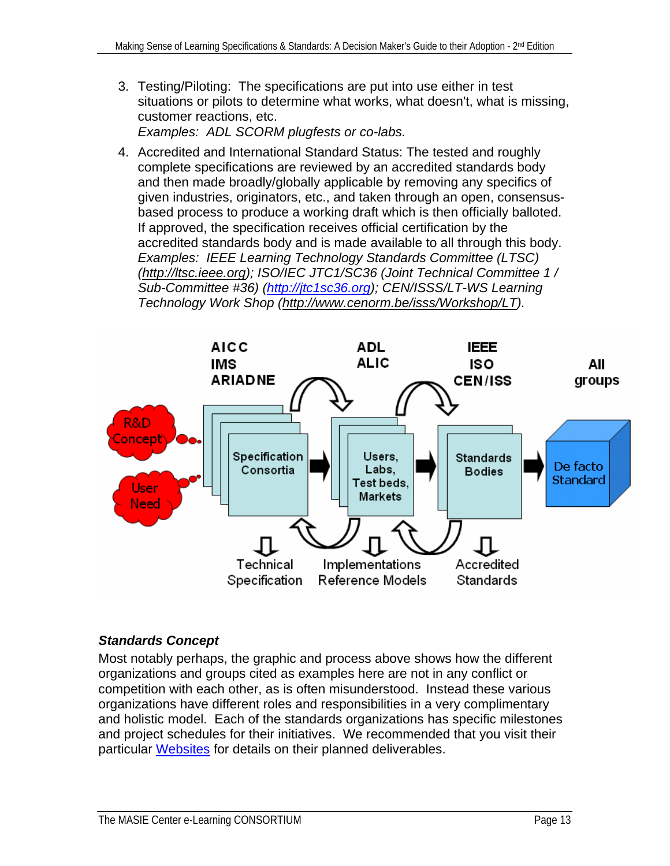3. Testing/Piloting: The specifications are put into use either in test situations or pilots to determine what works, what doesn't, what is missing, customer reactions, etc.

*Examples: ADL SCORM plugfests or co-labs.*

4. Accredited and International Standard Status: The tested and roughly complete specifications are reviewed by an accredited standards body and then made broadly/globally applicable by removing any specifics of given industries, originators, etc., and taken through an open, consensusbased process to produce a working draft which is then officially balloted. If approved, the specification receives official certification by the accredited standards body and is made available to all through this body. *Examples: IEEE Learning Technology Standards Committee (LTSC) ([http://ltsc.ieee.org\)](http://ltsc.ieee.org/); ISO/IEC JTC1/SC36 (Joint Technical Committee 1 / Sub-Committee #36) [\(http://jtc1sc36.org\)](http://jtc1sc36.org/); CEN/ISSS/LT-WS Learning Technology Work Shop [\(http://www.cenorm.be/isss/Workshop/LT\)](http://www.cenorm.be/isss/Workshop/LT).* 



#### *Standards Concept*

Most notably perhaps, the graphic and process above shows how the different organizations and groups cited as examples here are not in any conflict or competition with each other, as is often misunderstood. Instead these various organizations have different roles and responsibilities in a very complimentary and holistic model. Each of the standards organizations has specific milestones and project schedules for their initiatives. We recommended that you visit their particular [Websites](#page-62-0) for details on their planned deliverables.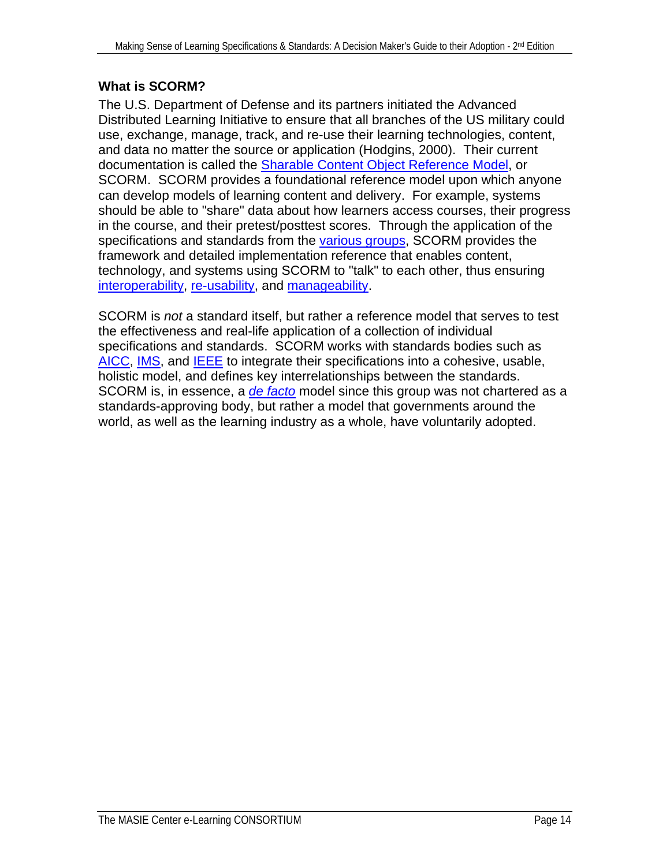#### <span id="page-13-0"></span>**What is SCORM?**

The U.S. Department of Defense and its partners initiated the Advanced Distributed Learning Initiative to ensure that all branches of the US military could use, exchange, manage, track, and re-use their learning technologies, content, and data no matter the source or application (Hodgins, 2000). Their current documentation is called the [Sharable Content Object Reference Model,](#page-78-0) or SCORM. SCORM provides a foundational reference model upon which anyone can develop models of learning content and delivery. For example, systems should be able to "share" data about how learners access courses, their progress in the course, and their pretest/posttest scores. Through the application of the specifications and standards from the [various groups,](#page-62-0) SCORM provides the framework and detailed implementation reference that enables content, technology, and systems using SCORM to "talk" to each other, thus ensuring [interoperability](#page-74-0), [re-usability,](#page-77-0) and [manageability.](#page-75-0)

SCORM is *not* a standard itself, but rather a reference model that serves to test the effectiveness and real-life application of a collection of individual specifications and standards. SCORM works with standards bodies such as [AICC,](#page-63-0) [IMS,](#page-67-0) and [IEEE](#page-65-0) to integrate their specifications into a cohesive, usable, holistic model, and defines key interrelationships between the standards. SCORM is, in essence, a *[de facto](#page-78-0)* model since this group was not chartered as a standards-approving body, but rather a model that governments around the world, as well as the learning industry as a whole, have voluntarily adopted.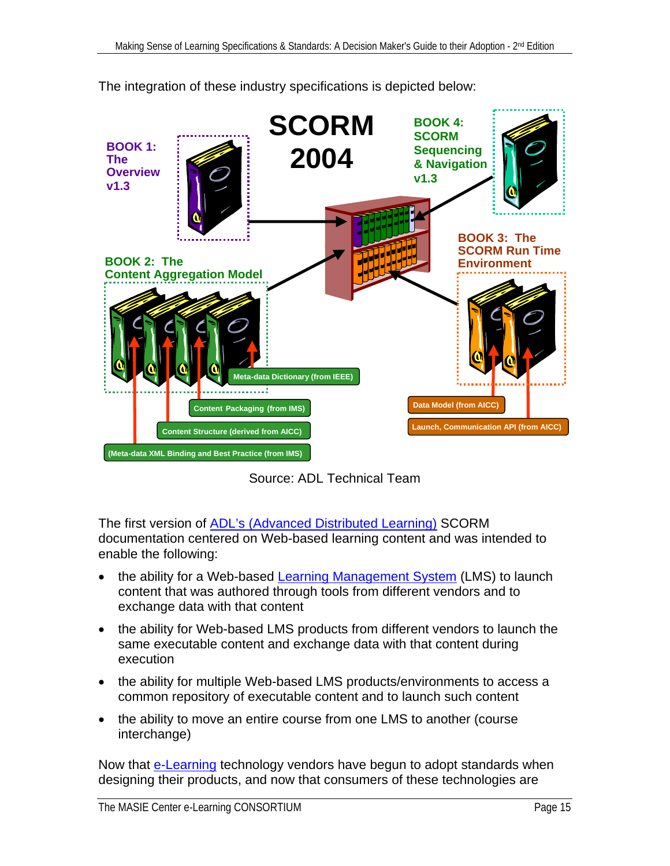

The integration of these industry specifications is depicted below:

Source: ADL Technical Team

The first version of [ADL's \(Advanced Distributed Learning\)](#page-63-0) SCORM documentation centered on Web-based learning content and was intended to enable the following:

- the ability for a Web-based [Learning Management System](#page-74-0) (LMS) to launch content that was authored through tools from different vendors and to exchange data with that content
- the ability for Web-based LMS products from different vendors to launch the same executable content and exchange data with that content during execution
- the ability for multiple Web-based LMS products/environments to access a common repository of executable content and to launch such content
- the ability to move an entire course from one LMS to another (course interchange)

Now that [e-Learning](#page-72-0) technology vendors have begun to adopt standards when designing their products, and now that consumers of these technologies are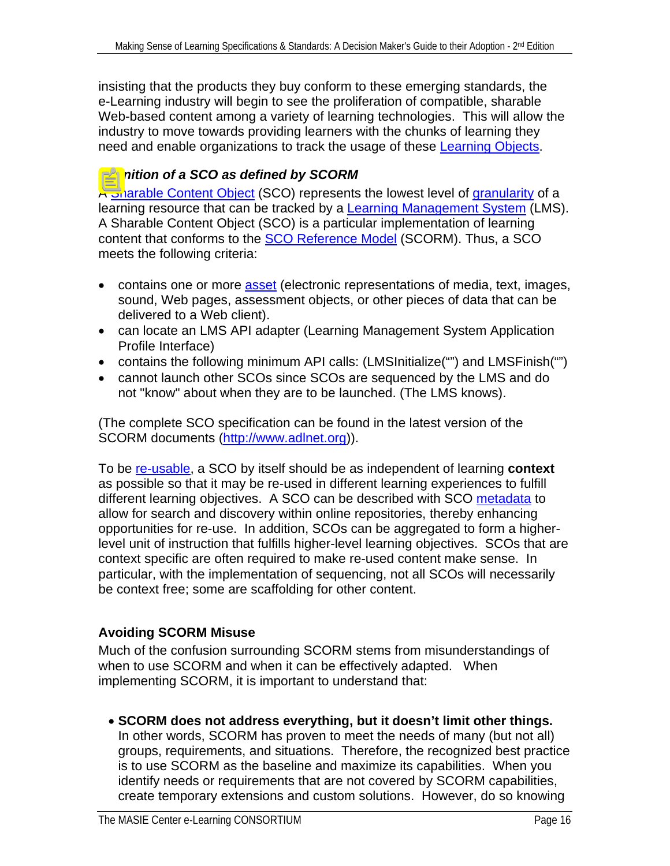<span id="page-15-0"></span>insisting that the products they buy conform to these emerging standards, the e-Learning industry will begin to see the proliferation of compatible, sharable Web-based content among a variety of learning technologies. This will allow the industry to move towards providing learners with the chunks of learning they need and enable organizations to track the usage of these [Learning Objects.](#page-74-0)

#### *Definition of a SCO as defined by SCORM*

A [Sharable Content Object](#page-77-0) (SCO) represents the lowest level of [granularity](#page-73-0) of a learning resource that can be tracked by a **Learning Management System** (LMS). A Sharable Content Object (SCO) is a particular implementation of learning content that conforms to the [SCO Reference Model](#page-78-0) (SCORM). Thus, a SCO meets the following criteria:

- contains one or more [asset](#page-70-0) (electronic representations of media, text, images, sound, Web pages, assessment objects, or other pieces of data that can be delivered to a Web client).
- can locate an LMS API adapter (Learning Management System Application Profile Interface)
- contains the following minimum API calls: (LMSInitialize("") and LMSFinish("")
- cannot launch other SCOs since SCOs are sequenced by the LMS and do not "know" about when they are to be launched. (The LMS knows).

(The complete SCO specification can be found in the latest version of the SCORM documents [\(http://www.adlnet.org\)](http://www.adlnet.org/)).

To be [re-usable](#page-77-0), a SCO by itself should be as independent of learning **context** as possible so that it may be re-used in different learning experiences to fulfill different learning objectives. A SCO can be described with SCO [metadata](#page-75-0) to allow for search and discovery within online repositories, thereby enhancing opportunities for re-use. In addition, SCOs can be aggregated to form a higherlevel unit of instruction that fulfills higher-level learning objectives. SCOs that are context specific are often required to make re-used content make sense. In particular, with the implementation of sequencing, not all SCOs will necessarily be context free; some are scaffolding for other content.

#### **Avoiding SCORM Misuse**

Much of the confusion surrounding SCORM stems from misunderstandings of when to use SCORM and when it can be effectively adapted. When implementing SCORM, it is important to understand that:

• **SCORM does not address everything, but it doesn't limit other things.**  In other words, SCORM has proven to meet the needs of many (but not all) groups, requirements, and situations. Therefore, the recognized best practice is to use SCORM as the baseline and maximize its capabilities. When you identify needs or requirements that are not covered by SCORM capabilities, create temporary extensions and custom solutions. However, do so knowing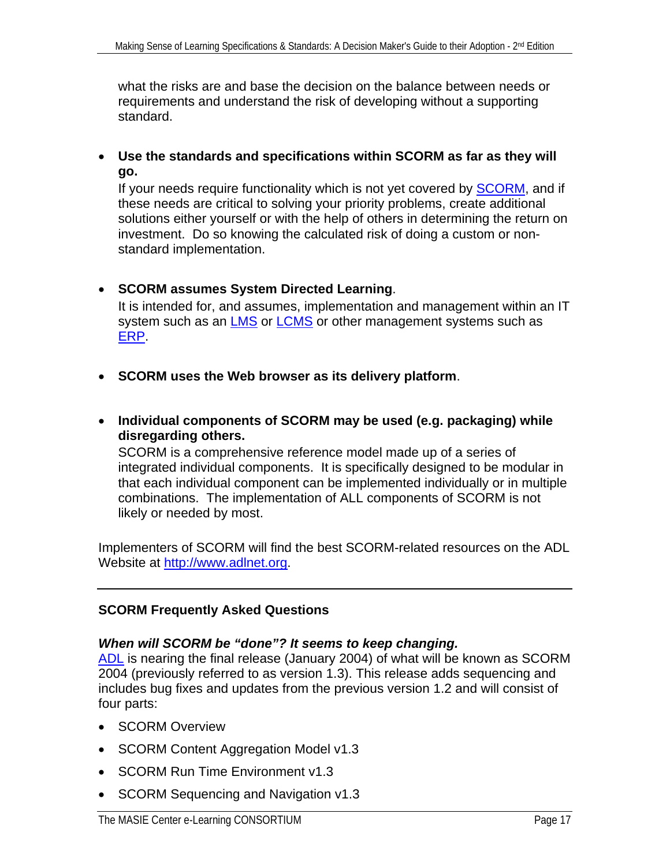<span id="page-16-0"></span>what the risks are and base the decision on the balance between needs or requirements and understand the risk of developing without a supporting standard.

• **Use the standards and specifications within SCORM as far as they will go.** 

If your needs require functionality which is not yet covered by **SCORM**, and if these needs are critical to solving your priority problems, create additional solutions either yourself or with the help of others in determining the return on investment. Do so knowing the calculated risk of doing a custom or nonstandard implementation.

- **SCORM assumes System Directed Learning**. It is intended for, and assumes, implementation and management within an IT system such as an [LMS](#page-74-0) or [LCMS](#page-74-0) or other management systems such as [ERP.](#page-73-0)
- **SCORM uses the Web browser as its delivery platform**.
- **Individual components of SCORM may be used (e.g. packaging) while disregarding others.**

SCORM is a comprehensive reference model made up of a series of integrated individual components. It is specifically designed to be modular in that each individual component can be implemented individually or in multiple combinations. The implementation of ALL components of SCORM is not likely or needed by most.

Implementers of SCORM will find the best SCORM-related resources on the ADL Website at [http://www.adlnet.org.](http://www.adlnet.org/)

#### **SCORM Frequently Asked Questions**

#### *When will SCORM be "done"? It seems to keep changing.*

[ADL](#page-63-0) is nearing the final release (January 2004) of what will be known as SCORM 2004 (previously referred to as version 1.3). This release adds sequencing and includes bug fixes and updates from the previous version 1.2 and will consist of four parts:

- SCORM Overview
- SCORM Content Aggregation Model v1.3
- SCORM Run Time Environment v1.3
- SCORM Sequencing and Navigation v1.3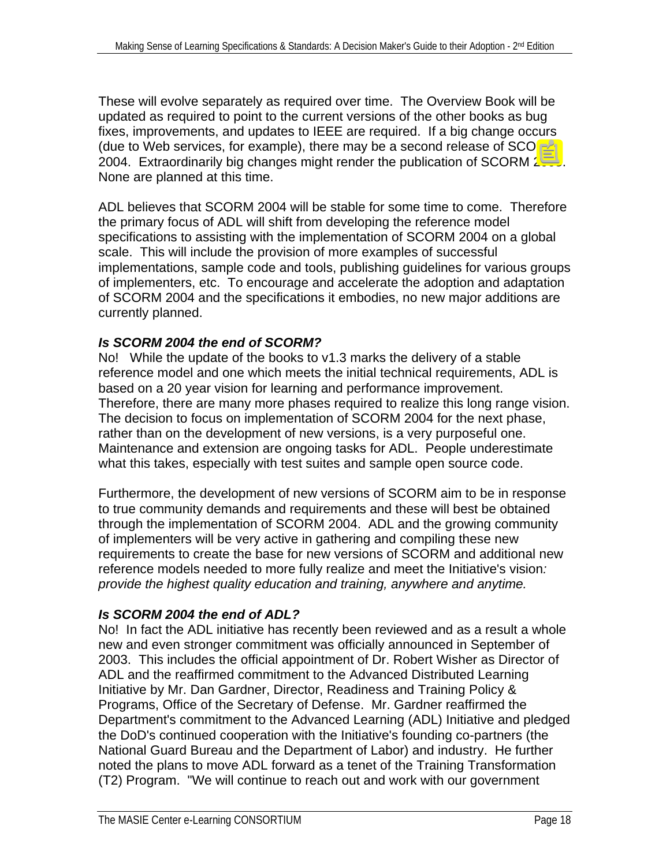These will evolve separately as required over time. The Overview Book will be updated as required to point to the current versions of the other books as bug fixes, improvements, and updates to IEEE are required. If a big change occurs (due to Web services, for example), there may be a second release of SCORM 2004. Extraordinarily big changes might render the publication of SCORM 2005. None are planned at this time.

ADL believes that SCORM 2004 will be stable for some time to come. Therefore the primary focus of ADL will shift from developing the reference model specifications to assisting with the implementation of SCORM 2004 on a global scale. This will include the provision of more examples of successful implementations, sample code and tools, publishing guidelines for various groups of implementers, etc. To encourage and accelerate the adoption and adaptation of SCORM 2004 and the specifications it embodies, no new major additions are currently planned.

#### *Is SCORM 2004 the end of SCORM?*

No! While the update of the books to v1.3 marks the delivery of a stable reference model and one which meets the initial technical requirements, ADL is based on a 20 year vision for learning and performance improvement. Therefore, there are many more phases required to realize this long range vision. The decision to focus on implementation of SCORM 2004 for the next phase, rather than on the development of new versions, is a very purposeful one. Maintenance and extension are ongoing tasks for ADL. People underestimate what this takes, especially with test suites and sample open source code.

Furthermore, the development of new versions of SCORM aim to be in response to true community demands and requirements and these will best be obtained through the implementation of SCORM 2004. ADL and the growing community of implementers will be very active in gathering and compiling these new requirements to create the base for new versions of SCORM and additional new reference models needed to more fully realize and meet the Initiative's vision*: provide the highest quality education and training, anywhere and anytime.* 

#### *Is SCORM 2004 the end of ADL?*

No! In fact the ADL initiative has recently been reviewed and as a result a whole new and even stronger commitment was officially announced in September of 2003. This includes the official appointment of Dr. Robert Wisher as Director of ADL and the reaffirmed commitment to the Advanced Distributed Learning Initiative by Mr. Dan Gardner, Director, Readiness and Training Policy & Programs, Office of the Secretary of Defense. Mr. Gardner reaffirmed the Department's commitment to the Advanced Learning (ADL) Initiative and pledged the DoD's continued cooperation with the Initiative's founding co-partners (the National Guard Bureau and the Department of Labor) and industry. He further noted the plans to move ADL forward as a tenet of the Training Transformation (T2) Program. "We will continue to reach out and work with our government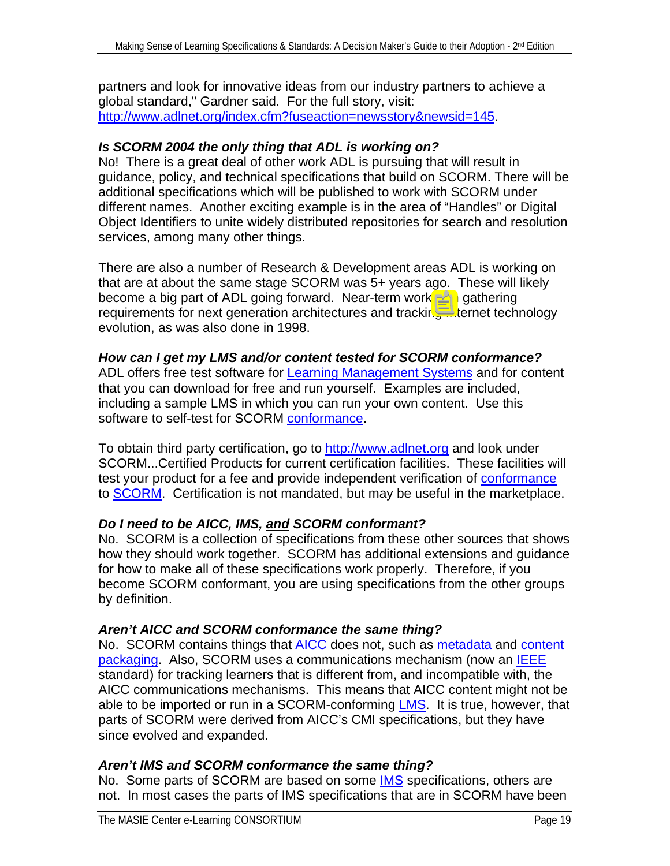partners and look for innovative ideas from our industry partners to achieve a global standard," Gardner said. For the full story, visit: <http://www.adlnet.org/index.cfm?fuseaction=newsstory&newsid=145>.

#### *Is SCORM 2004 the only thing that ADL is working on?*

No! There is a great deal of other work ADL is pursuing that will result in guidance, policy, and technical specifications that build on SCORM. There will be additional specifications which will be published to work with SCORM under different names. Another exciting example is in the area of "Handles" or Digital Object Identifiers to unite widely distributed repositories for search and resolution services, among many other things.

There are also a number of Research & Development areas ADL is working on that are at about the same stage SCORM was 5+ years ago. These will likely become a big part of ADL going forward. Near-term work is in gathering requirements for next generation architectures and tracking Internet technology evolution, as was also done in 1998.

#### *How can I get my LMS and/or content tested for SCORM conformance?*

ADL offers free test software for [Learning Management Systems](#page-74-0) and for content that you can download for free and run yourself. Examples are included, including a sample LMS in which you can run your own content. Use this software to self-test for SCORM [conformance](#page-71-0).

To obtain third party certification, go to [http://www.adlnet.org](http://www.adlnet.org/) and look under SCORM...Certified Products for current certification facilities. These facilities will test your product for a fee and provide independent verification of conformance to SCORM. Certification is not mandated, but may be useful in the marketplace.

#### *Do I need to be AICC, IMS, and SCORM conformant?*

No. SCORM is a collection of specifications from these other sources that shows how they should work together. SCORM has additional extensions and guidance for how to make all of these specifications work properly. Therefore, if you become SCORM conformant, you are using specifications from the other groups by definition.

#### *Aren't AICC and SCORM conformance the same thing?*

No. SCORM contains things that [AICC](#page-63-0) does not, such as [metadata](#page-75-0) and content [packaging.](#page-71-0) Also, SCORM uses a communications mechanism (now an [IEEE](#page-65-0) standard) for tracking learners that is different from, and incompatible with, the AICC communications mechanisms. This means that AICC content might not be able to be imported or run in a SCORM-conforming [LMS](#page-74-0). It is true, however, that parts of SCORM were derived from AICC's CMI specifications, but they have since evolved and expanded.

#### *Aren't IMS and SCORM conformance the same thing?*

No. Some parts of SCORM are based on some **IMS** specifications, others are not. In most cases the parts of IMS specifications that are in SCORM have been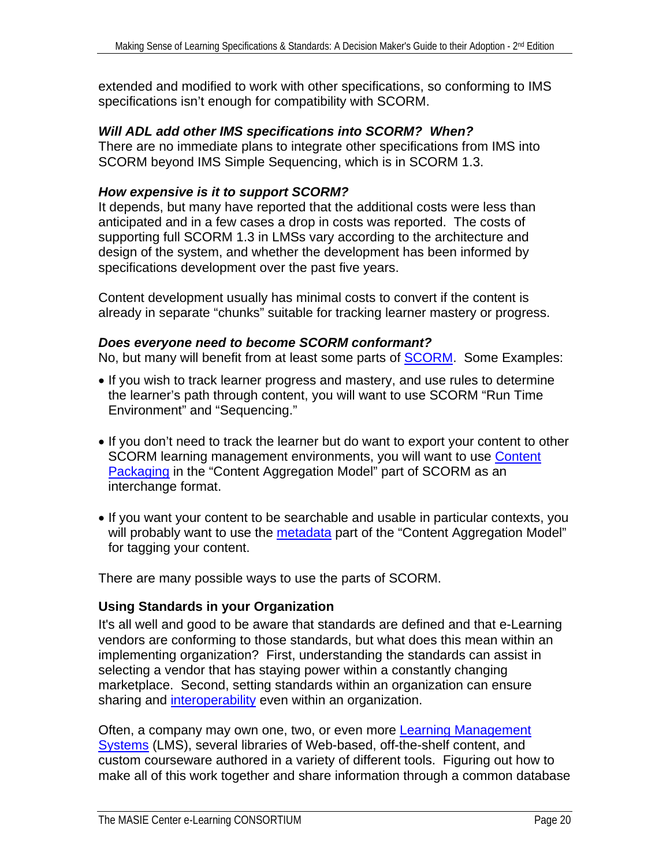<span id="page-19-0"></span>extended and modified to work with other specifications, so conforming to IMS specifications isn't enough for compatibility with SCORM.

#### *Will ADL add other IMS specifications into SCORM? When?*

There are no immediate plans to integrate other specifications from IMS into SCORM beyond IMS Simple Sequencing, which is in SCORM 1.3.

#### *How expensive is it to support SCORM?*

It depends, but many have reported that the additional costs were less than anticipated and in a few cases a drop in costs was reported. The costs of supporting full SCORM 1.3 in LMSs vary according to the architecture and design of the system, and whether the development has been informed by specifications development over the past five years.

Content development usually has minimal costs to convert if the content is already in separate "chunks" suitable for tracking learner mastery or progress.

#### *Does everyone need to become SCORM conformant?*

No, but many will benefit from at least some parts of **SCORM**. Some Examples:

- If you wish to track learner progress and mastery, and use rules to determine the learner's path through content, you will want to use SCORM "Run Time Environment" and "Sequencing."
- If you don't need to track the learner but do want to export your content to other SCORM learning management environments, you will want to use Content [Packaging](#page-71-0) in the "Content Aggregation Model" part of SCORM as an interchange format.
- If you want your content to be searchable and usable in particular contexts, you will probably want to use the [metadata](#page-75-0) part of the "Content Aggregation Model" for tagging your content.

There are many possible ways to use the parts of SCORM.

#### **Using Standards in your Organization**

It's all well and good to be aware that standards are defined and that e-Learning vendors are conforming to those standards, but what does this mean within an implementing organization? First, understanding the standards can assist in selecting a vendor that has staying power within a constantly changing marketplace. Second, setting standards within an organization can ensure sharing and *interoperability* even within an organization.

Often, a company may own one, two, or even more **Learning Management** [Systems](#page-74-0) (LMS), several libraries of Web-based, off-the-shelf content, and custom courseware authored in a variety of different tools. Figuring out how to make all of this work together and share information through a common database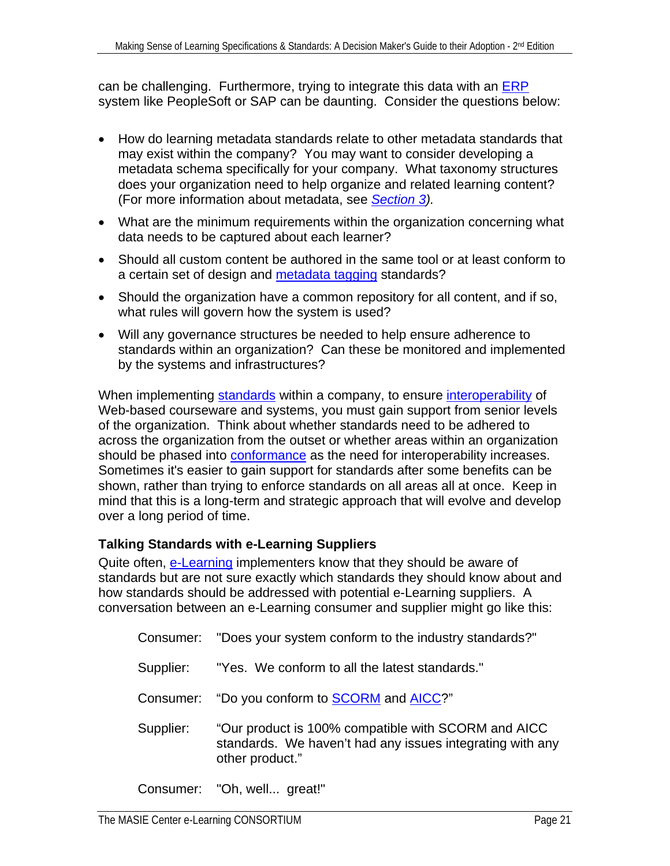<span id="page-20-0"></span>can be challenging. Furthermore, trying to integrate this data with an  $ERP$ system like PeopleSoft or SAP can be daunting. Consider the questions below:

- How do learning metadata standards relate to other metadata standards that may exist within the company? You may want to consider developing a metadata schema specifically for your company. What taxonomy structures does your organization need to help organize and related learning content? (For more information about metadata, see *[Section 3](#page-29-0)).*
- What are the minimum requirements within the organization concerning what data needs to be captured about each learner?
- Should all custom content be authored in the same tool or at least conform to a certain set of design and [metadata tagging](#page-75-0) standards?
- Should the organization have a common repository for all content, and if so, what rules will govern how the system is used?
- Will any governance structures be needed to help ensure adherence to standards within an organization? Can these be monitored and implemented by the systems and infrastructures?

When implementing [standards](#page-78-0) within a company, to ensure [interoperability](#page-74-0) of Web-based courseware and systems, you must gain support from senior levels of the organization. Think about whether standards need to be adhered to across the organization from the outset or whether areas within an organization should be phased into **[conformance](#page-71-0)** as the need for interoperability increases. Sometimes it's easier to gain support for standards after some benefits can be shown, rather than trying to enforce standards on all areas all at once. Keep in mind that this is a long-term and strategic approach that will evolve and develop over a long period of time.

#### **Talking Standards with e-Learning Suppliers**

Quite often, [e-Learning](#page-72-0) implementers know that they should be aware of standards but are not sure exactly which standards they should know about and how standards should be addressed with potential e-Learning suppliers. A conversation between an e-Learning consumer and supplier might go like this:

- Consumer: "Does your system conform to the industry standards?"
- Supplier: "Yes. We conform to all the latest standards."
- Consumer: "Do you conform to **SCORM** and **[AICC](#page-63-0)?"**
- Supplier: "Our product is 100% compatible with SCORM and AICC standards. We haven't had any issues integrating with any other product."

Consumer: "Oh, well... great!"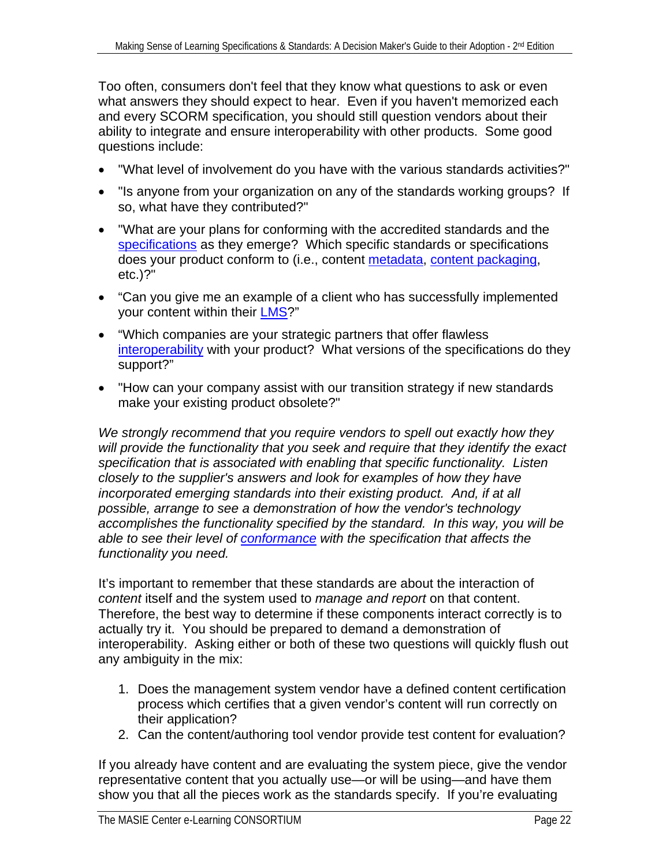Too often, consumers don't feel that they know what questions to ask or even what answers they should expect to hear. Even if you haven't memorized each and every SCORM specification, you should still question vendors about their ability to integrate and ensure interoperability with other products. Some good questions include:

- "What level of involvement do you have with the various standards activities?"
- "Is anyone from your organization on any of the standards working groups? If so, what have they contributed?"
- "What are your plans for conforming with the accredited standards and the [specifications](#page-78-0) as they emerge? Which specific standards or specifications does your product conform to (i.e., content [metadata,](#page-75-0) [content packaging,](#page-71-0) etc.)?"
- "Can you give me an example of a client who has successfully implemented your content within their [LMS?](#page-74-0)"
- "Which companies are your strategic partners that offer flawless [interoperability](#page-74-0) with your product? What versions of the specifications do they support?"
- "How can your company assist with our transition strategy if new standards make your existing product obsolete?"

*We strongly recommend that you require vendors to spell out exactly how they will provide the functionality that you seek and require that they identify the exact specification that is associated with enabling that specific functionality. Listen closely to the supplier's answers and look for examples of how they have incorporated emerging standards into their existing product. And, if at all possible, arrange to see a demonstration of how the vendor's technology accomplishes the functionality specified by the standard. In this way, you will be able to see their level of [conformance](#page-71-0) with the specification that affects the functionality you need.* 

It's important to remember that these standards are about the interaction of *content* itself and the system used to *manage and report* on that content. Therefore, the best way to determine if these components interact correctly is to actually try it. You should be prepared to demand a demonstration of interoperability. Asking either or both of these two questions will quickly flush out any ambiguity in the mix:

- 1. Does the management system vendor have a defined content certification process which certifies that a given vendor's content will run correctly on their application?
- 2. Can the content/authoring tool vendor provide test content for evaluation?

If you already have content and are evaluating the system piece, give the vendor representative content that you actually use—or will be using—and have them show you that all the pieces work as the standards specify. If you're evaluating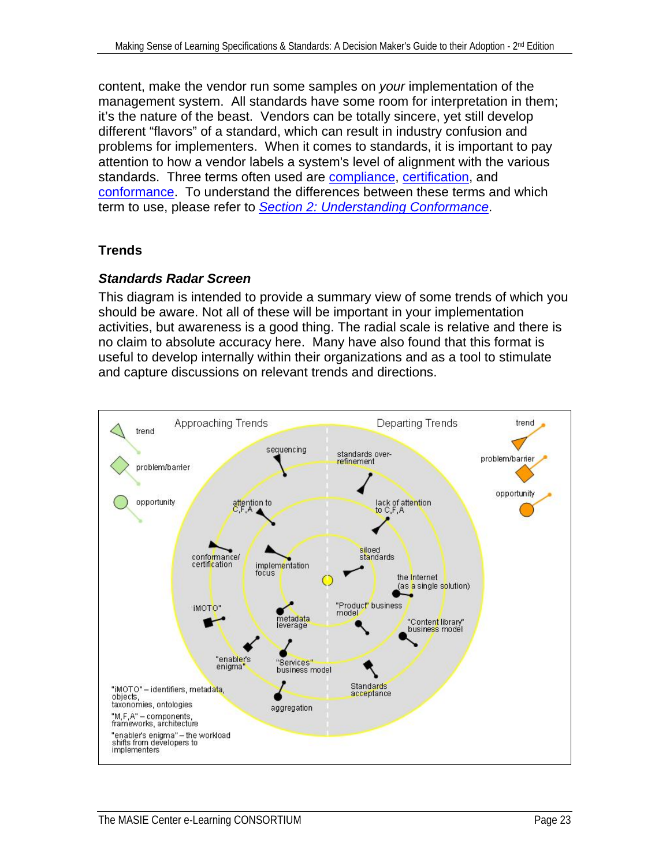<span id="page-22-0"></span>content, make the vendor run some samples on *your* implementation of the management system. All standards have some room for interpretation in them; it's the nature of the beast. Vendors can be totally sincere, yet still develop different "flavors" of a standard, which can result in industry confusion and problems for implementers. When it comes to standards, it is important to pay attention to how a vendor labels a system's level of alignment with the various standards. Three terms often used are [compliance](#page-70-0), [certification,](#page-70-0) and [conformance](#page-71-0). To understand the differences between these terms and which term to use, please refer to *[Section 2: Understanding Conformance](#page-25-0)*.

#### **Trends**

#### *Standards Radar Screen*

This diagram is intended to provide a summary view of some trends of which you should be aware. Not all of these will be important in your implementation activities, but awareness is a good thing. The radial scale is relative and there is no claim to absolute accuracy here. Many have also found that this format is useful to develop internally within their organizations and as a tool to stimulate and capture discussions on relevant trends and directions.

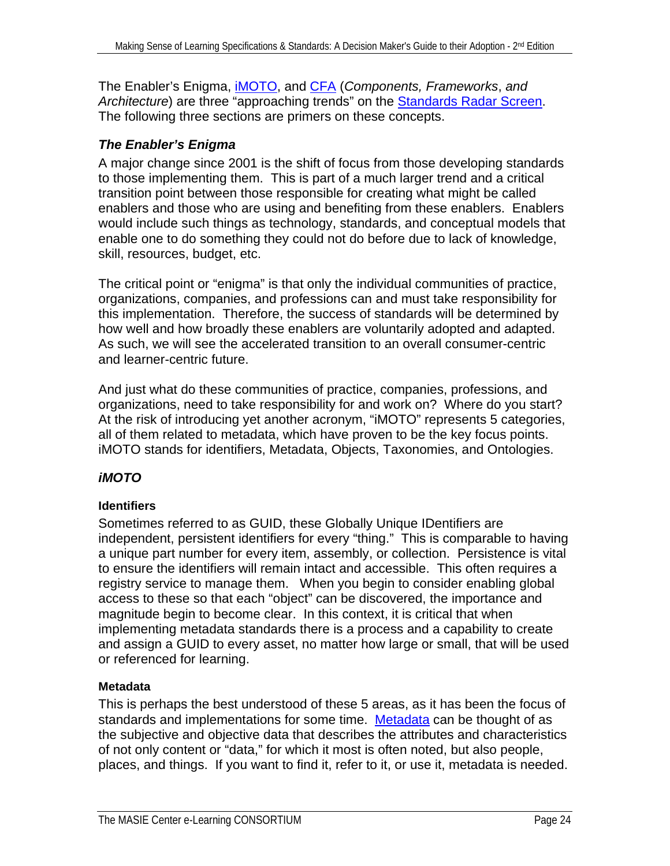<span id="page-23-0"></span>The Enabler's Enigma, [iMOTO](#page-23-0), and [CFA](#page-25-0) (*Components, Frameworks*, *and*  Architecture) are three "approaching trends" on the **Standards Radar Screen**. The following three sections are primers on these concepts.

#### *The Enabler's Enigma*

A major change since 2001 is the shift of focus from those developing standards to those implementing them. This is part of a much larger trend and a critical transition point between those responsible for creating what might be called enablers and those who are using and benefiting from these enablers. Enablers would include such things as technology, standards, and conceptual models that enable one to do something they could not do before due to lack of knowledge, skill, resources, budget, etc.

The critical point or "enigma" is that only the individual communities of practice, organizations, companies, and professions can and must take responsibility for this implementation. Therefore, the success of standards will be determined by how well and how broadly these enablers are voluntarily adopted and adapted. As such, we will see the accelerated transition to an overall consumer-centric and learner-centric future.

And just what do these communities of practice, companies, professions, and organizations, need to take responsibility for and work on? Where do you start? At the risk of introducing yet another acronym, "iMOTO" represents 5 categories, all of them related to metadata, which have proven to be the key focus points. iMOTO stands for identifiers, Metadata, Objects, Taxonomies, and Ontologies.

#### *iMOTO*

#### **Identifiers**

Sometimes referred to as GUID, these Globally Unique IDentifiers are independent, persistent identifiers for every "thing." This is comparable to having a unique part number for every item, assembly, or collection. Persistence is vital to ensure the identifiers will remain intact and accessible. This often requires a registry service to manage them. When you begin to consider enabling global access to these so that each "object" can be discovered, the importance and magnitude begin to become clear. In this context, it is critical that when implementing metadata standards there is a process and a capability to create and assign a GUID to every asset, no matter how large or small, that will be used or referenced for learning.

#### **Metadata**

This is perhaps the best understood of these 5 areas, as it has been the focus of standards and implementations for some time. [Metadata](#page-75-0) can be thought of as the subjective and objective data that describes the attributes and characteristics of not only content or "data," for which it most is often noted, but also people, places, and things. If you want to find it, refer to it, or use it, metadata is needed.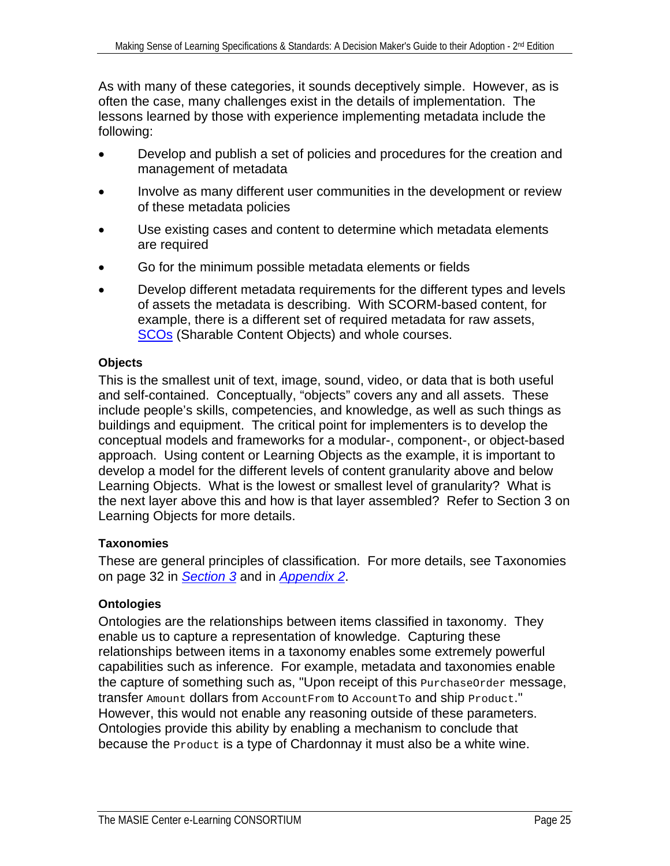As with many of these categories, it sounds deceptively simple. However, as is often the case, many challenges exist in the details of implementation. The lessons learned by those with experience implementing metadata include the following:

- Develop and publish a set of policies and procedures for the creation and management of metadata
- Involve as many different user communities in the development or review of these metadata policies
- Use existing cases and content to determine which metadata elements are required
- Go for the minimum possible metadata elements or fields
- Develop different metadata requirements for the different types and levels of assets the metadata is describing. With SCORM-based content, for example, there is a different set of required metadata for raw assets, [SCOs](#page-77-0) (Sharable Content Objects) and whole courses.

#### **Objects**

This is the smallest unit of text, image, sound, video, or data that is both useful and self-contained. Conceptually, "objects" covers any and all assets. These include people's skills, competencies, and knowledge, as well as such things as buildings and equipment. The critical point for implementers is to develop the conceptual models and frameworks for a modular-, component-, or object-based approach. Using content or [Learning Objects](#page-74-0) as the example, it is important to develop a model for the different levels of content [granularity](#page-73-0) above and below Learning Objects. What is the lowest or smallest level of granularity? What is the next layer above this and how is that layer assembled? Refer to Section 3 on Learning Objects for more details.

#### **Taxonomies**

These are general principles of classification. For more details, see Taxonomies on page 32 in *[Section 3](#page-30-0)* and in *[Appendix 2](#page-79-0)*.

#### **Ontologies**

Ontologies are the relationships between items classified in taxonomy. They enable us to capture a representation of knowledge. Capturing these relationships between items in a taxonomy enables some extremely powerful capabilities such as inference. For example, metadata and taxonomies enable the capture of something such as, "Upon receipt of this PurchaseOrder message, transfer Amount dollars from AccountFrom to AccountTo and ship Product." However, this would not enable any reasoning outside of these parameters. Ontologies provide this ability by enabling a mechanism to conclude that because the **Product** is a type of Chardonnay it must also be a white wine.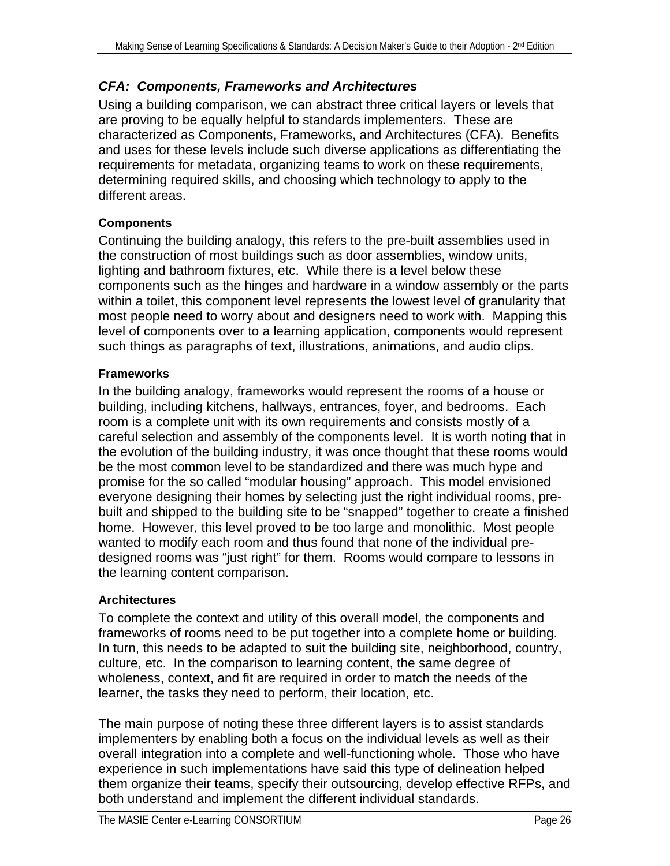#### <span id="page-25-0"></span>*CFA: Components, Frameworks and Architectures*

Using a building comparison, we can abstract three critical layers or levels that are proving to be equally helpful to standards implementers. These are characterized as Components, Frameworks, and Architectures (CFA). Benefits and uses for these levels include such diverse applications as differentiating the requirements for metadata, organizing teams to work on these requirements, determining required skills, and choosing which technology to apply to the different areas.

#### **Components**

Continuing the building analogy, this refers to the pre-built assemblies used in the construction of most buildings such as door assemblies, window units, lighting and bathroom fixtures, etc. While there is a level below these components such as the hinges and hardware in a window assembly or the parts within a toilet, this component level represents the lowest level of granularity that most people need to worry about and designers need to work with. Mapping this level of components over to a learning application, components would represent such things as paragraphs of text, illustrations, animations, and audio clips.

#### **Frameworks**

In the building analogy, frameworks would represent the rooms of a house or building, including kitchens, hallways, entrances, foyer, and bedrooms. Each room is a complete unit with its own requirements and consists mostly of a careful selection and assembly of the components level. It is worth noting that in the evolution of the building industry, it was once thought that these rooms would be the most common level to be standardized and there was much hype and promise for the so called "modular housing" approach. This model envisioned everyone designing their homes by selecting just the right individual rooms, prebuilt and shipped to the building site to be "snapped" together to create a finished home. However, this level proved to be too large and monolithic. Most people wanted to modify each room and thus found that none of the individual predesigned rooms was "just right" for them. Rooms would compare to lessons in the learning content comparison.

#### **Architectures**

To complete the context and utility of this overall model, the components and frameworks of rooms need to be put together into a complete home or building. In turn, this needs to be adapted to suit the building site, neighborhood, country, culture, etc. In the comparison to learning content, the same degree of wholeness, context, and fit are required in order to match the needs of the learner, the tasks they need to perform, their location, etc.

The main purpose of noting these three different layers is to assist standards implementers by enabling both a focus on the individual levels as well as their overall integration into a complete and well-functioning whole. Those who have experience in such implementations have said this type of delineation helped them organize their teams, specify their outsourcing, develop effective RFPs, and both understand and implement the different individual standards.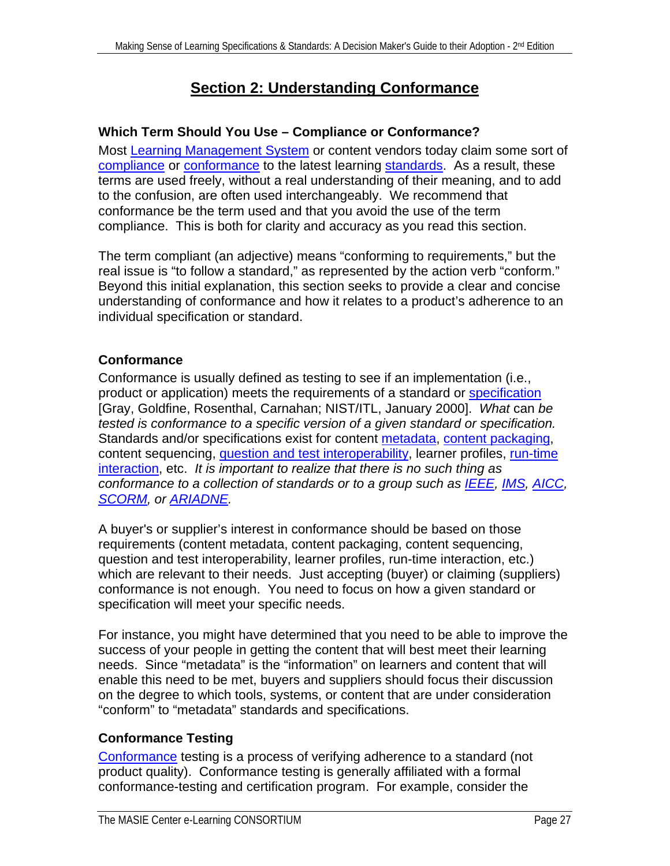## **Section 2: Understanding Conformance**

#### <span id="page-26-0"></span>**Which Term Should You Use – Compliance or Conformance?**

Most [Learning Management System](#page-74-0) or content vendors today claim some sort of [compliance](#page-70-0) or [conformance](#page-71-0) to the latest learning [standards.](#page-78-0) As a result, these terms are used freely, without a real understanding of their meaning, and to add to the confusion, are often used interchangeably. We recommend that conformance be the term used and that you avoid the use of the term compliance. This is both for clarity and accuracy as you read this section.

The term compliant (an adjective) means "conforming to requirements," but the real issue is "to follow a standard," as represented by the action verb "conform." Beyond this initial explanation, this section seeks to provide a clear and concise understanding of conformance and how it relates to a product's adherence to an individual specification or standard.

#### **Conformance**

Conformance is usually defined as testing to see if an implementation (i.e., product or application) meets the requirements of a standard or [specification](#page-78-0) [Gray, Goldfine, Rosenthal, Carnahan; NIST/ITL, January 2000]. *What* can *be tested is conformance to a specific version of a given standard or specification.*  Standards and/or specifications exist for content [metadata,](#page-75-0) [content packaging,](#page-71-0) content sequencing, [question and test interoperability,](#page-67-0) learner profiles, [run-time](#page-77-0)  [interaction](#page-77-0), etc. *It is important to realize that there is no such thing as conformance to a collection of standards or to a group such as [IEEE](#page-65-0), [IMS](#page-67-0), [AICC,](#page-63-0) [SCORM,](#page-78-0) or [ARIADNE.](#page-64-0)*

A buyer's or supplier's interest in conformance should be based on those requirements (content metadata, content packaging, content sequencing, question and test interoperability, learner profiles, run-time interaction, etc.) which are relevant to their needs. Just accepting (buyer) or claiming (suppliers) conformance is not enough. You need to focus on how a given standard or specification will meet your specific needs.

For instance, you might have determined that you need to be able to improve the success of your people in getting the content that will best meet their learning needs. Since "metadata" is the "information" on learners and content that will enable this need to be met, buyers and suppliers should focus their discussion on the degree to which tools, systems, or content that are under consideration "conform" to "metadata" standards and specifications.

#### **Conformance Testing**

[Conformance](#page-71-0) testing is a process of verifying adherence to a standard (not product quality). Conformance testing is generally affiliated with a formal conformance-testing and certification program. For example, consider the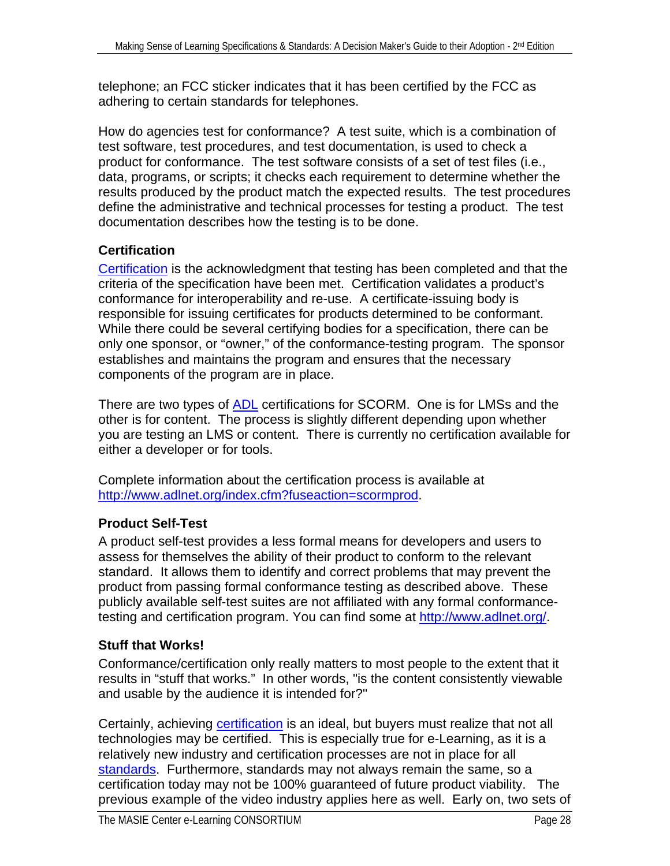<span id="page-27-0"></span>telephone; an FCC sticker indicates that it has been certified by the FCC as adhering to certain standards for telephones.

How do agencies test for conformance? A test suite, which is a combination of test software, test procedures, and test documentation, is used to check a product for conformance. The test software consists of a set of test files (i.e., data, programs, or scripts; it checks each requirement to determine whether the results produced by the product match the expected results. The test procedures define the administrative and technical processes for testing a product. The test documentation describes how the testing is to be done.

#### **Certification**

[Certification](#page-70-0) is the acknowledgment that testing has been completed and that the criteria of the specification have been met. Certification validates a product's conformance for interoperability and re-use. A certificate-issuing body is responsible for issuing certificates for products determined to be conformant. While there could be several certifying bodies for a specification, there can be only one sponsor, or "owner," of the conformance-testing program. The sponsor establishes and maintains the program and ensures that the necessary components of the program are in place.

There are two types of [ADL](#page-63-0) certifications for SCORM. One is for LMSs and the other is for content. The process is slightly different depending upon whether you are testing an LMS or content. There is currently no certification available for either a developer or for tools.

Complete information about the certification process is available at <http://www.adlnet.org/index.cfm?fuseaction=scormprod>.

#### **Product Self-Test**

A product self-test provides a less formal means for developers and users to assess for themselves the ability of their product to conform to the relevant standard. It allows them to identify and correct problems that may prevent the product from passing formal conformance testing as described above. These publicly available self-test suites are not affiliated with any formal conformancetesting and certification program. You can find some at [http://www.adlnet.org/.](http://www.adlnet.org/)

### **Stuff that Works!**

Conformance/certification only really matters to most people to the extent that it results in "stuff that works." In other words, "is the content consistently viewable and usable by the audience it is intended for?"

Certainly, achieving [certification](#page-70-0) is an ideal, but buyers must realize that not all technologies may be certified. This is especially true for e-Learning, as it is a relatively new industry and certification processes are not in place for all [standards.](#page-78-0) Furthermore, standards may not always remain the same, so a certification today may not be 100% guaranteed of future product viability. The previous example of the video industry applies here as well. Early on, two sets of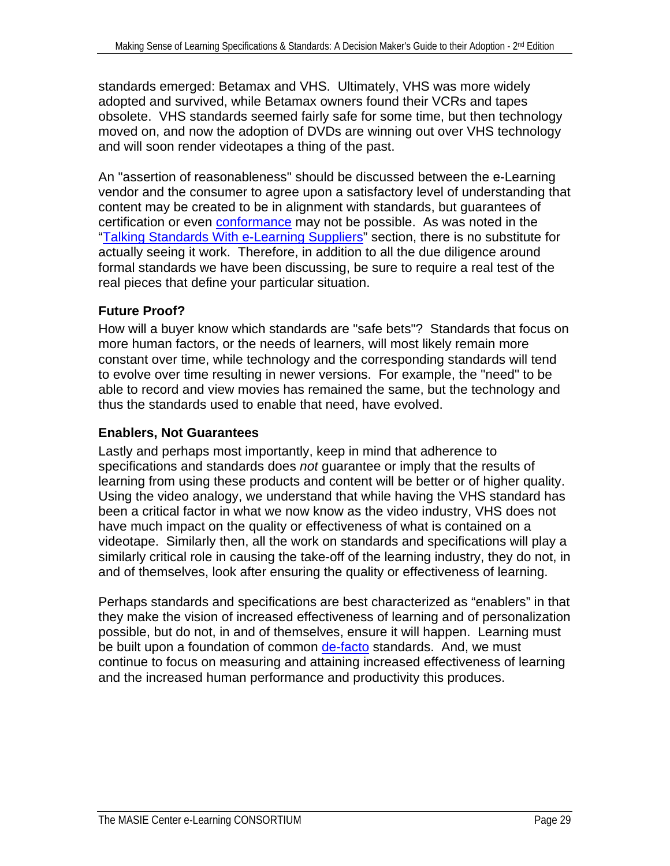<span id="page-28-0"></span>standards emerged: Betamax and VHS. Ultimately, VHS was more widely adopted and survived, while Betamax owners found their VCRs and tapes obsolete. VHS standards seemed fairly safe for some time, but then technology moved on, and now the adoption of DVDs are winning out over VHS technology and will soon render videotapes a thing of the past.

An "assertion of reasonableness" should be discussed between the e-Learning vendor and the consumer to agree upon a satisfactory level of understanding that content may be created to be in alignment with standards, but guarantees of certification or even [conformance](#page-71-0) may not be possible. As was noted in the "[Talking Standards With e-Learning Suppliers](#page-20-0)" section, there is no substitute for actually seeing it work. Therefore, in addition to all the due diligence around formal standards we have been discussing, be sure to require a real test of the real pieces that define your particular situation.

#### **Future Proof?**

How will a buyer know which standards are "safe bets"? Standards that focus on more human factors, or the needs of learners, will most likely remain more constant over time, while technology and the corresponding standards will tend to evolve over time resulting in newer versions. For example, the "need" to be able to record and view movies has remained the same, but the technology and thus the standards used to enable that need, have evolved.

#### **Enablers, Not Guarantees**

Lastly and perhaps most importantly, keep in mind that adherence to specifications and standards does *not* guarantee or imply that the results of learning from using these products and content will be better or of higher quality. Using the video analogy, we understand that while having the VHS standard has been a critical factor in what we now know as the video industry, VHS does not have much impact on the quality or effectiveness of what is contained on a videotape. Similarly then, all the work on standards and specifications will play a similarly critical role in causing the take-off of the learning industry, they do not, in and of themselves, look after ensuring the quality or effectiveness of learning.

Perhaps standards and specifications are best characterized as "enablers" in that they make the vision of increased effectiveness of learning and of personalization possible, but do not, in and of themselves, ensure it will happen. Learning must be built upon a foundation of common [de-facto](#page-78-0) standards. And, we must continue to focus on measuring and attaining increased effectiveness of learning and the increased human performance and productivity this produces.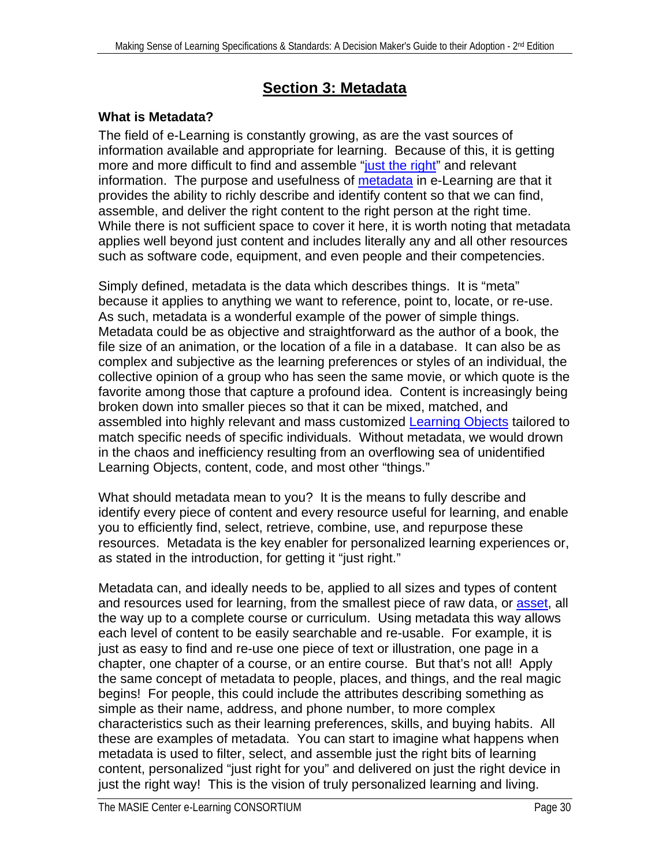## **Section 3: Metadata**

#### <span id="page-29-0"></span>**What is Metadata?**

The field of e-Learning is constantly growing, as are the vast sources of information available and appropriate for learning. Because of this, it is getting more and more difficult to find and assemble ["just the right"](#page-4-0) and relevant information. The purpose and usefulness of [metadata](#page-75-0) in e-Learning are that it provides the ability to richly describe and identify content so that we can find, assemble, and deliver the right content to the right person at the right time. While there is not sufficient space to cover it here, it is worth noting that metadata applies well beyond just content and includes literally any and all other resources such as software code, equipment, and even people and their competencies.

Simply defined, metadata is the data which describes things. It is "meta" because it applies to anything we want to reference, point to, locate, or re-use. As such, metadata is a wonderful example of the power of simple things. Metadata could be as objective and straightforward as the author of a book, the file size of an animation, or the location of a file in a database. It can also be as complex and subjective as the learning preferences or styles of an individual, the collective opinion of a group who has seen the same movie, or which quote is the favorite among those that capture a profound idea. Content is increasingly being broken down into smaller pieces so that it can be mixed, matched, and assembled into highly relevant and mass customized [Learning Objects](#page-74-0) tailored to match specific needs of specific individuals. Without metadata, we would drown in the chaos and inefficiency resulting from an overflowing sea of unidentified Learning Objects, content, code, and most other "things."

What should metadata mean to you? It is the means to fully describe and identify every piece of content and every resource useful for learning, and enable you to efficiently find, select, retrieve, combine, use, and repurpose these resources. Metadata is the key enabler for personalized learning experiences or, as stated in the introduction, for getting it "just right."

Metadata can, and ideally needs to be, applied to all sizes and types of content and resources used for learning, from the smallest piece of raw data, or [asset,](#page-70-0) all the way up to a complete course or curriculum. Using metadata this way allows each level of content to be easily searchable and re-usable. For example, it is just as easy to find and re-use one piece of text or illustration, one page in a chapter, one chapter of a course, or an entire course. But that's not all! Apply the same concept of metadata to people, places, and things, and the real magic begins! For people, this could include the attributes describing something as simple as their name, address, and phone number, to more complex characteristics such as their learning preferences, skills, and buying habits. All these are examples of metadata. You can start to imagine what happens when metadata is used to filter, select, and assemble just the right bits of learning content, personalized "just right for you" and delivered on just the right device in just the right way! This is the vision of truly personalized learning and living.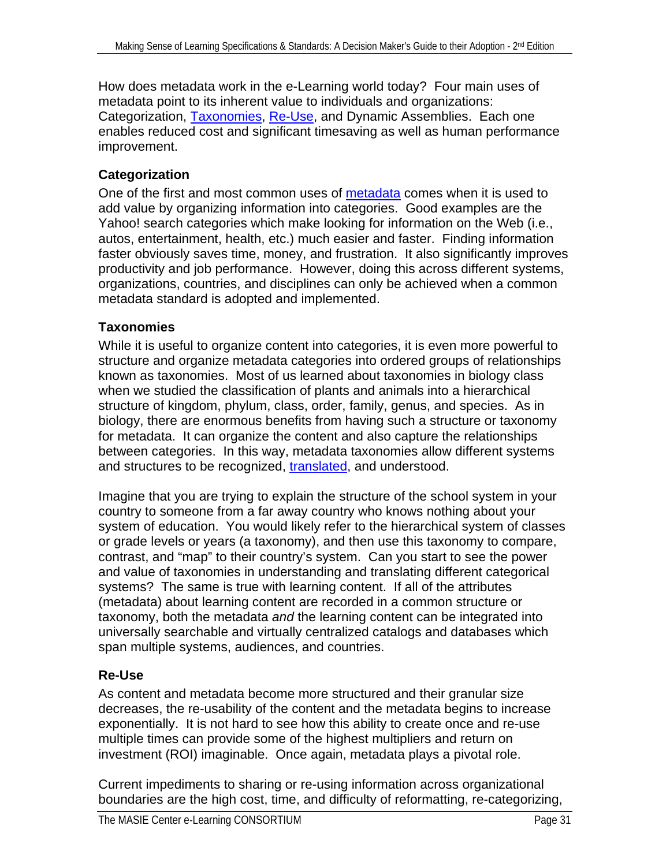<span id="page-30-0"></span>How does metadata work in the e-Learning world today? Four main uses of metadata point to its inherent value to individuals and organizations: Categorization, [Taxonomies](#page-79-0), [Re-Use,](#page-77-0) and Dynamic Assemblies. Each one enables reduced cost and significant timesaving as well as human performance improvement.

#### **Categorization**

One of the first and most common uses of [metadata](#page-75-0) comes when it is used to add value by organizing information into categories. Good examples are the Yahoo! search categories which make looking for information on the Web (i.e., autos, entertainment, health, etc.) much easier and faster. Finding information faster obviously saves time, money, and frustration. It also significantly improves productivity and job performance. However, doing this across different systems, organizations, countries, and disciplines can only be achieved when a common metadata standard is adopted and implemented.

#### **Taxonomies**

While it is useful to organize content into categories, it is even more powerful to structure and organize metadata categories into ordered groups of relationships known as taxonomies. Most of us learned about taxonomies in biology class when we studied the classification of plants and animals into a hierarchical structure of kingdom, phylum, class, order, family, genus, and species. As in biology, there are enormous benefits from having such a structure or taxonomy for metadata. It can organize the content and also capture the relationships between categories. In this way, metadata taxonomies allow different systems and structures to be recognized, [translated](#page-79-0), and understood.

Imagine that you are trying to explain the structure of the school system in your country to someone from a far away country who knows nothing about your system of education. You would likely refer to the hierarchical system of classes or grade levels or years (a taxonomy), and then use this taxonomy to compare, contrast, and "map" to their country's system. Can you start to see the power and value of taxonomies in understanding and translating different categorical systems? The same is true with learning content. If all of the attributes (metadata) about learning content are recorded in a common structure or taxonomy, both the metadata *and* the learning content can be integrated into universally searchable and virtually centralized catalogs and databases which span multiple systems, audiences, and countries.

#### **Re-Use**

As content and metadata become more structured and their granular size decreases, the re-usability of the content and the metadata begins to increase exponentially. It is not hard to see how this ability to create once and re-use multiple times can provide some of the highest multipliers and return on investment (ROI) imaginable. Once again, metadata plays a pivotal role.

Current impediments to sharing or re-using information across organizational boundaries are the high cost, time, and difficulty of reformatting, re-categorizing,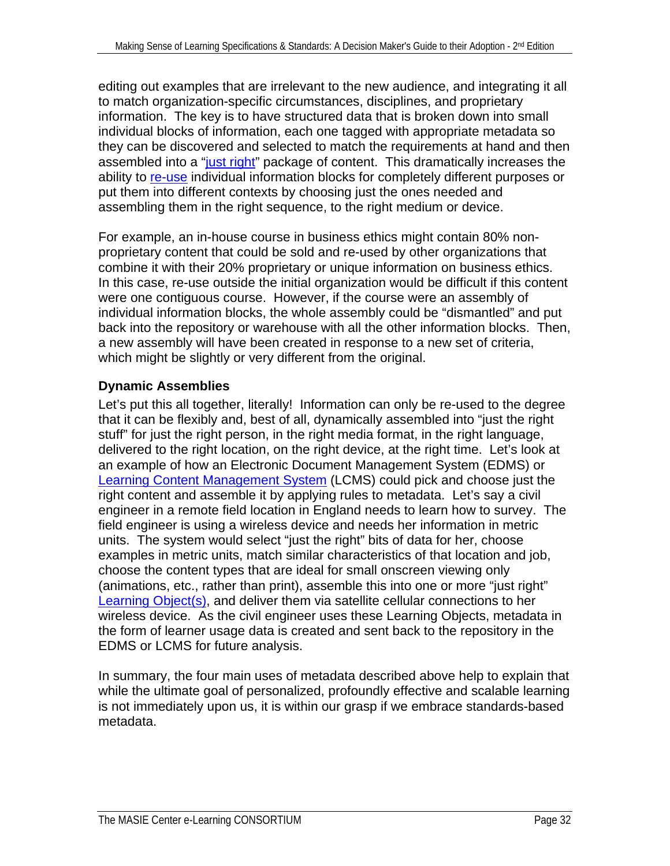<span id="page-31-0"></span>editing out examples that are irrelevant to the new audience, and integrating it all to match organization-specific circumstances, disciplines, and proprietary information. The key is to have structured data that is broken down into small individual blocks of information, each one tagged with appropriate metadata so they can be discovered and selected to match the requirements at hand and then assembled into a ["just right](#page-0-0)" package of content. This dramatically increases the ability to [re-use](#page-77-0) individual information blocks for completely different purposes or put them into different contexts by choosing just the ones needed and assembling them in the right sequence, to the right medium or device.

For example, an in-house course in business ethics might contain 80% nonproprietary content that could be sold and re-used by other organizations that combine it with their 20% proprietary or unique information on business ethics. In this case, re-use outside the initial organization would be difficult if this content were one contiguous course. However, if the course were an assembly of individual information blocks, the whole assembly could be "dismantled" and put back into the repository or warehouse with all the other information blocks. Then, a new assembly will have been created in response to a new set of criteria, which might be slightly or very different from the original.

#### **Dynamic Assemblies**

Let's put this all together, literally! Information can only be re-used to the degree that it can be flexibly and, best of all, dynamically assembled into "just the right stuff" for just the right person, in the right media format, in the right language, delivered to the right location, on the right device, at the right time. Let's look at an example of how an Electronic Document Management System (EDMS) or [Learning Content Management System](#page-74-0) (LCMS) could pick and choose just the right content and assemble it by applying rules to metadata. Let's say a civil engineer in a remote field location in England needs to learn how to survey. The field engineer is using a wireless device and needs her information in metric units. The system would select "just the right" bits of data for her, choose examples in metric units, match similar characteristics of that location and job, choose the content types that are ideal for small onscreen viewing only (animations, etc., rather than print), assemble this into one or more "just right" [Learning Object\(s\),](#page-74-0) and deliver them via satellite cellular connections to her wireless device. As the civil engineer uses these Learning Objects, metadata in the form of learner usage data is created and sent back to the repository in the EDMS or LCMS for future analysis.

In summary, the four main uses of metadata described above help to explain that while the ultimate goal of personalized, profoundly effective and scalable learning is not immediately upon us, it is within our grasp if we embrace standards-based metadata.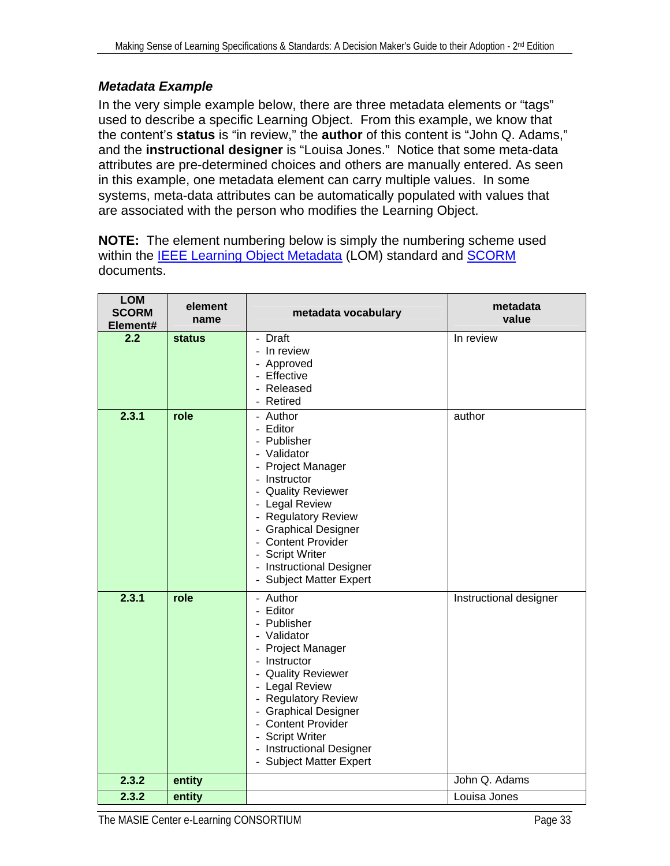#### *Metadata Example*

In the very simple example below, there are three metadata elements or "tags" used to describe a specific Learning Object. From this example, we know that the content's **status** is "in review," the **author** of this content is "John Q. Adams," and the **instructional designer** is "Louisa Jones." Notice that some meta-data attributes are pre-determined choices and others are manually entered. As seen in this example, one metadata element can carry multiple values. In some systems, meta-data attributes can be automatically populated with values that are associated with the person who modifies the Learning Object.

**NOTE:** The element numbering below is simply the numbering scheme used within the **IEEE Learning Object Metadata** (LOM) standard and **[SCORM](#page-78-0)** documents.

| <b>LOM</b><br><b>SCORM</b><br>Element# | element<br>name | metadata vocabulary                                                                                                                                                                                                                                                                           | metadata<br>value      |
|----------------------------------------|-----------------|-----------------------------------------------------------------------------------------------------------------------------------------------------------------------------------------------------------------------------------------------------------------------------------------------|------------------------|
| 2.2                                    | <b>status</b>   | - Draft<br>- In review<br>- Approved<br>- Effective<br>- Released<br>- Retired                                                                                                                                                                                                                | In review              |
| 2.3.1                                  | role            | - Author<br>- Editor<br>- Publisher<br>- Validator<br>- Project Manager<br>Instructor<br>- Quality Reviewer<br>- Legal Review<br>- Regulatory Review<br>- Graphical Designer<br>- Content Provider<br>- Script Writer<br>- Instructional Designer<br>- Subject Matter Expert                  | author                 |
| 2.3.1                                  | role            | - Author<br>- Editor<br>- Publisher<br>- Validator<br>- Project Manager<br>- Instructor<br>- Quality Reviewer<br>- Legal Review<br>- Regulatory Review<br><b>Graphical Designer</b><br>$\sim$<br>- Content Provider<br>- Script Writer<br>- Instructional Designer<br>- Subject Matter Expert | Instructional designer |
| 2.3.2                                  | entity          |                                                                                                                                                                                                                                                                                               | John Q. Adams          |
| 2.3.2                                  | entity          |                                                                                                                                                                                                                                                                                               | Louisa Jones           |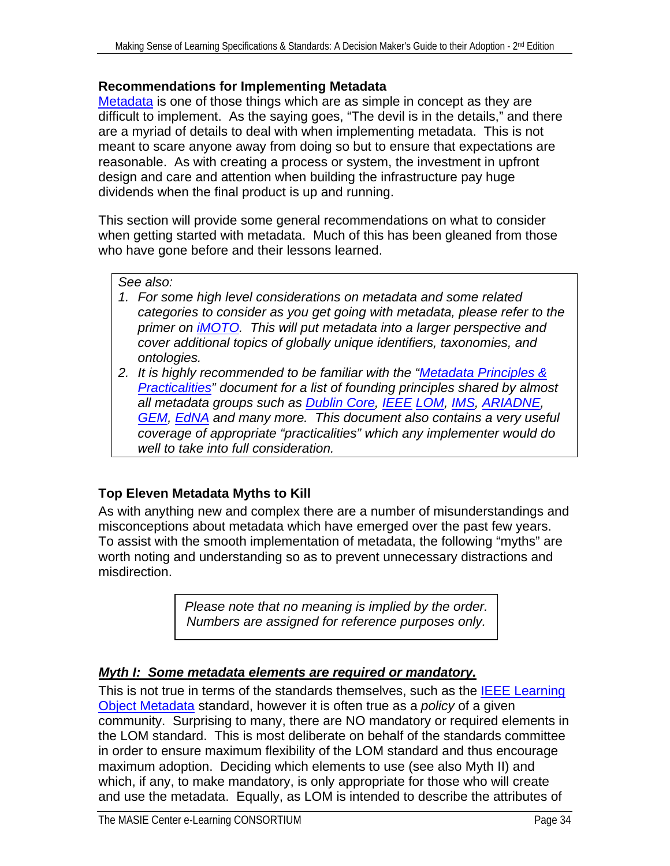#### <span id="page-33-0"></span>**Recommendations for Implementing Metadata**

[Metadata](#page-75-0) is one of those things which are as simple in concept as they are difficult to implement. As the saying goes, "The devil is in the details," and there are a myriad of details to deal with when implementing metadata. This is not meant to scare anyone away from doing so but to ensure that expectations are reasonable. As with creating a process or system, the investment in upfront design and care and attention when building the infrastructure pay huge dividends when the final product is up and running.

This section will provide some general recommendations on what to consider when getting started with metadata. Much of this has been gleaned from those who have gone before and their lessons learned.

#### *See also:*

- *1. For some high level considerations on metadata and some related categories to consider as you get going with metadata, please refer to the primer on [iMOTO.](#page-23-0) This will put metadata into a larger perspective and cover additional topics of globally unique identifiers, taxonomies, and ontologies.*
- *2. It is highly recommended to be familiar with the ["Metadata Principles &](#page-62-0)  [Practicalities](#page-62-0)" document for a list of founding principles shared by almost all metadata groups such as [Dublin Core,](#page-64-0) [IEEE](#page-65-0) [LOM](#page-66-0), [IMS](#page-67-0), [ARIADNE](#page-64-0), [GEM](#page-65-0), [EdNA](#page-65-0) and many more. This document also contains a very useful coverage of appropriate "practicalities" which any implementer would do well to take into full consideration.*

#### **Top Eleven Metadata Myths to Kill**

As with anything new and complex there are a number of misunderstandings and misconceptions about metadata which have emerged over the past few years. To assist with the smooth implementation of metadata, the following "myths" are worth noting and understanding so as to prevent unnecessary distractions and misdirection.

> *Please note that no meaning is implied by the order. Numbers are assigned for reference purposes only.*

#### *Myth I: Some metadata elements are required or mandatory.*

This is not true in terms of the standards themselves, such as the **IEEE Learning** [Object Metadata](#page-66-0) standard, however it is often true as a *policy* of a given community. Surprising to many, there are NO mandatory or required elements in the LOM standard. This is most deliberate on behalf of the standards committee in order to ensure maximum flexibility of the LOM standard and thus encourage maximum adoption. Deciding which elements to use (see also Myth II) and which, if any, to make mandatory, is only appropriate for those who will create and use the metadata. Equally, as LOM is intended to describe the attributes of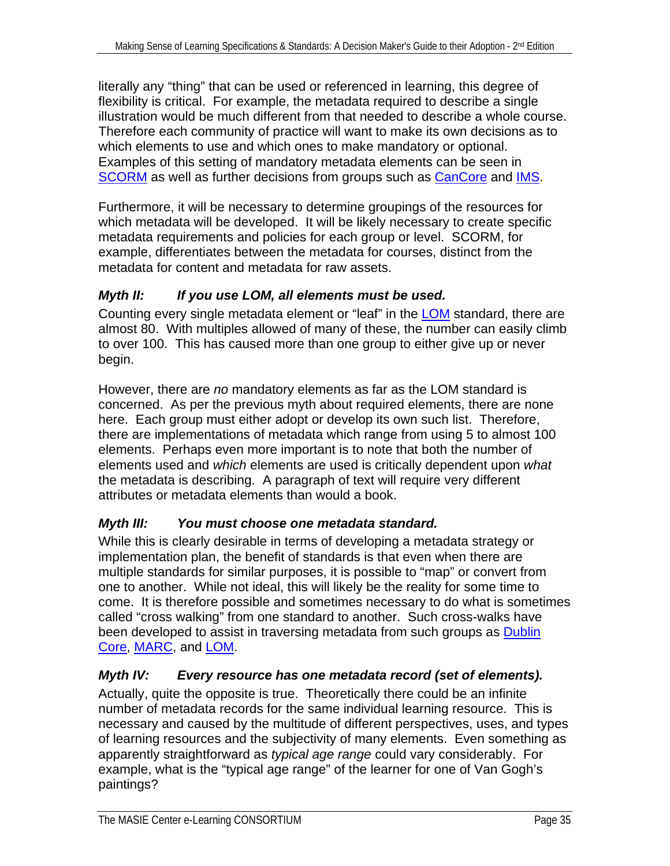literally any "thing" that can be used or referenced in learning, this degree of flexibility is critical. For example, the metadata required to describe a single illustration would be much different from that needed to describe a whole course. Therefore each community of practice will want to make its own decisions as to which elements to use and which ones to make mandatory or optional. Examples of this setting of mandatory metadata elements can be seen in [SCORM](#page-78-0) as well as further decisions from groups such as [CanCore](#page-64-0) and [IMS](#page-67-0).

Furthermore, it will be necessary to determine groupings of the resources for which metadata will be developed. It will be likely necessary to create specific metadata requirements and policies for each group or level. SCORM, for example, differentiates between the metadata for courses, distinct from the metadata for content and metadata for raw assets.

#### *Myth II: If you use LOM, all elements must be used.*

Counting every single metadata element or "leaf" in the [LOM](#page-66-0) standard, there are almost 80. With multiples allowed of many of these, the number can easily climb to over 100. This has caused more than one group to either give up or never begin.

However, there are *no* mandatory elements as far as the LOM standard is concerned. As per the previous myth about required elements, there are none here. Each group must either adopt or develop its own such list. Therefore, there are implementations of metadata which range from using 5 to almost 100 elements. Perhaps even more important is to note that both the number of elements used and *which* elements are used is critically dependent upon *what*  the metadata is describing. A paragraph of text will require very different attributes or metadata elements than would a book.

#### *Myth III: You must choose one metadata standard.*

While this is clearly desirable in terms of developing a metadata strategy or implementation plan, the benefit of standards is that even when there are multiple standards for similar purposes, it is possible to "map" or convert from one to another. While not ideal, this will likely be the reality for some time to come. It is therefore possible and sometimes necessary to do what is sometimes called "cross walking" from one standard to another. Such cross-walks have been developed to assist in traversing metadata from such groups as [Dublin](#page-64-0)  [Core,](#page-64-0) [MARC,](#page-68-0) and [LOM](#page-66-0).

#### *Myth IV: Every resource has one metadata record (set of elements).*

Actually, quite the opposite is true. Theoretically there could be an infinite number of metadata records for the same individual learning resource. This is necessary and caused by the multitude of different perspectives, uses, and types of learning resources and the subjectivity of many elements. Even something as apparently straightforward as *typical age range* could vary considerably. For example, what is the "typical age range" of the learner for one of Van Gogh's paintings?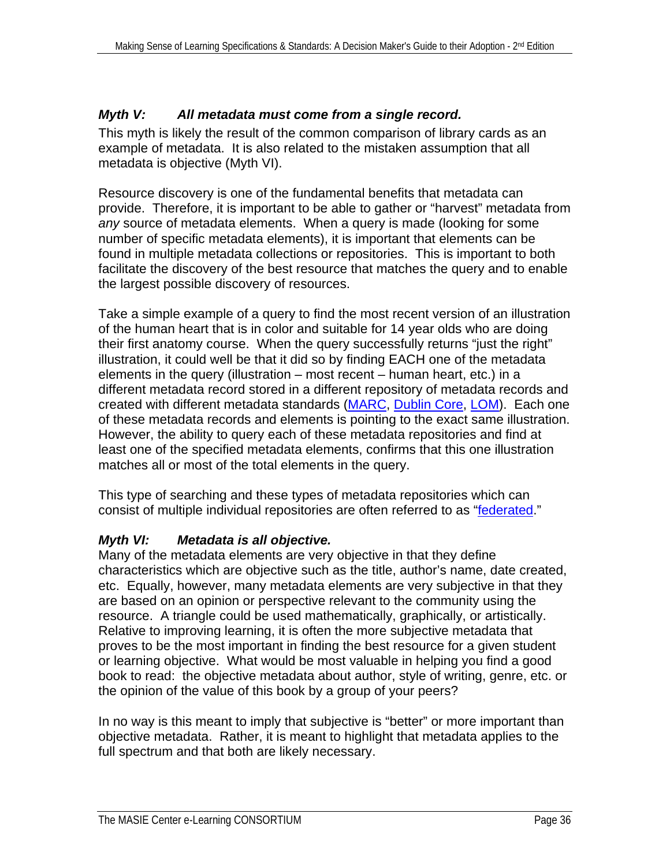#### *Myth V: All metadata must come from a single record.*

This myth is likely the result of the common comparison of library cards as an example of metadata. It is also related to the mistaken assumption that all metadata is objective (Myth VI).

Resource discovery is one of the fundamental benefits that metadata can provide. Therefore, it is important to be able to gather or "harvest" metadata from *any* source of metadata elements. When a query is made (looking for some number of specific metadata elements), it is important that elements can be found in multiple metadata collections or repositories. This is important to both facilitate the discovery of the best resource that matches the query and to enable the largest possible discovery of resources.

Take a simple example of a query to find the most recent version of an illustration of the human heart that is in color and suitable for 14 year olds who are doing their first anatomy course. When the query successfully returns "just the right" illustration, it could well be that it did so by finding EACH one of the metadata elements in the query (illustration – most recent – human heart, etc.) in a different metadata record stored in a different repository of metadata records and created with different metadata standards [\(MARC](#page-68-0), [Dublin Core](#page-64-0), [LOM](#page-66-0)). Each one of these metadata records and elements is pointing to the exact same illustration. However, the ability to query each of these metadata repositories and find at least one of the specified metadata elements, confirms that this one illustration matches all or most of the total elements in the query.

This type of searching and these types of metadata repositories which can consist of multiple individual repositories are often referred to as "[federated](#page-73-0)."

#### *Myth VI: Metadata is all objective.*

Many of the metadata elements are very objective in that they define characteristics which are objective such as the title, author's name, date created, etc. Equally, however, many metadata elements are very subjective in that they are based on an opinion or perspective relevant to the community using the resource. A triangle could be used mathematically, graphically, or artistically. Relative to improving learning, it is often the more subjective metadata that proves to be the most important in finding the best resource for a given student or learning objective. What would be most valuable in helping you find a good book to read: the objective metadata about author, style of writing, genre, etc. or the opinion of the value of this book by a group of your peers?

In no way is this meant to imply that subjective is "better" or more important than objective metadata. Rather, it is meant to highlight that metadata applies to the full spectrum and that both are likely necessary.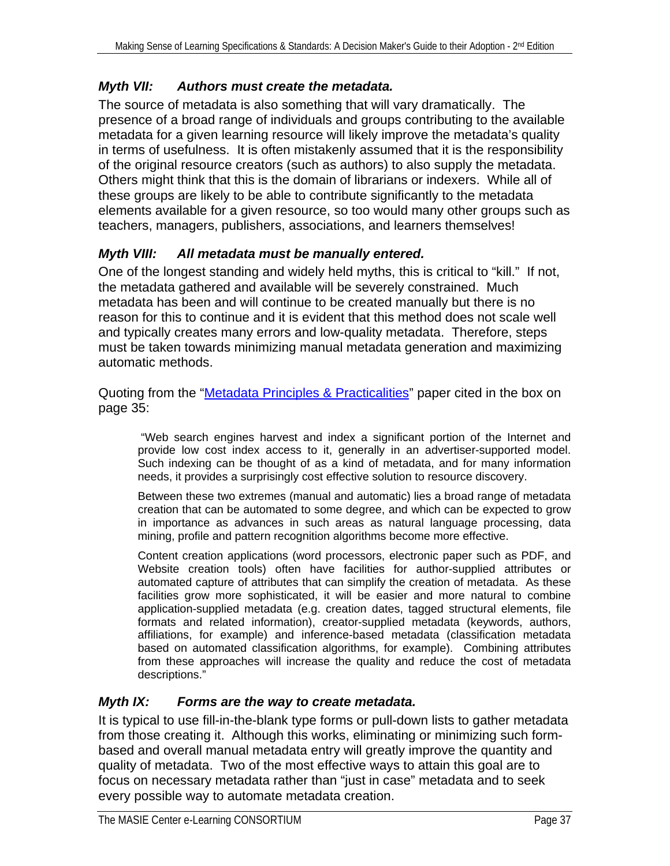# *Myth VII: Authors must create the metadata.*

The source of metadata is also something that will vary dramatically. The presence of a broad range of individuals and groups contributing to the available metadata for a given learning resource will likely improve the metadata's quality in terms of usefulness. It is often mistakenly assumed that it is the responsibility of the original resource creators (such as authors) to also supply the metadata. Others might think that this is the domain of librarians or indexers. While all of these groups are likely to be able to contribute significantly to the metadata elements available for a given resource, so too would many other groups such as teachers, managers, publishers, associations, and learners themselves!

# *Myth VIII: All metadata must be manually entered.*

One of the longest standing and widely held myths, this is critical to "kill." If not, the metadata gathered and available will be severely constrained. Much metadata has been and will continue to be created manually but there is no reason for this to continue and it is evident that this method does not scale well and typically creates many errors and low-quality metadata. Therefore, steps must be taken towards minimizing manual metadata generation and maximizing automatic methods.

Quoting from the "[Metadata Principles & Practicalities](#page-62-0)" paper cited in the box on page 35:

 "Web search engines harvest and index a significant portion of the Internet and provide low cost index access to it, generally in an advertiser-supported model. Such indexing can be thought of as a kind of metadata, and for many information needs, it provides a surprisingly cost effective solution to resource discovery.

Between these two extremes (manual and automatic) lies a broad range of metadata creation that can be automated to some degree, and which can be expected to grow in importance as advances in such areas as natural language processing, data mining, profile and pattern recognition algorithms become more effective.

Content creation applications (word processors, electronic paper such as PDF, and Website creation tools) often have facilities for author-supplied attributes or automated capture of attributes that can simplify the creation of metadata. As these facilities grow more sophisticated, it will be easier and more natural to combine application-supplied metadata (e.g. creation dates, tagged structural elements, file formats and related information), creator-supplied metadata (keywords, authors, affiliations, for example) and inference-based metadata (classification metadata based on automated classification algorithms, for example). Combining attributes from these approaches will increase the quality and reduce the cost of metadata descriptions."

# *Myth IX: Forms are the way to create metadata.*

It is typical to use fill-in-the-blank type forms or pull-down lists to gather metadata from those creating it. Although this works, eliminating or minimizing such formbased and overall manual metadata entry will greatly improve the quantity and quality of metadata. Two of the most effective ways to attain this goal are to focus on necessary metadata rather than "just in case" metadata and to seek every possible way to automate metadata creation.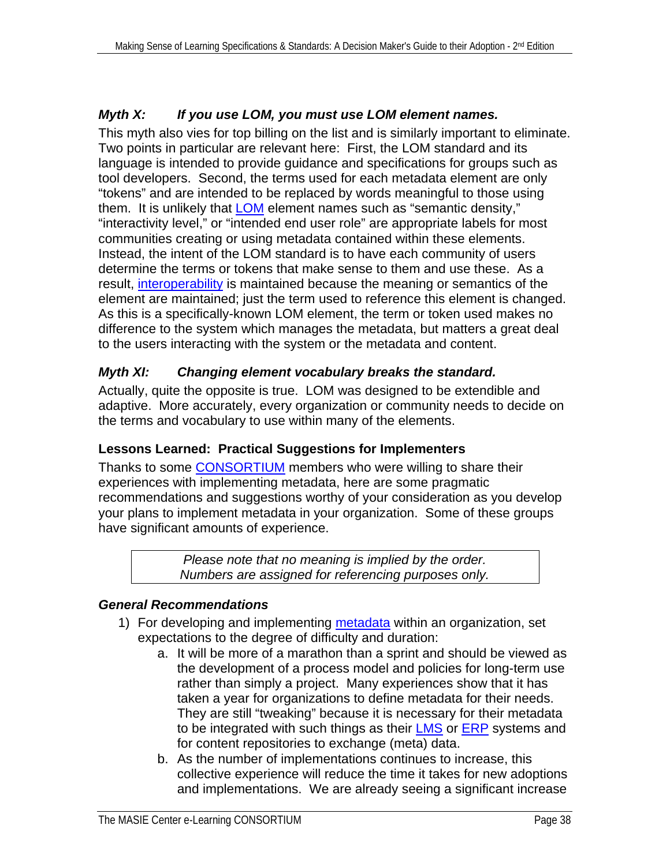# *Myth X: If you use LOM, you must use LOM element names.*

This myth also vies for top billing on the list and is similarly important to eliminate. Two points in particular are relevant here: First, the LOM standard and its language is intended to provide guidance and specifications for groups such as tool developers. Second, the terms used for each metadata element are only "tokens" and are intended to be replaced by words meaningful to those using them. It is unlikely that **LOM** element names such as "semantic density," "interactivity level," or "intended end user role" are appropriate labels for most communities creating or using metadata contained within these elements. Instead, the intent of the LOM standard is to have each community of users determine the terms or tokens that make sense to them and use these. As a result, [interoperability](#page-74-0) is maintained because the meaning or semantics of the element are maintained; just the term used to reference this element is changed. As this is a specifically-known LOM element, the term or token used makes no difference to the system which manages the metadata, but matters a great deal to the users interacting with the system or the metadata and content.

# *Myth XI: Changing element vocabulary breaks the standard.*

Actually, quite the opposite is true. LOM was designed to be extendible and adaptive. More accurately, every organization or community needs to decide on the terms and vocabulary to use within many of the elements.

# **Lessons Learned: Practical Suggestions for Implementers**

Thanks to some **CONSORTIUM** members who were willing to share their experiences with implementing metadata, here are some pragmatic recommendations and suggestions worthy of your consideration as you develop your plans to implement metadata in your organization. Some of these groups have significant amounts of experience.

> *Please note that no meaning is implied by the order. Numbers are assigned for referencing purposes only.*

# *General Recommendations*

- 1) For developing and implementing [metadata](#page-75-0) within an organization, set expectations to the degree of difficulty and duration:
	- a. It will be more of a marathon than a sprint and should be viewed as the development of a process model and policies for long-term use rather than simply a project. Many experiences show that it has taken a year for organizations to define metadata for their needs. They are still "tweaking" because it is necessary for their metadata to be integrated with such things as their [LMS](#page-74-0) or [ERP](#page-73-0) systems and for content repositories to exchange (meta) data.
	- b. As the number of implementations continues to increase, this collective experience will reduce the time it takes for new adoptions and implementations. We are already seeing a significant increase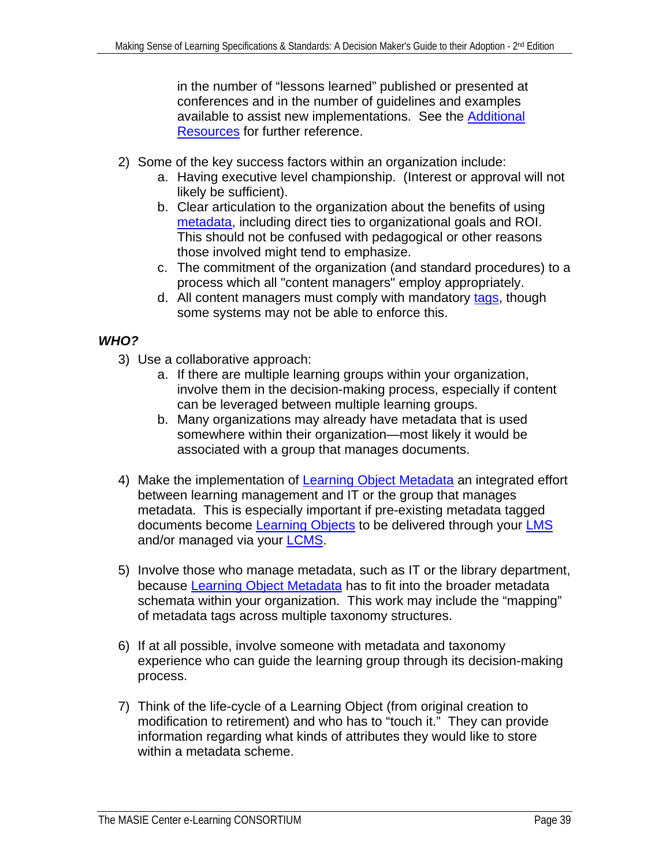in the number of "lessons learned" published or presented at conferences and in the number of guidelines and examples available to assist new implementations. See the [Additional](#page-79-0)  [Resources](#page-79-0) for further reference.

- 2) Some of the key success factors within an organization include:
	- a. Having executive level championship. (Interest or approval will not likely be sufficient).
	- b. Clear articulation to the organization about the benefits of using [metadata](#page-75-0), including direct ties to organizational goals and ROI. This should not be confused with pedagogical or other reasons those involved might tend to emphasize.
	- c. The commitment of the organization (and standard procedures) to a process which all "content managers" employ appropriately.
	- d. All content managers must comply with mandatory [tags](#page-75-0), though some systems may not be able to enforce this.

# *WHO?*

- 3) Use a collaborative approach:
	- a. If there are multiple learning groups within your organization, involve them in the decision-making process, especially if content can be leveraged between multiple learning groups.
	- b. Many organizations may already have metadata that is used somewhere within their organization—most likely it would be associated with a group that manages documents.
- 4) Make the implementation of [Learning Object Metadata](#page-66-0) an integrated effort between learning management and IT or the group that manages metadata. This is especially important if pre-existing metadata tagged documents become [Learning Objects](#page-74-0) to be delivered through your [LMS](#page-74-0) and/or managed via your [LCMS](#page-74-0).
- 5) Involve those who manage metadata, such as IT or the library department, because [Learning Object Metadata](#page-66-0) has to fit into the broader metadata schemata within your organization. This work may include the "mapping" of metadata tags across multiple taxonomy structures.
- 6) If at all possible, involve someone with metadata and taxonomy experience who can guide the learning group through its decision-making process.
- 7) Think of the life-cycle of a Learning Object (from original creation to modification to retirement) and who has to "touch it." They can provide information regarding what kinds of attributes they would like to store within a metadata scheme.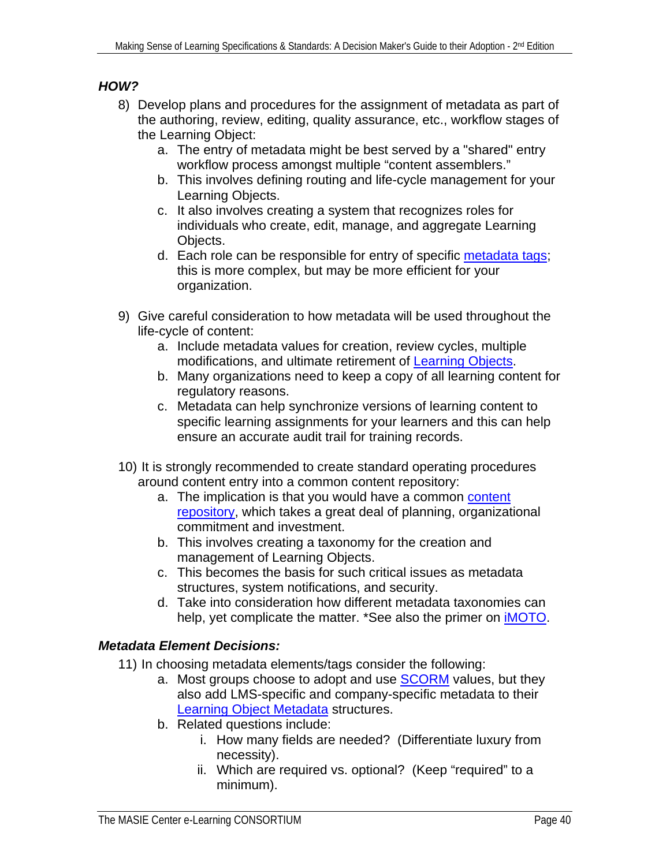# *HOW?*

- 8) Develop plans and procedures for the assignment of metadata as part of the authoring, review, editing, quality assurance, etc., workflow stages of the Learning Object:
	- a. The entry of metadata might be best served by a "shared" entry workflow process amongst multiple "content assemblers."
	- b. This involves defining routing and life-cycle management for your Learning Objects.
	- c. It also involves creating a system that recognizes roles for individuals who create, edit, manage, and aggregate Learning Objects.
	- d. Each role can be responsible for entry of specific [metadata tags](#page-75-0); this is more complex, but may be more efficient for your organization.
- 9) Give careful consideration to how metadata will be used throughout the life-cycle of content:
	- a. Include metadata values for creation, review cycles, multiple modifications, and ultimate retirement of [Learning Objects.](#page-74-0)
	- b. Many organizations need to keep a copy of all learning content for regulatory reasons.
	- c. Metadata can help synchronize versions of learning content to specific learning assignments for your learners and this can help ensure an accurate audit trail for training records.
- 10) It is strongly recommended to create standard operating procedures around content entry into a common content repository:
	- a. The implication is that you would have a common content [repository,](#page-72-0) which takes a great deal of planning, organizational commitment and investment.
	- b. This involves creating a taxonomy for the creation and management of Learning Objects.
	- c. This becomes the basis for such critical issues as metadata structures, system notifications, and security.
	- d. Take into consideration how different metadata taxonomies can help, yet complicate the matter. \*See also the primer on **IMOTO**.

# *Metadata Element Decisions:*

- 11) In choosing metadata elements/tags consider the following:
	- a. Most groups choose to adopt and use **SCORM** values, but they also add LMS-specific and company-specific metadata to their [Learning Object Metadata](#page-66-0) structures.
	- b. Related questions include:
		- i. How many fields are needed? (Differentiate luxury from necessity).
		- ii. Which are required vs. optional? (Keep "required" to a minimum).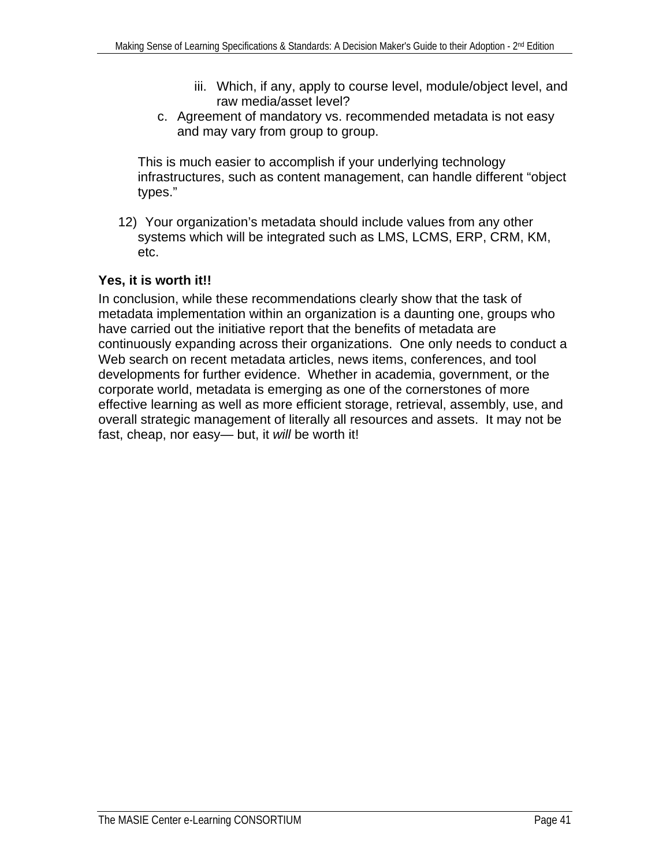- iii. Which, if any, apply to course level, module/object level, and raw media/asset level?
- c. Agreement of mandatory vs. recommended metadata is not easy and may vary from group to group.

This is much easier to accomplish if your underlying technology infrastructures, such as content management, can handle different "object types."

12) Your organization's metadata should include values from any other systems which will be integrated such as LMS, LCMS, ERP, CRM, KM, etc.

# **Yes, it is worth it!!**

In conclusion, while these recommendations clearly show that the task of metadata implementation within an organization is a daunting one, groups who have carried out the initiative report that the benefits of metadata are continuously expanding across their organizations. One only needs to conduct a Web search on recent metadata articles, news items, conferences, and tool developments for further evidence. Whether in academia, government, or the corporate world, metadata is emerging as one of the cornerstones of more effective learning as well as more efficient storage, retrieval, assembly, use, and overall strategic management of literally all resources and assets. It may not be fast, cheap, nor easy— but, it *will* be worth it!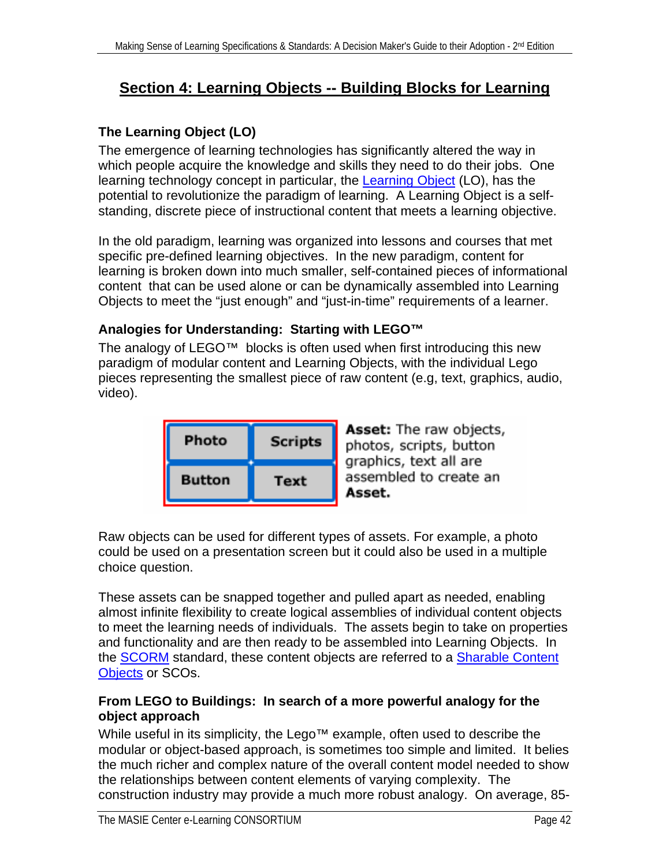# **Section 4: Learning Objects -- Building Blocks for Learning**

# **The Learning Object (LO)**

The emergence of learning technologies has significantly altered the way in which people acquire the knowledge and skills they need to do their jobs. One learning technology concept in particular, the [Learning Object](#page-74-0) (LO), has the potential to revolutionize the paradigm of learning. A Learning Object is a selfstanding, discrete piece of instructional content that meets a learning objective.

In the old paradigm, learning was organized into lessons and courses that met specific pre-defined learning objectives. In the new paradigm, content for learning is broken down into much smaller, self-contained pieces of informational content that can be used alone or can be dynamically assembled into Learning Objects to meet the "just enough" and "just-in-time" requirements of a learner.

# **Analogies for Understanding: Starting with LEGO™**

The analogy of LEGO™ blocks is often used when first introducing this new paradigm of modular content and Learning Objects, with the individual Lego pieces representing the smallest piece of raw content (e.g, text, graphics, audio, video).

| Photo         | <b>Scripts</b> |
|---------------|----------------|
| <b>Button</b> | Text           |

Asset: The raw objects, photos, scripts, button graphics, text all are assembled to create an Asset.

Raw objects can be used for different types of assets. For example, a photo could be used on a presentation screen but it could also be used in a multiple choice question.

These assets can be snapped together and pulled apart as needed, enabling almost infinite flexibility to create logical assemblies of individual content objects to meet the learning needs of individuals. The assets begin to take on properties and functionality and are then ready to be assembled into Learning Objects. In the [SCORM](#page-78-0) standard, these content objects are referred to a [Sharable Content](#page-77-0)  [Objects](#page-77-0) or SCOs.

# **From LEGO to Buildings: In search of a more powerful analogy for the object approach**

While useful in its simplicity, the Lego<sup>™</sup> example, often used to describe the modular or object-based approach, is sometimes too simple and limited. It belies the much richer and complex nature of the overall content model needed to show the relationships between content elements of varying complexity. The construction industry may provide a much more robust analogy. On average, 85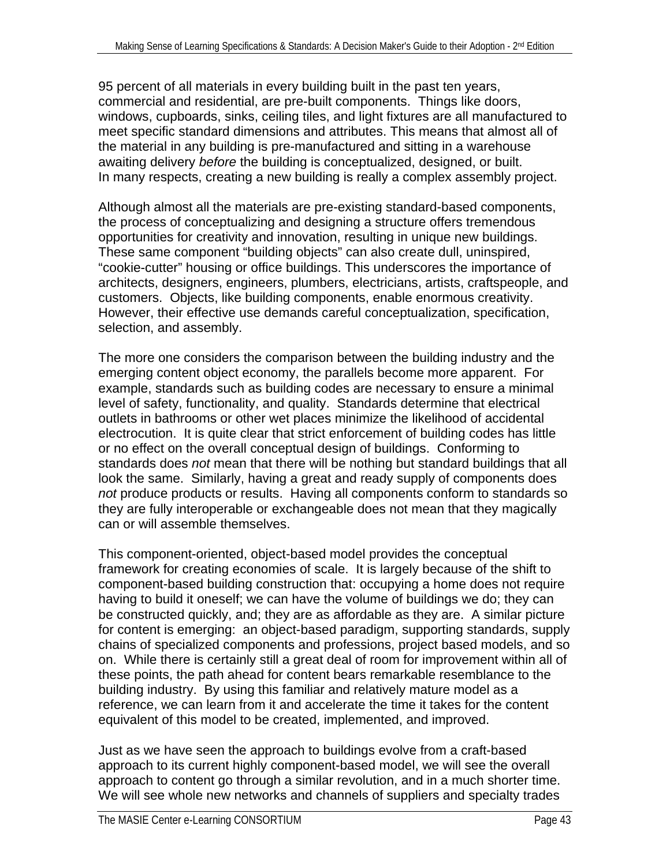95 percent of all materials in every building built in the past ten years, commercial and residential, are pre-built components. Things like doors, windows, cupboards, sinks, ceiling tiles, and light fixtures are all manufactured to meet specific standard dimensions and attributes. This means that almost all of the material in any building is pre-manufactured and sitting in a warehouse awaiting delivery *before* the building is conceptualized, designed, or built. In many respects, creating a new building is really a complex assembly project.

Although almost all the materials are pre-existing standard-based components, the process of conceptualizing and designing a structure offers tremendous opportunities for creativity and innovation, resulting in unique new buildings. These same component "building objects" can also create dull, uninspired, "cookie-cutter" housing or office buildings. This underscores the importance of architects, designers, engineers, plumbers, electricians, artists, craftspeople, and customers. Objects, like building components, enable enormous creativity. However, their effective use demands careful conceptualization, specification, selection, and assembly.

The more one considers the comparison between the building industry and the emerging content object economy, the parallels become more apparent. For example, standards such as building codes are necessary to ensure a minimal level of safety, functionality, and quality. Standards determine that electrical outlets in bathrooms or other wet places minimize the likelihood of accidental electrocution. It is quite clear that strict enforcement of building codes has little or no effect on the overall conceptual design of buildings. Conforming to standards does *not* mean that there will be nothing but standard buildings that all look the same. Similarly, having a great and ready supply of components does *not* produce products or results. Having all components conform to standards so they are fully interoperable or exchangeable does not mean that they magically can or will assemble themselves.

This component-oriented, object-based model provides the conceptual framework for creating economies of scale. It is largely because of the shift to component-based building construction that: occupying a home does not require having to build it oneself; we can have the volume of buildings we do; they can be constructed quickly, and; they are as affordable as they are. A similar picture for content is emerging: an object-based paradigm, supporting standards, supply chains of specialized components and professions, project based models, and so on. While there is certainly still a great deal of room for improvement within all of these points, the path ahead for content bears remarkable resemblance to the building industry. By using this familiar and relatively mature model as a reference, we can learn from it and accelerate the time it takes for the content equivalent of this model to be created, implemented, and improved.

Just as we have seen the approach to buildings evolve from a craft-based approach to its current highly component-based model, we will see the overall approach to content go through a similar revolution, and in a much shorter time. We will see whole new networks and channels of suppliers and specialty trades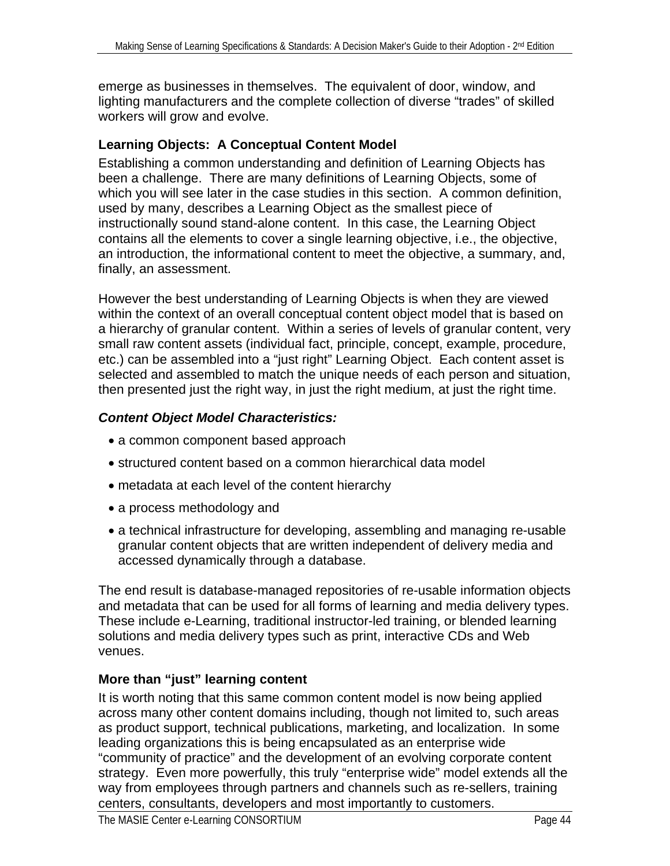emerge as businesses in themselves. The equivalent of door, window, and lighting manufacturers and the complete collection of diverse "trades" of skilled workers will grow and evolve.

# **Learning Objects: A Conceptual Content Model**

Establishing a common understanding and definition of Learning Objects has been a challenge. There are many definitions of Learning Objects, some of which you will see later in the case studies in this section. A common definition, used by many, describes a Learning Object as the smallest piece of instructionally sound stand-alone content. In this case, the Learning Object contains all the elements to cover a single learning objective, i.e., the objective, an introduction, the informational content to meet the objective, a summary, and, finally, an assessment.

However the best understanding of Learning Objects is when they are viewed within the context of an overall conceptual content object model that is based on a hierarchy of granular content. Within a series of levels of granular content, very small raw content assets (individual fact, principle, concept, example, procedure, etc.) can be assembled into a "just right" Learning Object. Each content asset is selected and assembled to match the unique needs of each person and situation, then presented just the right way, in just the right medium, at just the right time.

# *Content Object Model Characteristics:*

- a common component based approach
- structured content based on a common hierarchical data model
- metadata at each level of the content hierarchy
- a process methodology and
- a technical infrastructure for developing, assembling and managing re-usable granular content objects that are written independent of delivery media and accessed dynamically through a database.

The end result is database-managed repositories of re-usable information objects and metadata that can be used for all forms of learning and media delivery types. These include e-Learning, traditional instructor-led training, or blended learning solutions and media delivery types such as print, interactive CDs and Web venues.

# **More than "just" learning content**

It is worth noting that this same common content model is now being applied across many other content domains including, though not limited to, such areas as product support, technical publications, marketing, and localization. In some leading organizations this is being encapsulated as an enterprise wide "community of practice" and the development of an evolving corporate content strategy. Even more powerfully, this truly "enterprise wide" model extends all the way from employees through partners and channels such as re-sellers, training centers, consultants, developers and most importantly to customers.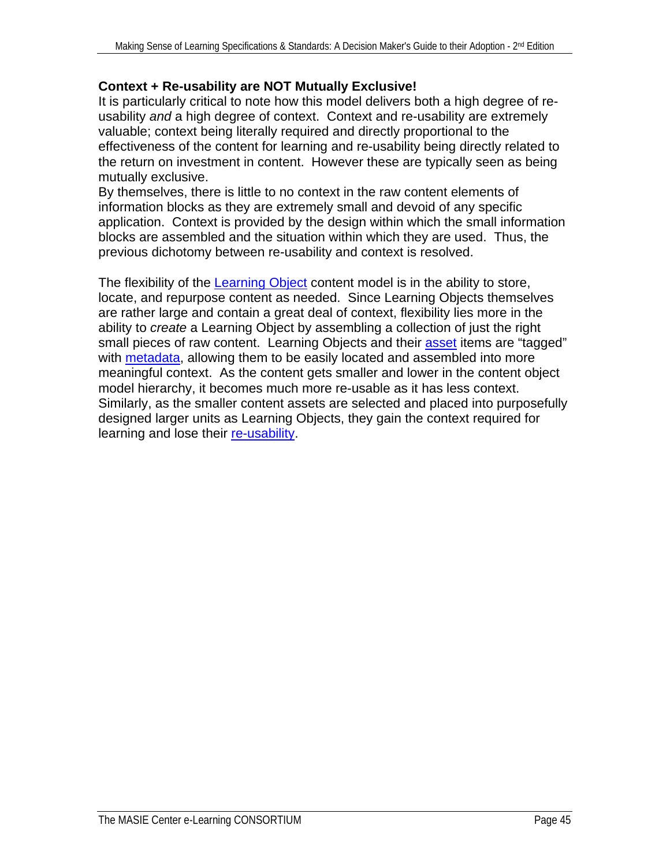## **Context + Re-usability are NOT Mutually Exclusive!**

It is particularly critical to note how this model delivers both a high degree of reusability *and* a high degree of context. Context and re-usability are extremely valuable; context being literally required and directly proportional to the effectiveness of the content for learning and re-usability being directly related to the return on investment in content. However these are typically seen as being mutually exclusive.

By themselves, there is little to no context in the raw content elements of information blocks as they are extremely small and devoid of any specific application. Context is provided by the design within which the small information blocks are assembled and the situation within which they are used. Thus, the previous dichotomy between re-usability and context is resolved.

The flexibility of the [Learning Object](#page-74-0) content model is in the ability to store, locate, and repurpose content as needed. Since Learning Objects themselves are rather large and contain a great deal of context, flexibility lies more in the ability to *create* a Learning Object by assembling a collection of just the right small pieces of raw content. Learning Objects and their [asset](#page-70-0) items are "tagged" with [metadata,](#page-75-0) allowing them to be easily located and assembled into more meaningful context. As the content gets smaller and lower in the content object model hierarchy, it becomes much more re-usable as it has less context. Similarly, as the smaller content assets are selected and placed into purposefully designed larger units as Learning Objects, they gain the context required for learning and lose their [re-usability](#page-77-0).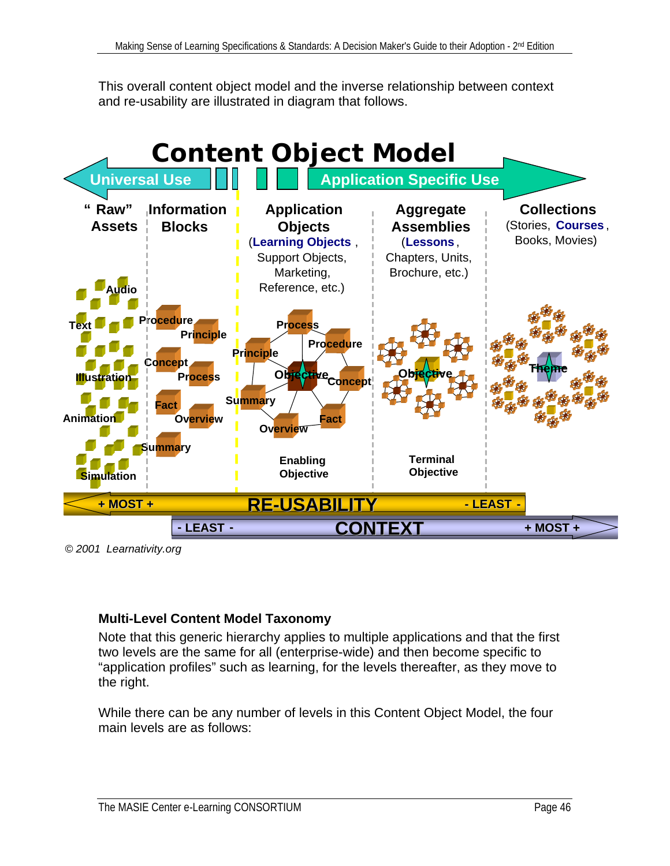This overall content object model and the inverse relationship between context and re-usability are illustrated in diagram that follows.



*© 2001 Learnativity.org*

# **Multi-Level Content Model Taxonomy**

Note that this generic hierarchy applies to multiple applications and that the first two levels are the same for all (enterprise-wide) and then become specific to "application profiles" such as learning, for the levels thereafter, as they move to the right.

While there can be any number of levels in this Content Object Model, the four main levels are as follows: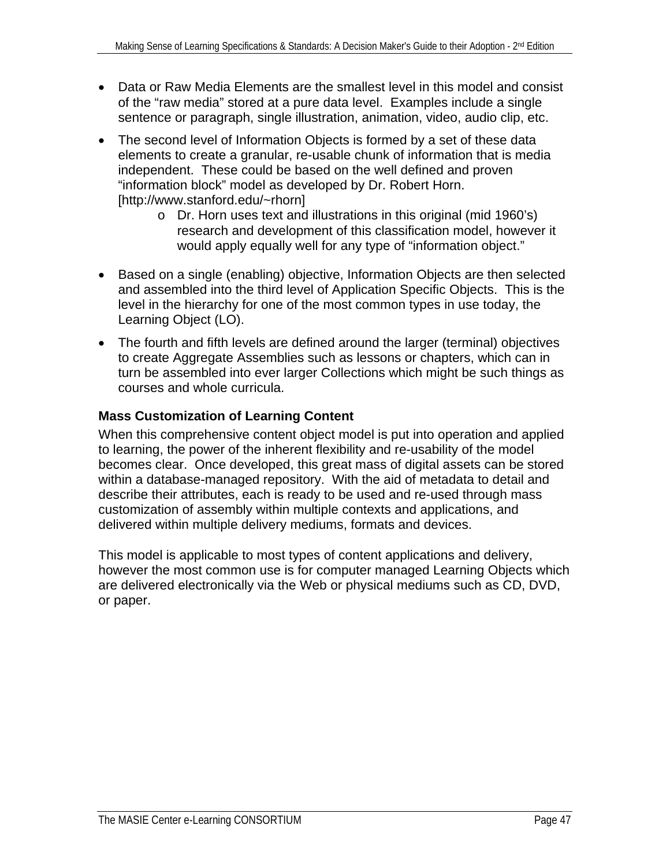- Data or Raw Media Elements are the smallest level in this model and consist of the "raw media" stored at a pure data level. Examples include a single sentence or paragraph, single illustration, animation, video, audio clip, etc.
- The second level of Information Objects is formed by a set of these data elements to create a granular, re-usable chunk of information that is media independent. These could be based on the well defined and proven "information block" model as developed by Dr. Robert Horn. [http://www.stanford.edu/~rhorn]
	- o Dr. Horn uses text and illustrations in this original (mid 1960's) research and development of this classification model, however it would apply equally well for any type of "information object."
- Based on a single (enabling) objective, Information Objects are then selected and assembled into the third level of Application Specific Objects. This is the level in the hierarchy for one of the most common types in use today, the Learning Object (LO).
- The fourth and fifth levels are defined around the larger (terminal) objectives to create Aggregate Assemblies such as lessons or chapters, which can in turn be assembled into ever larger Collections which might be such things as courses and whole curricula.

# **Mass Customization of Learning Content**

When this comprehensive content object model is put into operation and applied to learning, the power of the inherent flexibility and re-usability of the model becomes clear. Once developed, this great mass of digital assets can be stored within a database-managed repository. With the aid of metadata to detail and describe their attributes, each is ready to be used and re-used through mass customization of assembly within multiple contexts and applications, and delivered within multiple delivery mediums, formats and devices.

This model is applicable to most types of content applications and delivery, however the most common use is for computer managed Learning Objects which are delivered electronically via the Web or physical mediums such as CD, DVD, or paper.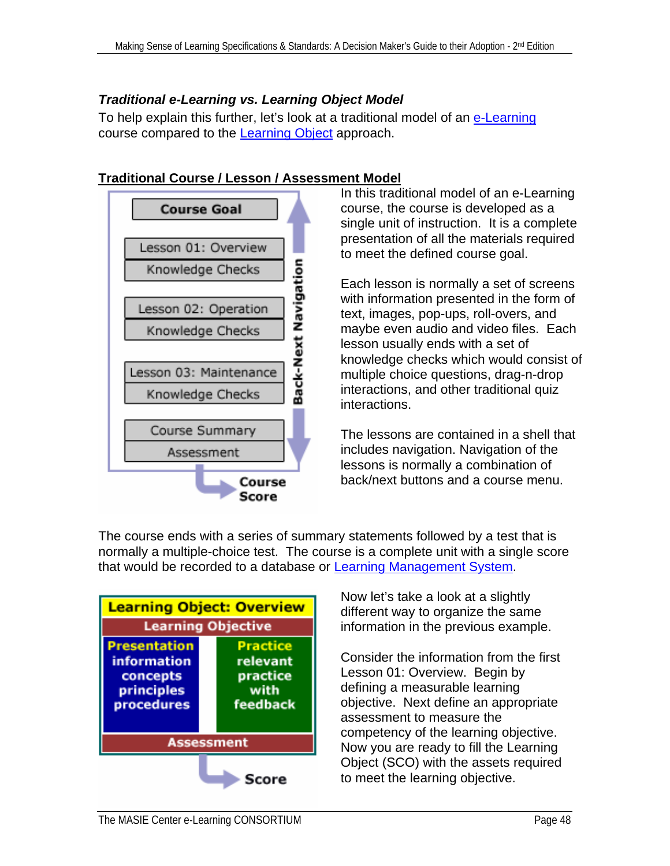# *Traditional e-Learning vs. Learning Object Model*

To help explain this further, let's look at a traditional model of an [e-Learning](#page-72-0) course compared to the [Learning Object](#page-74-0) approach.



In this traditional model of an e-Learning course, the course is developed as a single unit of instruction. It is a complete presentation of all the materials required to meet the defined course goal.

Each lesson is normally a set of screens with information presented in the form of text, images, pop-ups, roll-overs, and maybe even audio and video files. Each lesson usually ends with a set of knowledge checks which would consist of multiple choice questions, drag-n-drop interactions, and other traditional quiz interactions.

The lessons are contained in a shell that includes navigation. Navigation of the lessons is normally a combination of back/next buttons and a course menu.





Now let's take a look at a slightly different way to organize the same information in the previous example.

Consider the information from the first Lesson 01: Overview. Begin by defining a measurable learning objective. Next define an appropriate assessment to measure the competency of the learning objective. Now you are ready to fill the Learning Object (SCO) with the assets required to meet the learning objective.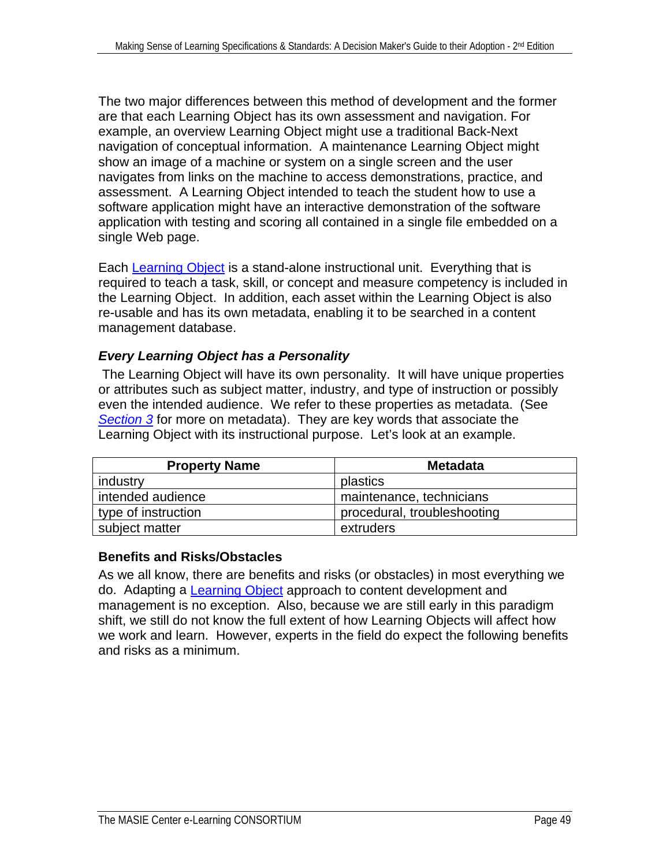The two major differences between this method of development and the former are that each Learning Object has its own assessment and navigation. For example, an overview Learning Object might use a traditional Back-Next navigation of conceptual information. A maintenance Learning Object might show an image of a machine or system on a single screen and the user navigates from links on the machine to access demonstrations, practice, and assessment. A Learning Object intended to teach the student how to use a software application might have an interactive demonstration of the software application with testing and scoring all contained in a single file embedded on a single Web page.

Each [Learning Object](#page-74-0) is a stand-alone instructional unit. Everything that is required to teach a task, skill, or concept and measure competency is included in the Learning Object. In addition, each asset within the Learning Object is also re-usable and has its own metadata, enabling it to be searched in a content management database.

# *Every Learning Object has a Personality*

 The Learning Object will have its own personality. It will have unique properties or attributes such as subject matter, industry, and type of instruction or possibly even the intended audience. We refer to these properties as metadata. (See *[Section 3](#page-29-0)* for more on metadata). They are key words that associate the Learning Object with its instructional purpose. Let's look at an example.

| <b>Property Name</b> | <b>Metadata</b>             |
|----------------------|-----------------------------|
| industry             | plastics                    |
| intended audience    | maintenance, technicians    |
| type of instruction  | procedural, troubleshooting |
| subject matter       | extruders                   |

# **Benefits and Risks/Obstacles**

As we all know, there are benefits and risks (or obstacles) in most everything we do. Adapting a [Learning Object](#page-74-0) approach to content development and management is no exception. Also, because we are still early in this paradigm shift, we still do not know the full extent of how Learning Objects will affect how we work and learn. However, experts in the field do expect the following benefits and risks as a minimum.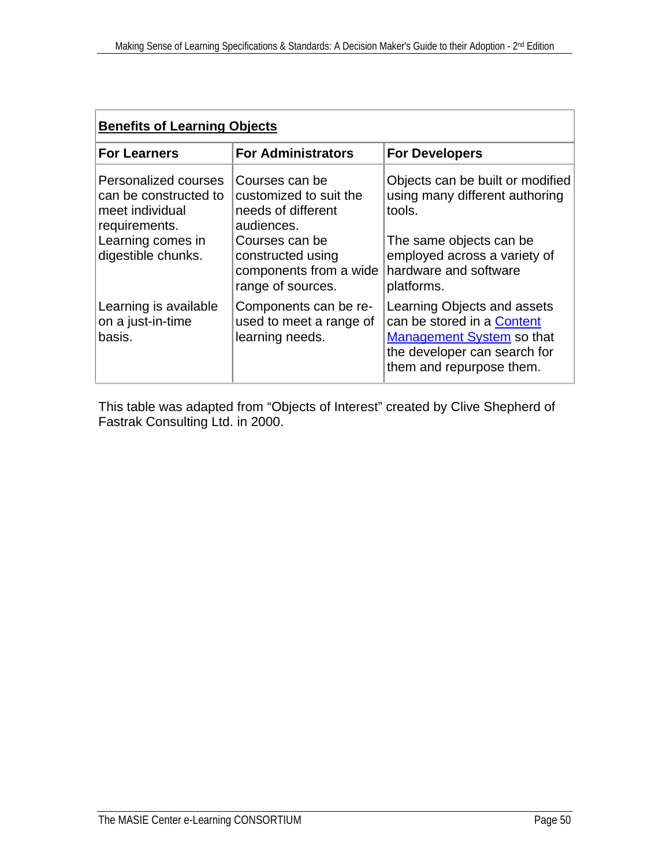| <b>Benefits of Learning Objects</b>                                                                                          |                                                                                                                                               |                                                                                                                                                                  |  |  |
|------------------------------------------------------------------------------------------------------------------------------|-----------------------------------------------------------------------------------------------------------------------------------------------|------------------------------------------------------------------------------------------------------------------------------------------------------------------|--|--|
| <b>For Learners</b>                                                                                                          | <b>For Administrators</b>                                                                                                                     | <b>For Developers</b>                                                                                                                                            |  |  |
| Personalized courses<br>can be constructed to<br>meet individual<br>requirements.<br>Learning comes in<br>digestible chunks. | Courses can be<br>customized to suit the<br>needs of different<br>audiences.<br>Courses can be<br>constructed using<br>components from a wide | Objects can be built or modified<br>using many different authoring<br>tools.<br>The same objects can be<br>employed across a variety of<br>hardware and software |  |  |
|                                                                                                                              | range of sources.                                                                                                                             | platforms.                                                                                                                                                       |  |  |
| Learning is available<br>on a just-in-time<br>basis.                                                                         | Components can be re-<br>used to meet a range of<br>learning needs.                                                                           | Learning Objects and assets<br>can be stored in a Content<br>Management System so that<br>the developer can search for<br>them and repurpose them.               |  |  |

This table was adapted from "Objects of Interest" created by Clive Shepherd of Fastrak Consulting Ltd. in 2000.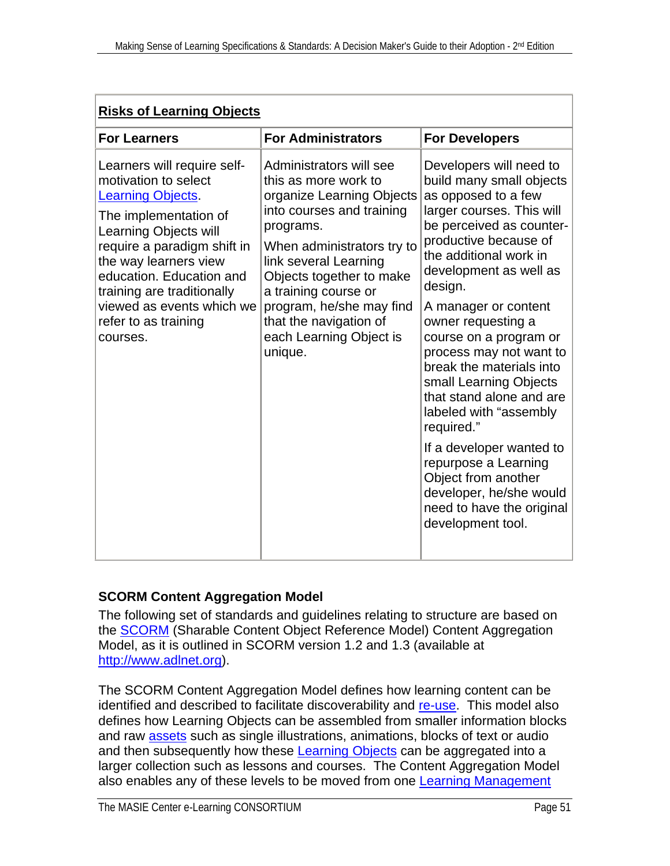| <b>For Administrators</b><br><b>For Developers</b><br><b>For Learners</b><br>Administrators will see<br>Developers will need to<br>Learners will require self-<br>motivation to select<br>this as more work to<br>as opposed to a few<br>organize Learning Objects<br><b>Learning Objects</b><br>into courses and training<br>The implementation of<br>programs.<br>Learning Objects will<br>productive because of<br>require a paradigm shift in<br>When administrators try to<br>the additional work in<br>link several Learning<br>the way learners view<br>education. Education and<br>Objects together to make<br>design.<br>training are traditionally<br>a training course or<br>program, he/she may find<br>viewed as events which we<br>A manager or content<br>that the navigation of<br>refer to as training<br>owner requesting a<br>each Learning Object is<br>courses.<br>unique. | <b>Risks of Learning Objects</b> |  |                                                                                                                                                                                                                                                                                                              |  |  |  |  |
|-------------------------------------------------------------------------------------------------------------------------------------------------------------------------------------------------------------------------------------------------------------------------------------------------------------------------------------------------------------------------------------------------------------------------------------------------------------------------------------------------------------------------------------------------------------------------------------------------------------------------------------------------------------------------------------------------------------------------------------------------------------------------------------------------------------------------------------------------------------------------------------------------|----------------------------------|--|--------------------------------------------------------------------------------------------------------------------------------------------------------------------------------------------------------------------------------------------------------------------------------------------------------------|--|--|--|--|
|                                                                                                                                                                                                                                                                                                                                                                                                                                                                                                                                                                                                                                                                                                                                                                                                                                                                                                 |                                  |  |                                                                                                                                                                                                                                                                                                              |  |  |  |  |
| small Learning Objects<br>labeled with "assembly<br>required."<br>repurpose a Learning<br>Object from another<br>development tool.                                                                                                                                                                                                                                                                                                                                                                                                                                                                                                                                                                                                                                                                                                                                                              |                                  |  | build many small objects<br>larger courses. This will<br>be perceived as counter-<br>development as well as<br>course on a program or<br>process may not want to<br>break the materials into<br>that stand alone and are<br>If a developer wanted to<br>developer, he/she would<br>need to have the original |  |  |  |  |

# **SCORM Content Aggregation Model**

The following set of standards and guidelines relating to structure are based on the [SCORM](#page-78-0) (Sharable Content Object Reference Model) Content Aggregation Model, as it is outlined in SCORM version 1.2 and 1.3 (available at [http://www.adlnet.org\)](http://www.adlnet.org/).

The SCORM Content Aggregation Model defines how learning content can be identified and described to facilitate discoverability and [re-use.](#page-77-0) This model also defines how Learning Objects can be assembled from smaller information blocks and raw [assets](#page-70-0) such as single illustrations, animations, blocks of text or audio and then subsequently how these [Learning Objects](#page-74-0) can be aggregated into a larger collection such as lessons and courses. The Content Aggregation Model also enables any of these levels to be moved from one **Learning Management**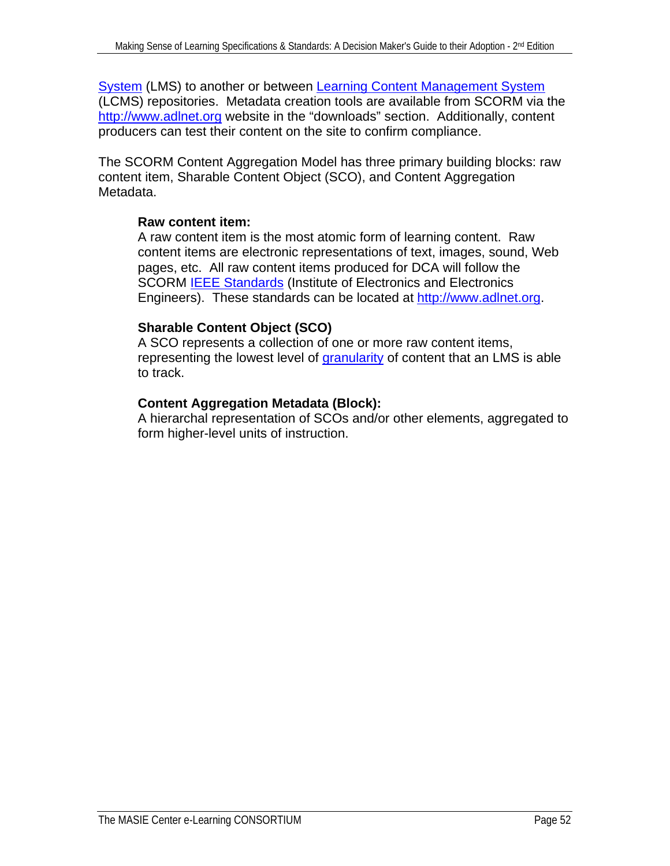[System](#page-74-0) (LMS) to another or between **Learning Content Management System** (LCMS) repositories. Metadata creation tools are available from SCORM via the [http://www.adlnet.org](http://www.adnet.org/) website in the "downloads" section. Additionally, content producers can test their content on the site to confirm compliance.

The SCORM Content Aggregation Model has three primary building blocks: raw content item, Sharable Content Object (SCO), and Content Aggregation Metadata.

# **Raw content item:**

A raw content item is the most atomic form of learning content. Raw content items are electronic representations of text, images, sound, Web pages, etc. All raw content items produced for DCA will follow the SCORM **[IEEE Standards](#page-65-0)** (Institute of Electronics and Electronics Engineers). These standards can be located at [http://www.adlnet.org](http://www.adnet.org/).

# **Sharable Content Object (SCO)**

A SCO represents a collection of one or more raw content items, representing the lowest level of [granularity](#page-73-0) of content that an LMS is able to track.

# **Content Aggregation Metadata (Block):**

A hierarchal representation of SCOs and/or other elements, aggregated to form higher-level units of instruction.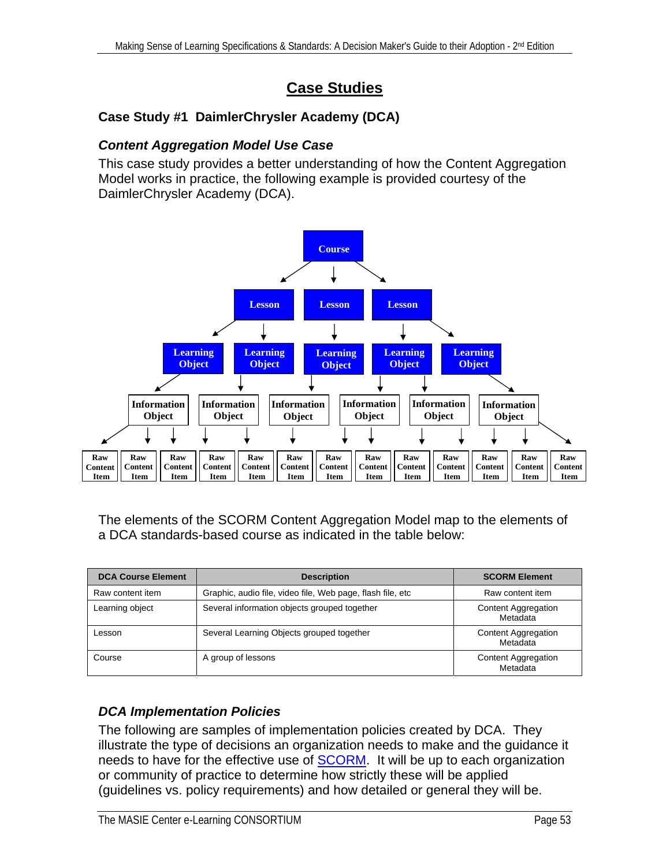# **Case Studies**

# **Case Study #1 DaimlerChrysler Academy (DCA)**

#### *Content Aggregation Model Use Case*

This case study provides a better understanding of how the Content Aggregation Model works in practice, the following example is provided courtesy of the DaimlerChrysler Academy (DCA).



The elements of the SCORM Content Aggregation Model map to the elements of a DCA standards-based course as indicated in the table below:

| <b>DCA Course Element</b> | <b>Description</b>                                          | <b>SCORM Element</b>                   |
|---------------------------|-------------------------------------------------------------|----------------------------------------|
| Raw content item          | Graphic, audio file, video file, Web page, flash file, etc. | Raw content item                       |
| Learning object           | Several information objects grouped together                | <b>Content Aggregation</b><br>Metadata |
| Lesson                    | Several Learning Objects grouped together                   | <b>Content Aggregation</b><br>Metadata |
| Course                    | A group of lessons                                          | <b>Content Aggregation</b><br>Metadata |

# *DCA Implementation Policies*

The following are samples of implementation policies created by DCA. They illustrate the type of decisions an organization needs to make and the guidance it needs to have for the effective use of **SCORM**. It will be up to each organization or community of practice to determine how strictly these will be applied (guidelines vs. policy requirements) and how detailed or general they will be.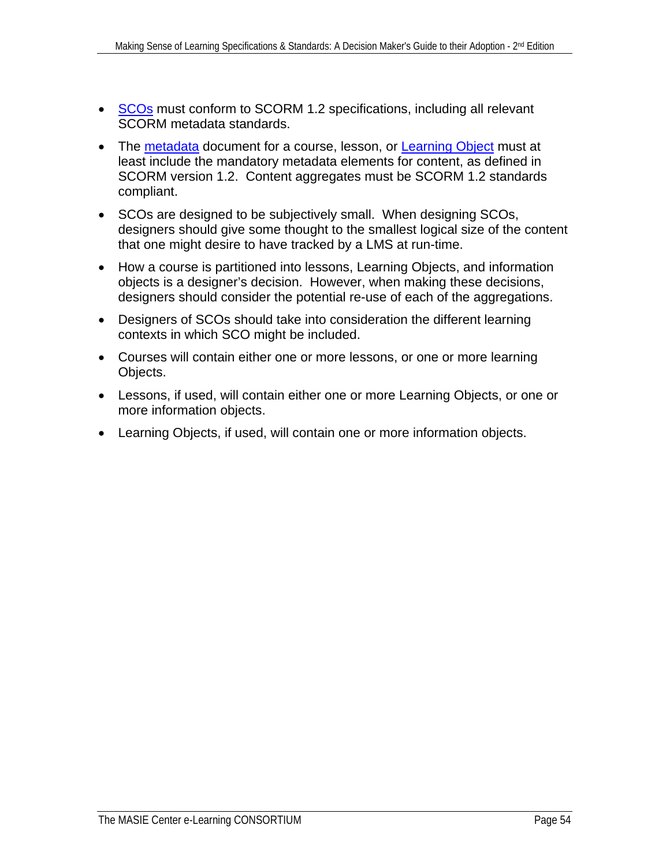- [SCOs](#page-77-0) must conform to SCORM 1.2 specifications, including all relevant SCORM metadata standards.
- The [metadata](#page-75-0) document for a course, lesson, or [Learning Object](#page-74-0) must at least include the mandatory metadata elements for content, as defined in SCORM version 1.2. Content aggregates must be SCORM 1.2 standards compliant.
- SCOs are designed to be subjectively small. When designing SCOs, designers should give some thought to the smallest logical size of the content that one might desire to have tracked by a LMS at run-time.
- How a course is partitioned into lessons, Learning Objects, and information objects is a designer's decision. However, when making these decisions, designers should consider the potential re-use of each of the aggregations.
- Designers of SCOs should take into consideration the different learning contexts in which SCO might be included.
- Courses will contain either one or more lessons, or one or more learning Objects.
- Lessons, if used, will contain either one or more Learning Objects, or one or more information objects.
- Learning Objects, if used, will contain one or more information objects.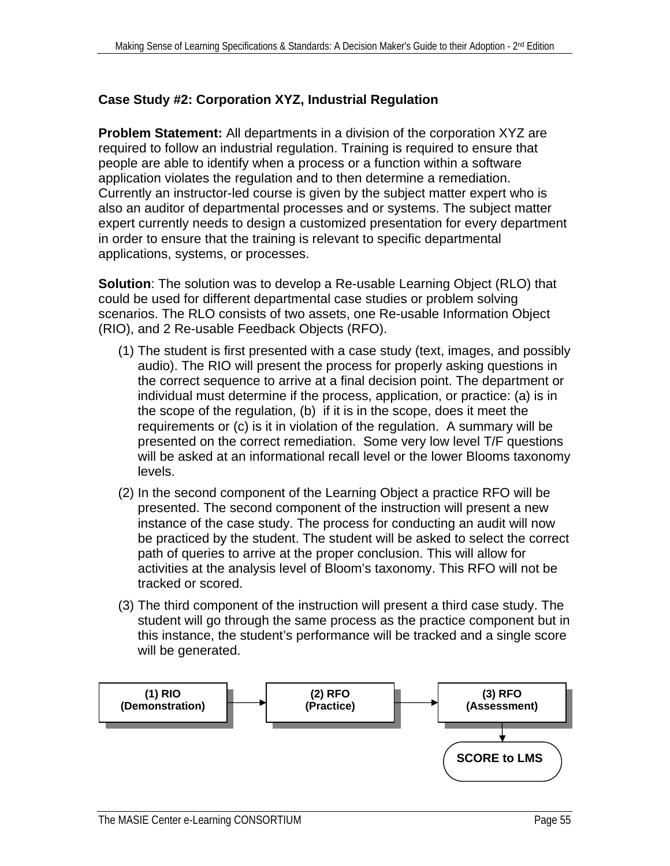# **Case Study #2: Corporation XYZ, Industrial Regulation**

**Problem Statement:** All departments in a division of the corporation XYZ are required to follow an industrial regulation. Training is required to ensure that people are able to identify when a process or a function within a software application violates the regulation and to then determine a remediation. Currently an instructor-led course is given by the subject matter expert who is also an auditor of departmental processes and or systems. The subject matter expert currently needs to design a customized presentation for every department in order to ensure that the training is relevant to specific departmental applications, systems, or processes.

**Solution**: The solution was to develop a Re-usable Learning Object (RLO) that could be used for different departmental case studies or problem solving scenarios. The RLO consists of two assets, one Re-usable Information Object (RIO), and 2 Re-usable Feedback Objects (RFO).

- (1) The student is first presented with a case study (text, images, and possibly audio). The RIO will present the process for properly asking questions in the correct sequence to arrive at a final decision point. The department or individual must determine if the process, application, or practice: (a) is in the scope of the regulation, (b) if it is in the scope, does it meet the requirements or (c) is it in violation of the regulation. A summary will be presented on the correct remediation. Some very low level T/F questions will be asked at an informational recall level or the lower Blooms taxonomy levels.
- (2) In the second component of the Learning Object a practice RFO will be presented. The second component of the instruction will present a new instance of the case study. The process for conducting an audit will now be practiced by the student. The student will be asked to select the correct path of queries to arrive at the proper conclusion. This will allow for activities at the analysis level of Bloom's taxonomy. This RFO will not be tracked or scored.
- (3) The third component of the instruction will present a third case study. The student will go through the same process as the practice component but in this instance, the student's performance will be tracked and a single score will be generated.

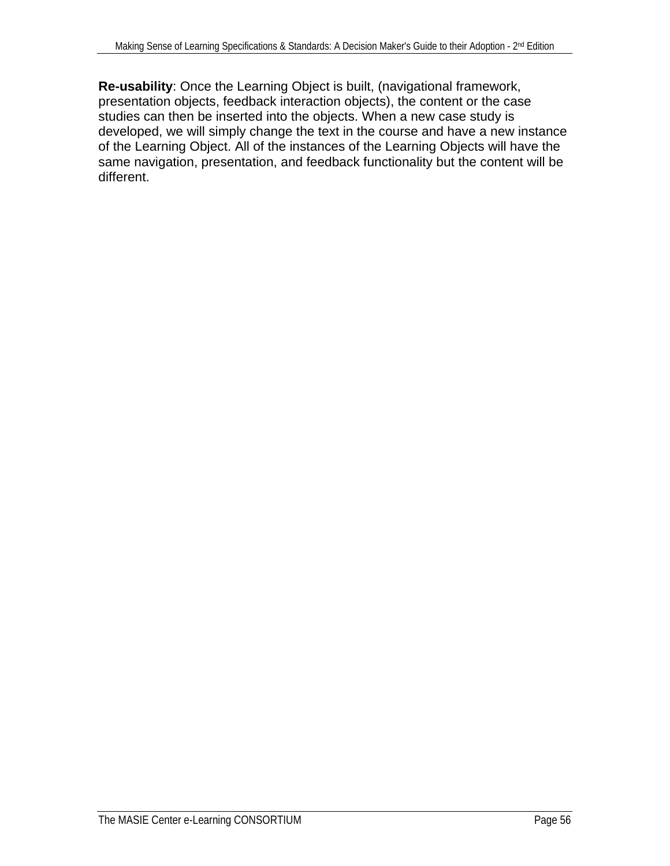**Re-usability**: Once the Learning Object is built, (navigational framework, presentation objects, feedback interaction objects), the content or the case studies can then be inserted into the objects. When a new case study is developed, we will simply change the text in the course and have a new instance of the Learning Object. All of the instances of the Learning Objects will have the same navigation, presentation, and feedback functionality but the content will be different.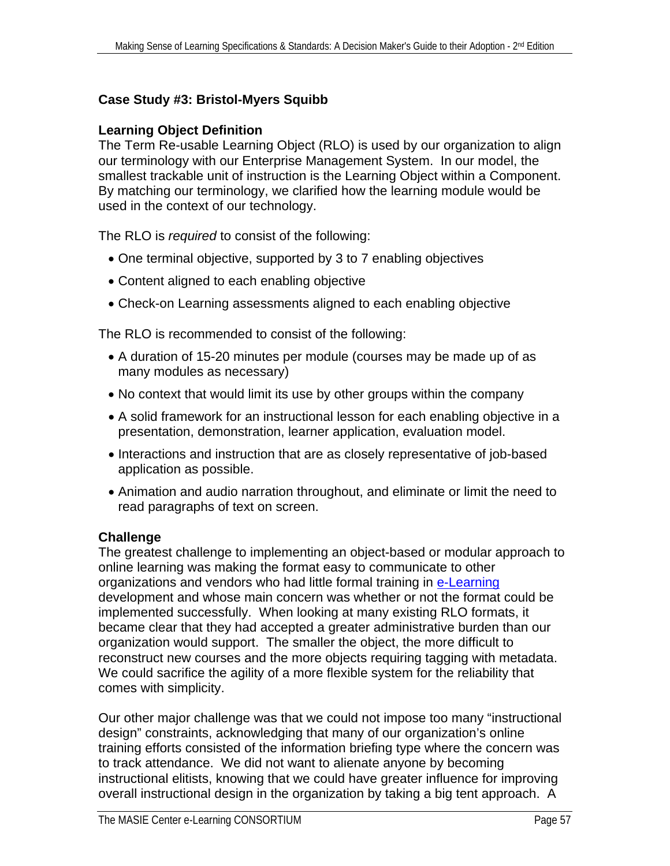# **Case Study #3: Bristol-Myers Squibb**

### **Learning Object Definition**

The Term Re-usable Learning Object (RLO) is used by our organization to align our terminology with our Enterprise Management System. In our model, the smallest trackable unit of instruction is the Learning Object within a Component. By matching our terminology, we clarified how the learning module would be used in the context of our technology.

The RLO is *required* to consist of the following:

- One terminal objective, supported by 3 to 7 enabling objectives
- Content aligned to each enabling objective
- Check-on Learning assessments aligned to each enabling objective

The RLO is recommended to consist of the following:

- A duration of 15-20 minutes per module (courses may be made up of as many modules as necessary)
- No context that would limit its use by other groups within the company
- A solid framework for an instructional lesson for each enabling objective in a presentation, demonstration, learner application, evaluation model.
- Interactions and instruction that are as closely representative of job-based application as possible.
- Animation and audio narration throughout, and eliminate or limit the need to read paragraphs of text on screen.

# **Challenge**

The greatest challenge to implementing an object-based or modular approach to online learning was making the format easy to communicate to other organizations and vendors who had little formal training in [e-Learning](#page-72-0) development and whose main concern was whether or not the format could be implemented successfully. When looking at many existing RLO formats, it became clear that they had accepted a greater administrative burden than our organization would support. The smaller the object, the more difficult to reconstruct new courses and the more objects requiring tagging with metadata. We could sacrifice the agility of a more flexible system for the reliability that comes with simplicity.

Our other major challenge was that we could not impose too many "instructional design" constraints, acknowledging that many of our organization's online training efforts consisted of the information briefing type where the concern was to track attendance. We did not want to alienate anyone by becoming instructional elitists, knowing that we could have greater influence for improving overall instructional design in the organization by taking a big tent approach. A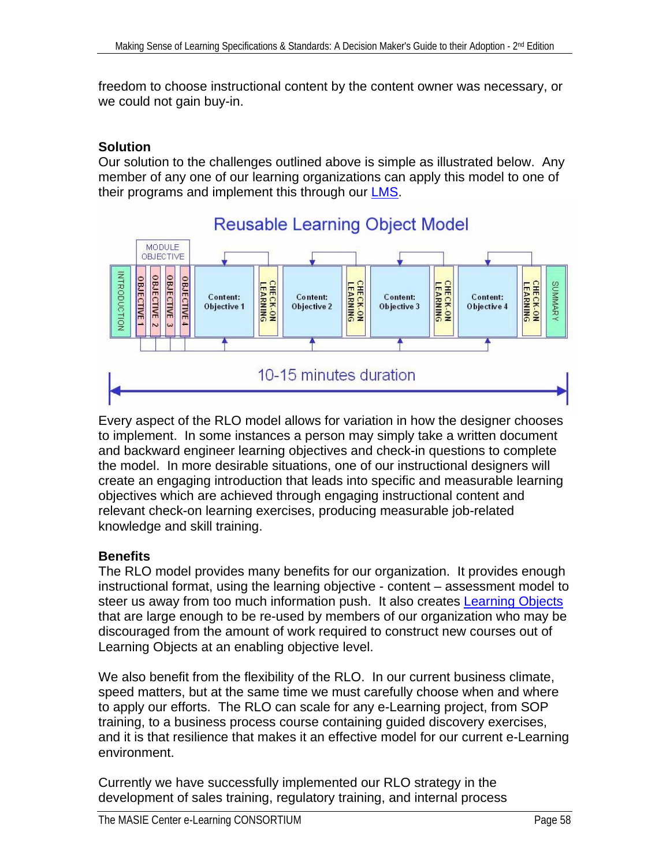freedom to choose instructional content by the content owner was necessary, or we could not gain buy-in.

# **Solution**

Our solution to the challenges outlined above is simple as illustrated below. Any member of any one of our learning organizations can apply this model to one of their programs and implement this through our [LMS](#page-74-0).



# **Reusable Learning Object Model**

Every aspect of the RLO model allows for variation in how the designer chooses to implement. In some instances a person may simply take a written document and backward engineer learning objectives and check-in questions to complete the model. In more desirable situations, one of our instructional designers will create an engaging introduction that leads into specific and measurable learning objectives which are achieved through engaging instructional content and relevant check-on learning exercises, producing measurable job-related knowledge and skill training.

# **Benefits**

The RLO model provides many benefits for our organization. It provides enough instructional format, using the learning objective - content – assessment model to steer us away from too much information push. It also creates [Learning Objects](#page-74-0) that are large enough to be re-used by members of our organization who may be discouraged from the amount of work required to construct new courses out of Learning Objects at an enabling objective level.

We also benefit from the flexibility of the RLO. In our current business climate, speed matters, but at the same time we must carefully choose when and where to apply our efforts. The RLO can scale for any e-Learning project, from SOP training, to a business process course containing guided discovery exercises, and it is that resilience that makes it an effective model for our current e-Learning environment.

Currently we have successfully implemented our RLO strategy in the development of sales training, regulatory training, and internal process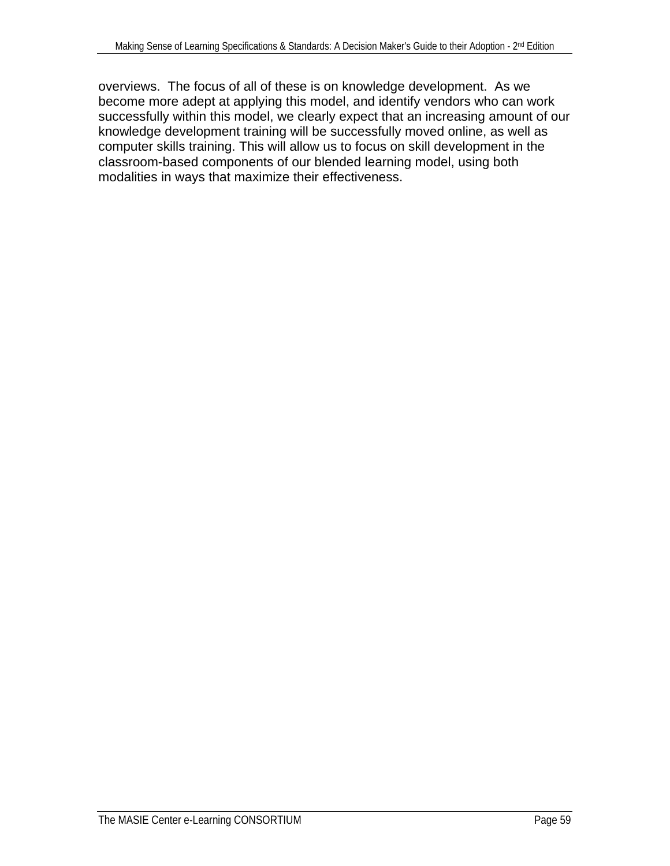overviews. The focus of all of these is on knowledge development. As we become more adept at applying this model, and identify vendors who can work successfully within this model, we clearly expect that an increasing amount of our knowledge development training will be successfully moved online, as well as computer skills training. This will allow us to focus on skill development in the classroom-based components of our blended learning model, using both modalities in ways that maximize their effectiveness.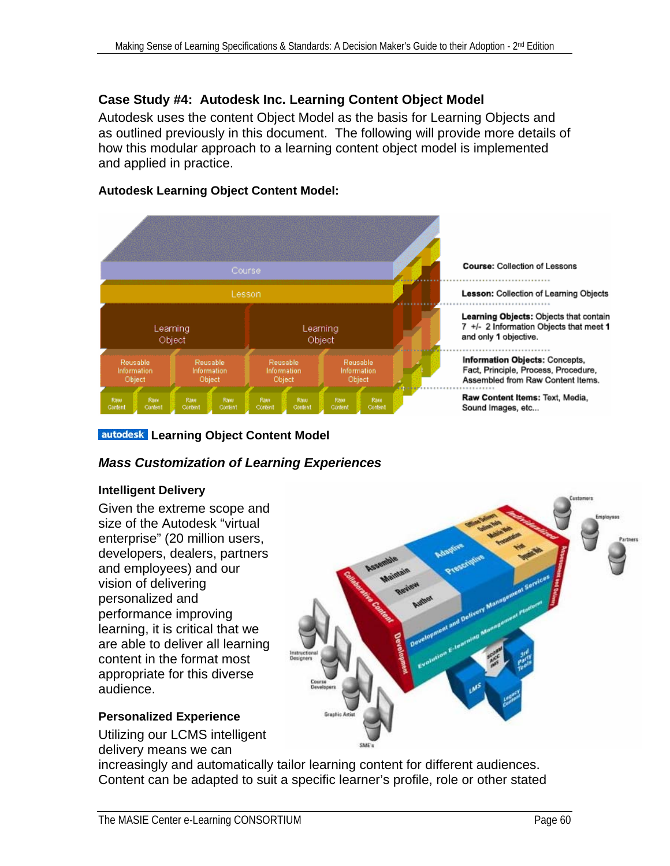# **Case Study #4: Autodesk Inc. Learning Content Object Model**

Autodesk uses the content Object Model as the basis for Learning Objects and as outlined previously in this document. The following will provide more details of how this modular approach to a learning content object model is implemented and applied in practice.

#### **Autodesk Learning Object Content Model:**



#### **autodesk Learning Object Content Model**

#### *Mass Customization of Learning Experiences*

#### **Intelligent Delivery**

Given the extreme scope and size of the Autodesk "virtual enterprise" (20 million users, developers, dealers, partners and employees) and our vision of delivering personalized and performance improving learning, it is critical that we are able to deliver all learning content in the format most appropriate for this diverse audience.

#### **Personalized Experience**

Utilizing our LCMS intelligent delivery means we can



increasingly and automatically tailor learning content for different audiences. Content can be adapted to suit a specific learner's profile, role or other stated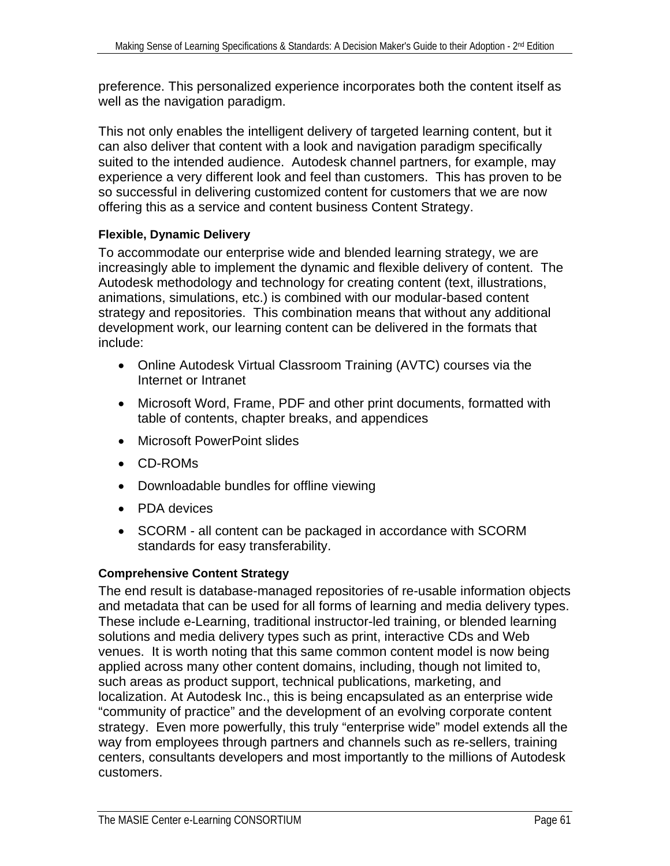preference. This personalized experience incorporates both the content itself as well as the navigation paradigm.

This not only enables the intelligent delivery of targeted learning content, but it can also deliver that content with a look and navigation paradigm specifically suited to the intended audience. Autodesk channel partners, for example, may experience a very different look and feel than customers. This has proven to be so successful in delivering customized content for customers that we are now offering this as a service and content business Content Strategy.

# **Flexible, Dynamic Delivery**

To accommodate our enterprise wide and blended learning strategy, we are increasingly able to implement the dynamic and flexible delivery of content. The Autodesk methodology and technology for creating content (text, illustrations, animations, simulations, etc.) is combined with our modular-based content strategy and repositories. This combination means that without any additional development work, our learning content can be delivered in the formats that include:

- Online Autodesk Virtual Classroom Training (AVTC) courses via the Internet or Intranet
- Microsoft Word, Frame, PDF and other print documents, formatted with table of contents, chapter breaks, and appendices
- Microsoft PowerPoint slides
- CD-ROMs
- Downloadable bundles for offline viewing
- PDA devices
- SCORM all content can be packaged in accordance with SCORM standards for easy transferability.

# **Comprehensive Content Strategy**

The end result is database-managed repositories of re-usable information objects and metadata that can be used for all forms of learning and media delivery types. These include e-Learning, traditional instructor-led training, or blended learning solutions and media delivery types such as print, interactive CDs and Web venues. It is worth noting that this same common content model is now being applied across many other content domains, including, though not limited to, such areas as product support, technical publications, marketing, and localization. At Autodesk Inc., this is being encapsulated as an enterprise wide "community of practice" and the development of an evolving corporate content strategy. Even more powerfully, this truly "enterprise wide" model extends all the way from employees through partners and channels such as re-sellers, training centers, consultants developers and most importantly to the millions of Autodesk customers.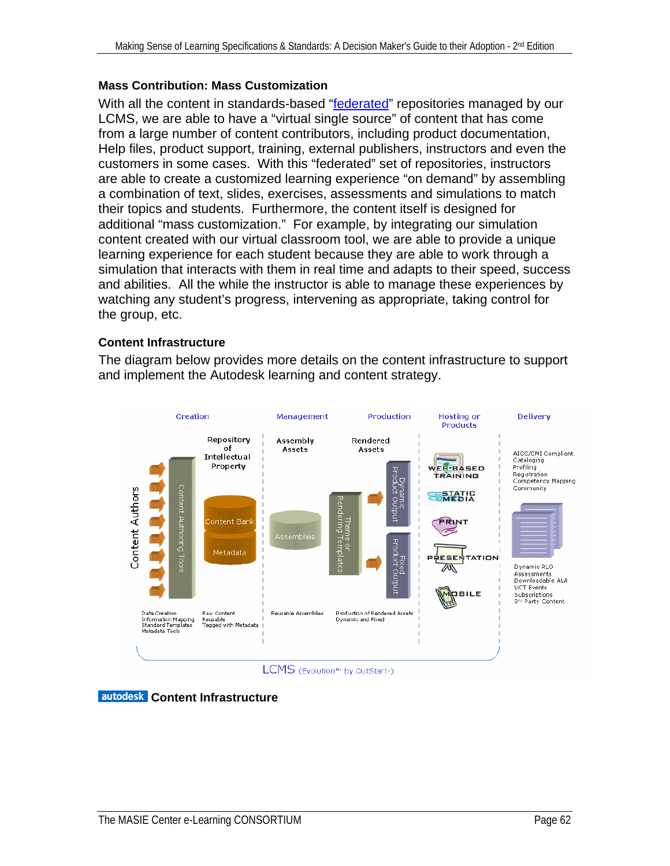#### **Mass Contribution: Mass Customization**

With all the content in standards-based "[federated](#page-73-0)" repositories managed by our LCMS, we are able to have a "virtual single source" of content that has come from a large number of content contributors, including product documentation, Help files, product support, training, external publishers, instructors and even the customers in some cases. With this "federated" set of repositories, instructors are able to create a customized learning experience "on demand" by assembling a combination of text, slides, exercises, assessments and simulations to match their topics and students. Furthermore, the content itself is designed for additional "mass customization." For example, by integrating our simulation content created with our virtual classroom tool, we are able to provide a unique learning experience for each student because they are able to work through a simulation that interacts with them in real time and adapts to their speed, success and abilities. All the while the instructor is able to manage these experiences by watching any student's progress, intervening as appropriate, taking control for the group, etc.

#### **Content Infrastructure**

The diagram below provides more details on the content infrastructure to support and implement the Autodesk learning and content strategy.



**autodesk** Content Infrastructure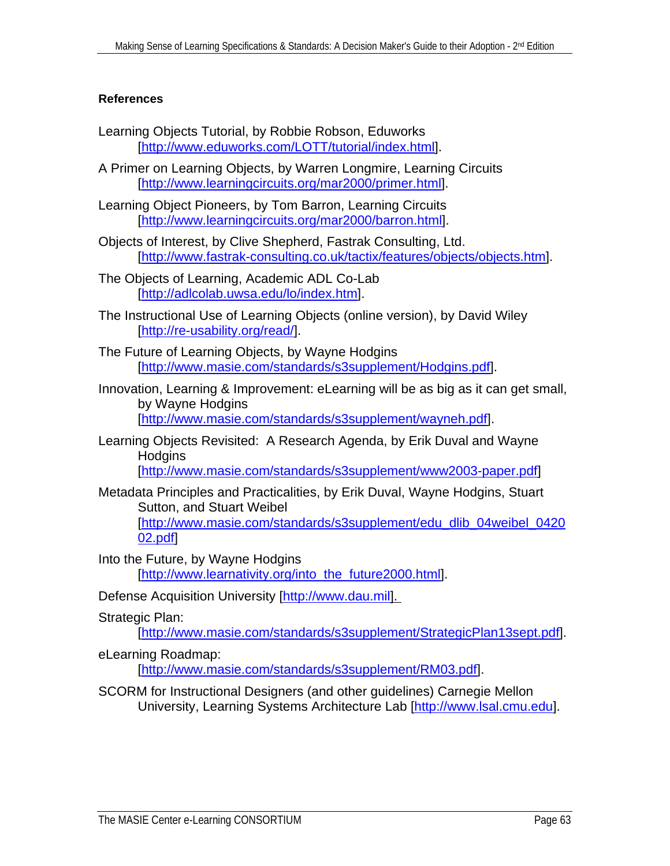#### <span id="page-62-0"></span>**References**

- Learning Objects Tutorial, by Robbie Robson, Eduworks [\[http://www.eduworks.com/LOTT/tutorial/index.html](http://www.eduworks.com/LOTT/tutorial/index.html)].
- A Primer on Learning Objects, by Warren Longmire, Learning Circuits [\[http://www.learningcircuits.org/mar2000/primer.html](http://www.learningcircuits.org/mar2000/primer.html)].
- Learning Object Pioneers, by Tom Barron, Learning Circuits [\[http://www.learningcircuits.org/mar2000/barron.html](http://www.learningcircuits.org/mar2000/barron.html)].
- Objects of Interest, by Clive Shepherd, Fastrak Consulting, Ltd. [\[http://www.fastrak-consulting.co.uk/tactix/features/objects/objects.htm\]](http://www.fastrak-consulting.co.uk/tactix/features/objects/objects.htm).
- The Objects of Learning, Academic ADL Co-Lab [\[http://adlcolab.uwsa.edu/lo/index.htm\]](http://adlcolab.uwsa.edu/lo/index.htm).
- The Instructional Use of Learning Objects (online version), by David Wiley [\[http://re-usability.org/read/\]](http://reusability.org/read/).
- The Future of Learning Objects, by Wayne Hodgins [\[http://www.masie.com/standards/s3supplement/Hodgins.pdf](http://www.masie.com/standards/s3supplement/Hodgins.pdf)].
- Innovation, Learning & Improvement: eLearning will be as big as it can get small, by Wayne Hodgins [\[http://www.masie.com/standards/s3supplement/wayneh.pdf](http://www.masie.com/standards/s3supplement/wayneh.pdf)].
- Learning Objects Revisited: A Research Agenda, by Erik Duval and Wayne **Hodgins**

[\[http://www.masie.com/standards/s3supplement/www2003-paper.pdf](http://www.masie.com/standards/s3supplement/www2003-paper.pdf)]

- Metadata Principles and Practicalities, by Erik Duval, Wayne Hodgins, Stuart Sutton, and Stuart Weibel [\[http://www.masie.com/standards/s3supplement/edu\\_dlib\\_04weibel\\_0420](http://www.masie.com/standards/s3supplement/edu_dlib_04weibel_042002.pdf) [02.pdf](http://www.masie.com/standards/s3supplement/edu_dlib_04weibel_042002.pdf)]
- Into the Future, by Wayne Hodgins [\[http://www.learnativity.org/into\\_the\\_future2000.html\]](http://www.learnativity.org/into_the_future2000.html).
- Defense Acquisition University [[http://www.dau.mil\]](http://www.dau.mil/).
- Strategic Plan:

[\[http://www.masie.com/standards/s3supplement/StrategicPlan13sept.pdf](http://www.masie.com/standards/s3supplement/StrategicPlan13sept.pdf)].

eLearning Roadmap:

[\[http://www.masie.com/standards/s3supplement/RM03.pdf](http://www.masie.com/standards/s3supplement/RM03.pdf)].

SCORM for Instructional Designers (and other guidelines) Carnegie Mellon University, Learning Systems Architecture Lab [[http://www.lsal.cmu.edu](http://www.lsal.cmu.edu/)].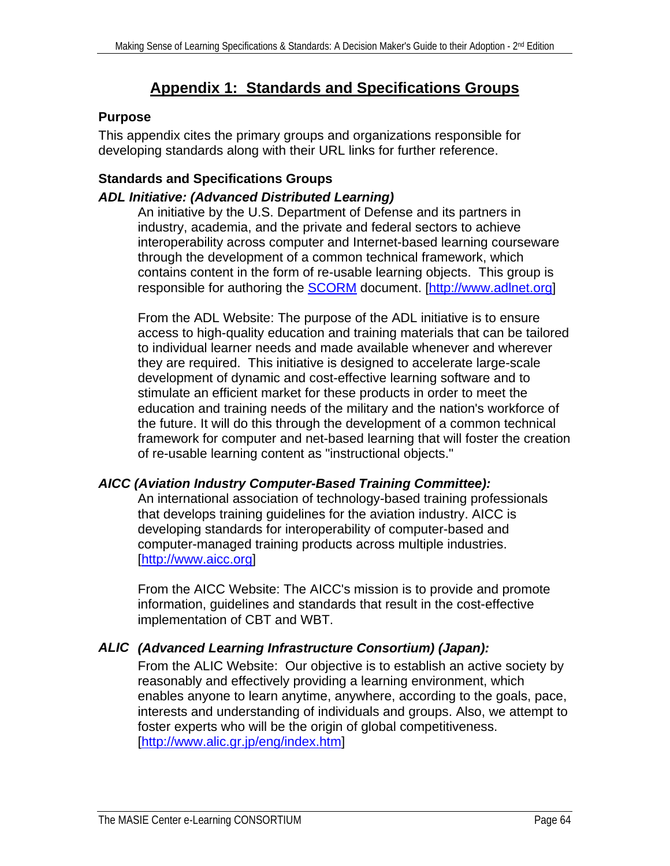# **Appendix 1: Standards and Specifications Groups**

# <span id="page-63-0"></span>**Purpose**

This appendix cites the primary groups and organizations responsible for developing standards along with their URL links for further reference.

# **Standards and Specifications Groups**

# *ADL Initiative: (Advanced Distributed Learning)*

An initiative by the U.S. Department of Defense and its partners in industry, academia, and the private and federal sectors to achieve interoperability across computer and Internet-based learning courseware through the development of a common technical framework, which contains content in the form of re-usable learning objects. This group is responsible for authoring the **SCORM** document. [\[http://www.adlnet.org\]](http://www.adlnet.org/)

From the ADL Website: The purpose of the ADL initiative is to ensure access to high-quality education and training materials that can be tailored to individual learner needs and made available whenever and wherever they are required. This initiative is designed to accelerate large-scale development of dynamic and cost-effective learning software and to stimulate an efficient market for these products in order to meet the education and training needs of the military and the nation's workforce of the future. It will do this through the development of a common technical framework for computer and net-based learning that will foster the creation of re-usable learning content as "instructional objects."

# *AICC (Aviation Industry Computer-Based Training Committee):*

An international association of technology-based training professionals that develops training guidelines for the aviation industry. AICC is developing standards for interoperability of computer-based and computer-managed training products across multiple industries. [\[http://www.aicc.org\]](http://www.aicc.org/)

From the AICC Website: The AICC's mission is to provide and promote information, guidelines and standards that result in the cost-effective implementation of CBT and WBT.

# *ALIC (Advanced Learning Infrastructure Consortium) (Japan):*

 From the ALIC Website: Our objective is to establish an active society by reasonably and effectively providing a learning environment, which enables anyone to learn anytime, anywhere, according to the goals, pace, interests and understanding of individuals and groups. Also, we attempt to foster experts who will be the origin of global competitiveness. [\[http://www.alic.gr.jp/eng/index.htm](http://www.alic.gr.jp/eng/index.htm)]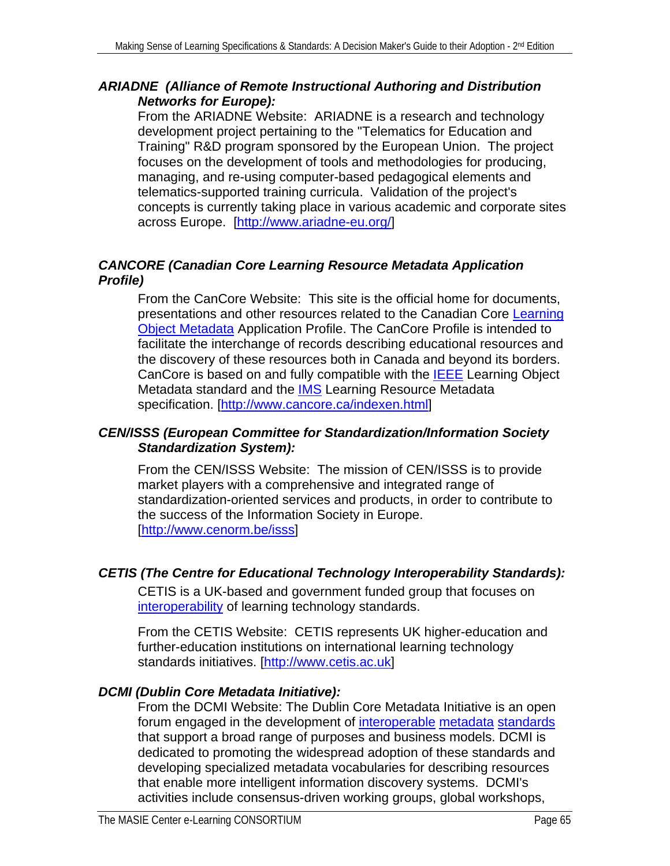# *ARIADNE (Alliance of Remote Instructional Authoring and Distribution Networks for Europe):*

From the ARIADNE Website: ARIADNE is a research and technology development project pertaining to the "Telematics for Education and Training" R&D program sponsored by the European Union. The project focuses on the development of tools and methodologies for producing, managing, and re-using computer-based pedagogical elements and telematics-supported training curricula. Validation of the project's concepts is currently taking place in various academic and corporate sites across Europe. [<http://www.ariadne-eu.org/>]

# *CANCORE (Canadian Core Learning Resource Metadata Application Profile)*

From the CanCore Website: This site is the official home for documents, presentations and other resources related to the Canadian Core [Learning](#page-66-0)  [Object Metadata](#page-66-0) Application Profile. The CanCore Profile is intended to facilitate the interchange of records describing educational resources and the discovery of these resources both in Canada and beyond its borders. CanCore is based on and fully compatible with the [IEEE](#page-65-0) Learning Object Metadata standard and the **[IMS](#page-67-0)** Learning Resource Metadata specification. [\[http://www.cancore.ca/indexen.html](http://www.cancore.ca/indexen.html)]

# *CEN/ISSS (European Committee for Standardization/Information Society Standardization System):*

From the CEN/ISSS Website: The mission of CEN/ISSS is to provide market players with a comprehensive and integrated range of standardization-oriented services and products, in order to contribute to the success of the Information Society in Europe. [\[http://www.cenorm.be/isss](http://www.cenorm.be/isss)]

# *CETIS (The Centre for Educational Technology Interoperability Standards):*

CETIS is a UK-based and government funded group that focuses on [interoperability](#page-74-0) of learning technology standards.

From the CETIS Website: CETIS represents UK higher-education and further-education institutions on international learning technology standards initiatives. [\[http://www.cetis.ac.uk](http://www.cetis.ac.uk/)]

# *DCMI (Dublin Core Metadata Initiative):*

From the DCMI Website: The Dublin Core Metadata Initiative is an open forum engaged in the development of [interoperable](#page-74-0) [metadata](#page-75-0) [standards](#page-78-0) that support a broad range of purposes and business models. DCMI is dedicated to promoting the widespread adoption of these standards and developing specialized metadata vocabularies for describing resources that enable more intelligent information discovery systems. DCMI's activities include consensus-driven working groups, global workshops,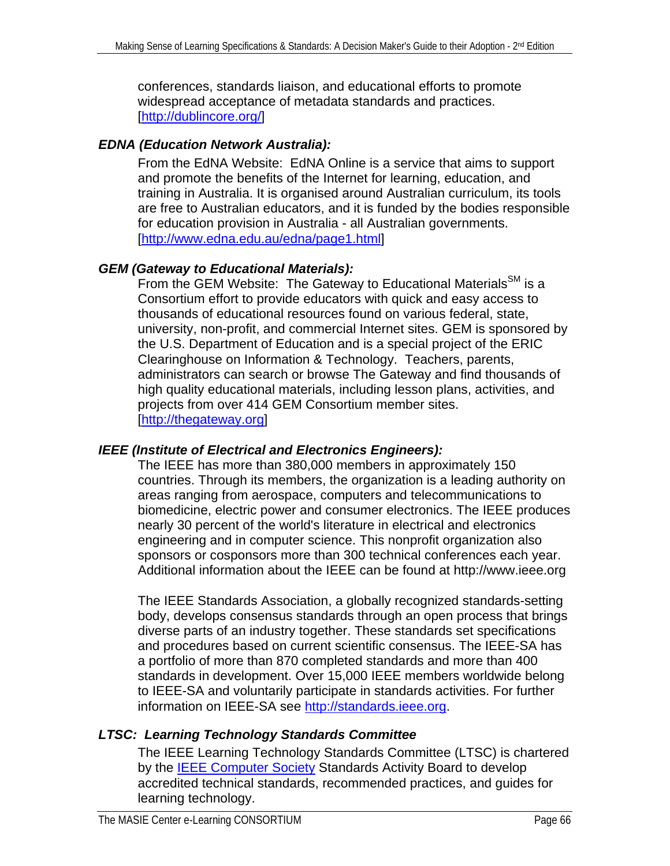<span id="page-65-0"></span>conferences, standards liaison, and educational efforts to promote widespread acceptance of metadata standards and practices. [\[http://dublincore.org/\]](http://dublincore.org/)

# *EDNA (Education Network Australia):*

From the EdNA Website: EdNA Online is a service that aims to support and promote the benefits of the Internet for learning, education, and training in Australia. It is organised around Australian curriculum, its tools are free to Australian educators, and it is funded by the bodies responsible for education provision in Australia - all Australian governments. [\[http://www.edna.edu.au/edna/page1.html](http://www.edna.edu.au/edna/page1.html)]

# *GEM (Gateway to Educational Materials):*

From the GEM Website: The Gateway to Educational Materials<sup>SM</sup> is a Consortium effort to provide educators with quick and easy access to thousands of educational resources found on various federal, state, university, non-profit, and commercial Internet sites. GEM is sponsored by the U.S. Department of Education and is a special project of the ERIC Clearinghouse on Information & Technology. Teachers, parents, administrators can search or browse The Gateway and find thousands of high quality educational materials, including lesson plans, activities, and projects from over 414 GEM Consortium member sites. [\[http://thegateway.org](http://thegateway.org/)]

# *IEEE (Institute of Electrical and Electronics Engineers):*

The IEEE has more than 380,000 members in approximately 150 countries. Through its members, the organization is a leading authority on areas ranging from aerospace, computers and telecommunications to biomedicine, electric power and consumer electronics. The IEEE produces nearly 30 percent of the world's literature in electrical and electronics engineering and in computer science. This nonprofit organization also sponsors or cosponsors more than 300 technical conferences each year. Additional information about the IEEE can be found at [http://www.ieee.org](http://www.ieee.org/)

The IEEE Standards Association, a globally recognized standards-setting body, develops consensus standards through an open process that brings diverse parts of an industry together. These standards set specifications and procedures based on current scientific consensus. The IEEE-SA has a portfolio of more than 870 completed standards and more than 400 standards in development. Over 15,000 IEEE members worldwide belong to IEEE-SA and voluntarily participate in standards activities. For further information on IEEE-SA see [http://standards.ieee.org](http://standards.ieee.org/).

# *LTSC: Learning Technology Standards Committee*

The IEEE Learning Technology Standards Committee (LTSC) is chartered by the **IEEE Computer Society Standards Activity Board to develop** accredited technical standards, recommended practices, and guides for learning technology.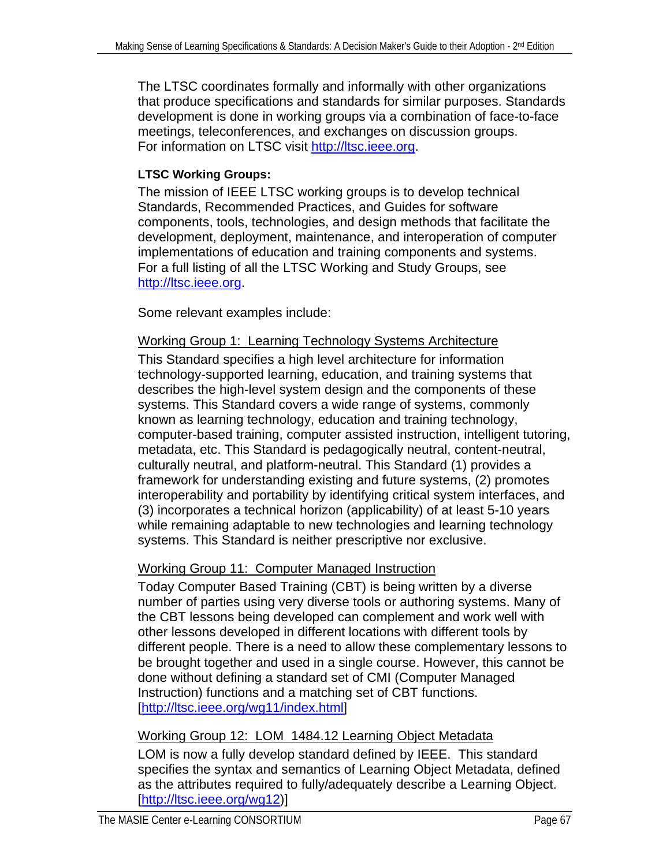<span id="page-66-0"></span>The LTSC coordinates formally and informally with other organizations that produce specifications and standards for similar purposes. Standards development is done in working groups via a combination of face-to-face meetings, teleconferences, and exchanges on discussion groups. For information on LTSC visit [http://ltsc.ieee.org](http://ltsc.ieee.org/).

## **LTSC Working Groups:**

The mission of IEEE LTSC working groups is to develop technical Standards, Recommended Practices, and Guides for software components, tools, technologies, and design methods that facilitate the development, deployment, maintenance, and interoperation of computer implementations of education and training components and systems. For a full listing of all the LTSC Working and Study Groups, see http://ltsc.ieee.org.

Some relevant examples include:

### Working Group 1: Learning Technology Systems Architecture

This Standard specifies a high level architecture for information technology-supported learning, education, and training systems that describes the high-level system design and the components of these systems. This Standard covers a wide range of systems, commonly known as learning technology, education and training technology, computer-based training, computer assisted instruction, intelligent tutoring, metadata, etc. This Standard is pedagogically neutral, content-neutral, culturally neutral, and platform-neutral. This Standard (1) provides a framework for understanding existing and future systems, (2) promotes interoperability and portability by identifying critical system interfaces, and (3) incorporates a technical horizon (applicability) of at least 5-10 years while remaining adaptable to new technologies and learning technology systems. This Standard is neither prescriptive nor exclusive.

# Working Group 11: Computer Managed Instruction

Today Computer Based Training (CBT) is being written by a diverse number of parties using very diverse tools or authoring systems. Many of the CBT lessons being developed can complement and work well with other lessons developed in different locations with different tools by different people. There is a need to allow these complementary lessons to be brought together and used in a single course. However, this cannot be done without defining a standard set of CMI (Computer Managed Instruction) functions and a matching set of CBT functions. [\[http://ltsc.ieee.org/wg11/index.html](http://ltsc.ieee.org/wg11/index.html)]

# Working Group 12: LOM 1484.12 Learning Object Metadata

LOM is now a fully develop standard defined by IEEE. This standard specifies the syntax and semantics of Learning Object Metadata, defined as the attributes required to fully/adequately describe a Learning Object. [\[http://ltsc.ieee.org/wg12](http://ltsc.ieee.org/wg12/))]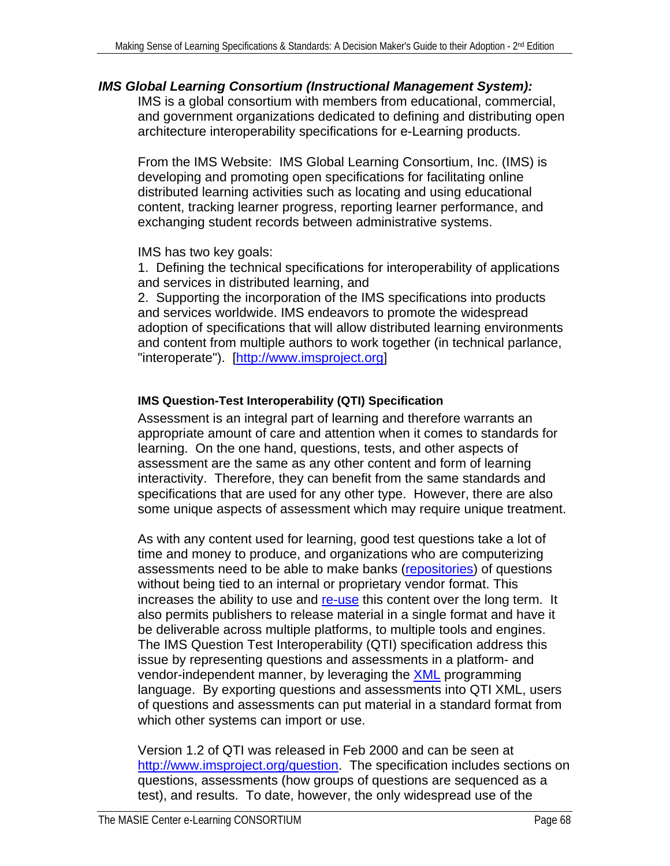### <span id="page-67-0"></span>*IMS Global Learning Consortium (Instructional Management System):*

IMS is a global consortium with members from educational, commercial, and government organizations dedicated to defining and distributing open architecture interoperability specifications for e-Learning products.

From the IMS Website: IMS Global Learning Consortium, Inc. (IMS) is developing and promoting open specifications for facilitating online distributed learning activities such as locating and using educational content, tracking learner progress, reporting learner performance, and exchanging student records between administrative systems.

IMS has two key goals:

1. Defining the technical specifications for interoperability of applications and services in distributed learning, and

2. Supporting the incorporation of the IMS specifications into products and services worldwide. IMS endeavors to promote the widespread adoption of specifications that will allow distributed learning environments and content from multiple authors to work together (in technical parlance, "interoperate"). [[http://www.imsproject.org\]](http://www.imsproject.org/)

# **IMS Question-Test Interoperability (QTI) Specification**

Assessment is an integral part of learning and therefore warrants an appropriate amount of care and attention when it comes to standards for learning. On the one hand, questions, tests, and other aspects of assessment are the same as any other content and form of learning interactivity. Therefore, they can benefit from the same standards and specifications that are used for any other type. However, there are also some unique aspects of assessment which may require unique treatment.

As with any content used for learning, good test questions take a lot of time and money to produce, and organizations who are computerizing assessments need to be able to make banks ([repositories\)](#page-72-0) of questions without being tied to an internal or proprietary vendor format. This increases the ability to use and [re-use](#page-77-0) this content over the long term. It also permits publishers to release material in a single format and have it be deliverable across multiple platforms, to multiple tools and engines. The IMS Question Test Interoperability (QTI) specification address this issue by representing questions and assessments in a platform- and vendor-independent manner, by leveraging the [XML](#page-73-0) programming language. By exporting questions and assessments into QTI XML, users of questions and assessments can put material in a standard format from which other systems can import or use.

Version 1.2 of QTI was released in Feb 2000 and can be seen at [http://www.imsproject.org/question](http://www.imsproject.org/question/). The specification includes sections on questions, assessments (how groups of questions are sequenced as a test), and results. To date, however, the only widespread use of the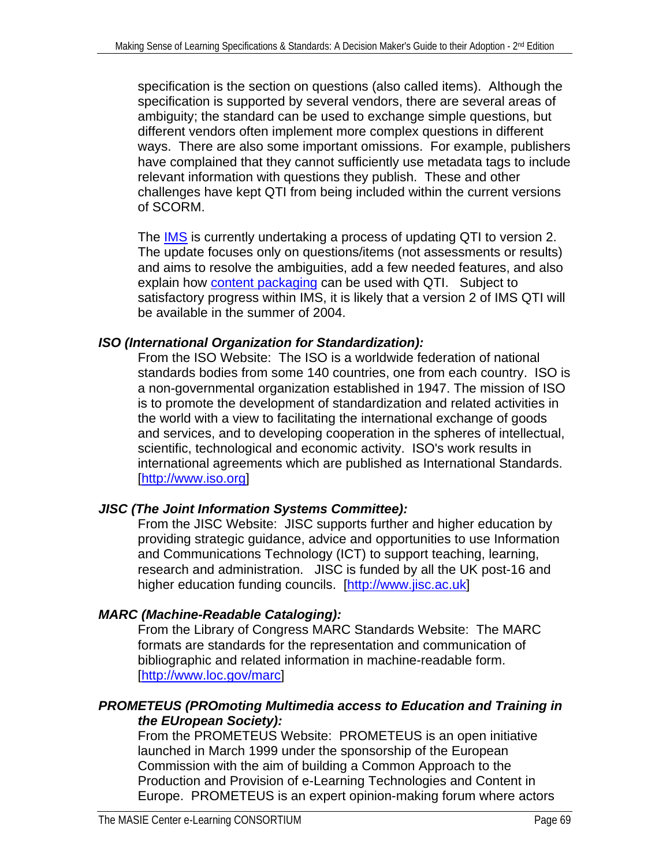specification is the section on questions (also called items). Although the specification is supported by several vendors, there are several areas of ambiguity; the standard can be used to exchange simple questions, but different vendors often implement more complex questions in different ways. There are also some important omissions. For example, publishers have complained that they cannot sufficiently use metadata tags to include relevant information with questions they publish. These and other challenges have kept QTI from being included within the current versions of SCORM.

The **[IMS](#page-67-0)** is currently undertaking a process of updating QTI to version 2. The update focuses only on questions/items (not assessments or results) and aims to resolve the ambiguities, add a few needed features, and also explain how **[content packaging](#page-71-0)** can be used with QTI. Subject to satisfactory progress within IMS, it is likely that a version 2 of IMS QTI will be available in the summer of 2004.

# *ISO (International Organization for Standardization):*

From the ISO Website: The ISO is a worldwide federation of national standards bodies from some 140 countries, one from each country. ISO is a non-governmental organization established in 1947. The mission of ISO is to promote the development of standardization and related activities in the world with a view to facilitating the international exchange of goods and services, and to developing cooperation in the spheres of intellectual, scientific, technological and economic activity. ISO's work results in international agreements which are published as International Standards. [\[http://www.iso.org\]](http://www.iso.org/)

# *JISC (The Joint Information Systems Committee):*

From the JISC Website: JISC supports further and higher education by providing strategic guidance, advice and opportunities to use Information and Communications Technology (ICT) to support teaching, learning, research and administration. JISC is funded by all the UK post-16 and higher education funding councils. [\[http://www.jisc.ac.uk](http://www.jisc.ac.uk/)]

# *MARC (Machine-Readable Cataloging):*

From the Library of Congress MARC Standards Website: The MARC formats are standards for the representation and communication of bibliographic and related information in machine-readable form. [\[http://www.loc.gov/marc\]](http://www.loc.gov/marc/)

# *PROMETEUS (PROmoting Multimedia access to Education and Training in the EUropean Society):*

From the PROMETEUS Website: PROMETEUS is an open initiative launched in March 1999 under the sponsorship of the European Commission with the aim of building a Common Approach to the Production and Provision of e-Learning Technologies and Content in Europe. PROMETEUS is an expert opinion-making forum where actors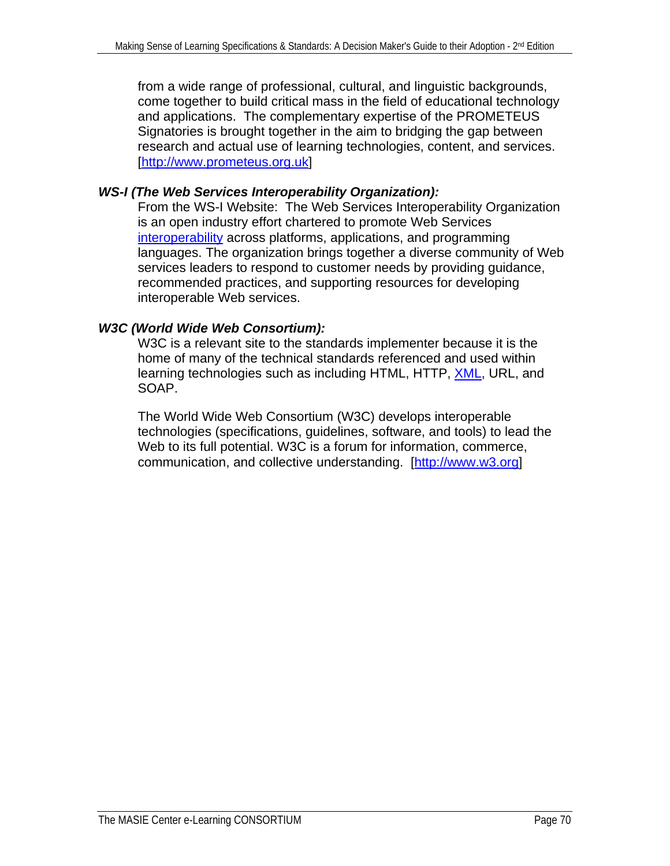from a wide range of professional, cultural, and linguistic backgrounds, come together to build critical mass in the field of educational technology and applications. The complementary expertise of the PROMETEUS Signatories is brought together in the aim to bridging the gap between research and actual use of learning technologies, content, and services. [\[http://www.prometeus.org.uk](http://www.prometeus.org.uk/)]

# *WS-I (The Web Services Interoperability Organization):*

From the WS-I Website: The Web Services Interoperability Organization is an open industry effort chartered to promote Web Services [interoperability](#page-74-0) across platforms, applications, and programming languages. The organization brings together a diverse community of Web services leaders to respond to customer needs by providing guidance, recommended practices, and supporting resources for developing interoperable Web services.

# *W3C (World Wide Web Consortium):*

W3C is a relevant site to the standards implementer because it is the home of many of the technical standards referenced and used within learning technologies such as including HTML, HTTP, [XML](#page-73-0), URL, and SOAP.

The World Wide Web Consortium (W3C) develops interoperable technologies (specifications, guidelines, software, and tools) to lead the Web to its full potential. W3C is a forum for information, commerce, communication, and collective understanding. [[http://www.w3.org](http://www.w3.org/)]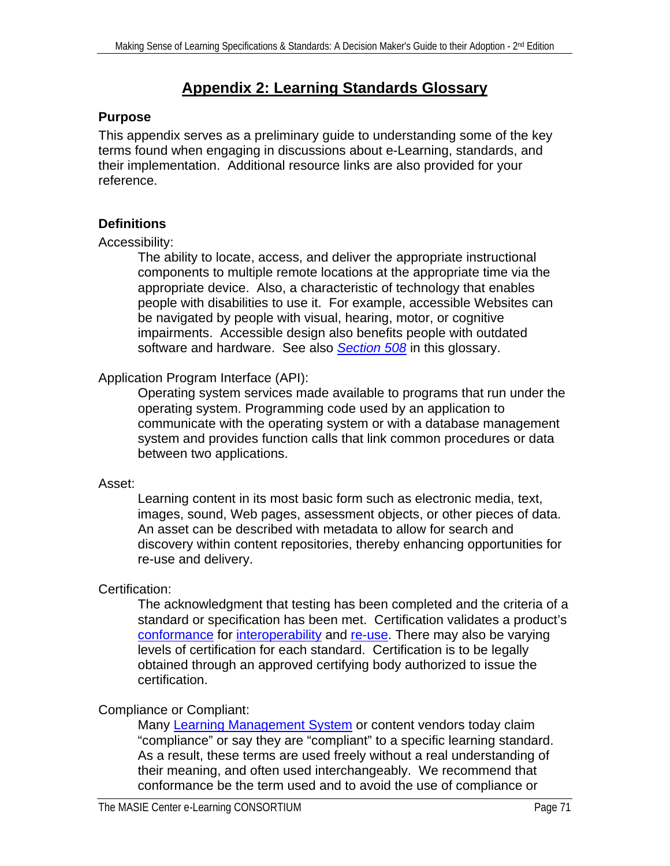# **Appendix 2: Learning Standards Glossary**

### <span id="page-70-0"></span>**Purpose**

This appendix serves as a preliminary guide to understanding some of the key terms found when engaging in discussions about e-Learning, standards, and their implementation. Additional resource links are also provided for your reference.

# **Definitions**

#### Accessibility:

The ability to locate, access, and deliver the appropriate instructional components to multiple remote locations at the appropriate time via the appropriate device. Also, a characteristic of technology that enables people with disabilities to use it. For example, accessible Websites can be navigated by people with visual, hearing, motor, or cognitive impairments. Accessible design also benefits people with outdated software and hardware. See also *[Section 508](#page-77-0)* in this glossary.

# Application Program Interface (API):

Operating system services made available to programs that run under the operating system. Programming code used by an application to communicate with the operating system or with a database management system and provides function calls that link common procedures or data between two applications.

#### Asset:

Learning content in its most basic form such as electronic media, text, images, sound, Web pages, assessment objects, or other pieces of data. An asset can be described with metadata to allow for search and discovery within content repositories, thereby enhancing opportunities for re-use and delivery.

# Certification:

The acknowledgment that testing has been completed and the criteria of a standard or specification has been met. Certification validates a product's [conformance](#page-71-0) for [interoperability](#page-74-0) and [re-use.](#page-77-0) There may also be varying levels of certification for each standard. Certification is to be legally obtained through an approved certifying body authorized to issue the certification.

# Compliance or Compliant:

Many [Learning Management System](#page-74-0) or content vendors today claim "compliance" or say they are "compliant" to a specific learning standard. As a result, these terms are used freely without a real understanding of their meaning, and often used interchangeably. We recommend that conformance be the term used and to avoid the use of compliance or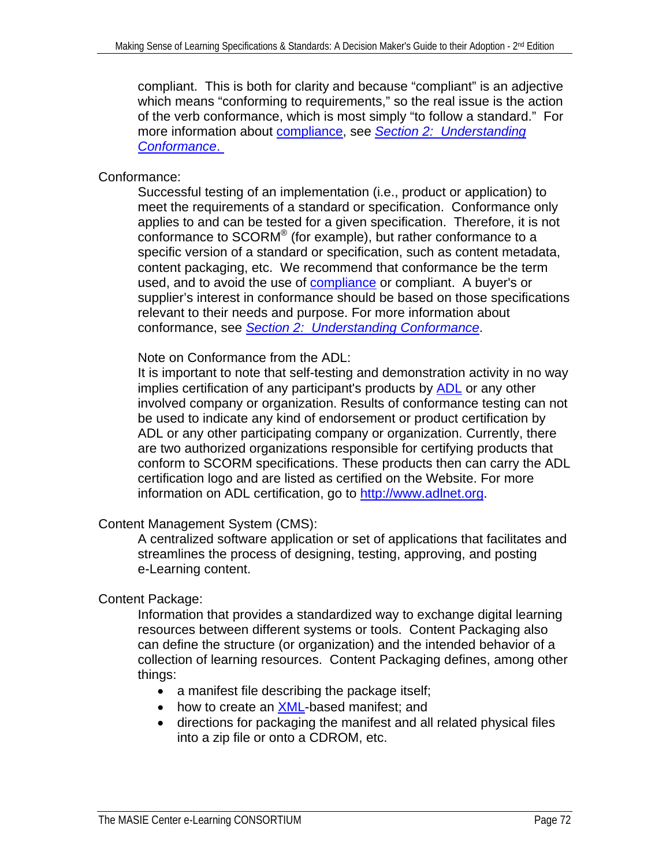<span id="page-71-0"></span>compliant. This is both for clarity and because "compliant" is an adjective which means "conforming to requirements," so the real issue is the action of the verb conformance, which is most simply "to follow a standard." For more information about [compliance](#page-70-0), see *[Section 2: Understanding](#page-25-0)  [Conformance](#page-25-0)*.

# Conformance:

Successful testing of an implementation (i.e., product or application) to meet the requirements of a standard or specification. Conformance only applies to and can be tested for a given specification. Therefore, it is not conformance to SCORM® (for example), but rather conformance to a specific version of a standard or specification, such as content metadata, content packaging, etc. We recommend that conformance be the term used, and to avoid the use of **compliance** or compliant. A buyer's or supplier's interest in conformance should be based on those specifications relevant to their needs and purpose. For more information about conformance, see *[Section 2: Understanding Conformance](#page-25-0)*.

Note on Conformance from the ADL:

It is important to note that self-testing and demonstration activity in no way implies certification of any participant's products by [ADL](#page-63-0) or any other involved company or organization. Results of conformance testing can not be used to indicate any kind of endorsement or product certification by ADL or any other participating company or organization. Currently, there are two authorized organizations responsible for certifying products that conform to SCORM specifications. These products then can carry the ADL certification logo and are listed as certified on the Website. For more information on ADL certification, go to [http://www.adlnet.org](http://www.adlnet.org/).

# Content Management System (CMS):

A centralized software application or set of applications that facilitates and streamlines the process of designing, testing, approving, and posting e-Learning content.

# Content Package:

Information that provides a standardized way to exchange digital learning resources between different systems or tools. Content Packaging also can define the structure (or organization) and the intended behavior of a collection of learning resources. Content Packaging defines, among other things:

- a manifest file describing the package itself;
- how to create an [XML-](#page-73-0)based manifest; and
- directions for packaging the manifest and all related physical files into a zip file or onto a CDROM, etc.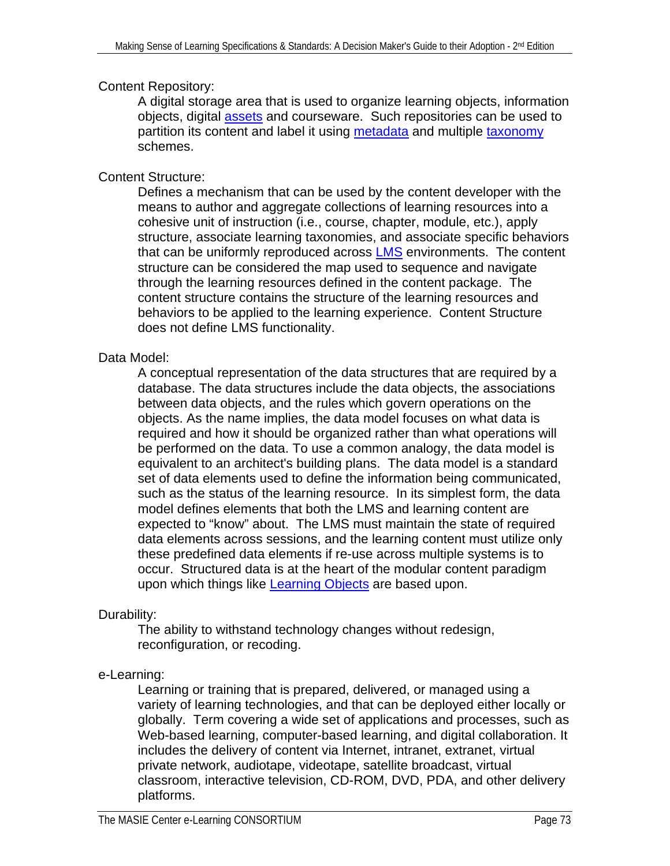<span id="page-72-0"></span>Content Repository:

A digital storage area that is used to organize learning objects, information objects, digital [assets](#page-70-0) and courseware. Such repositories can be used to partition its content and label it using [metadata](#page-75-0) and multiple [taxonomy](#page-79-0) schemes.

Content Structure:

Defines a mechanism that can be used by the content developer with the means to author and aggregate collections of learning resources into a cohesive unit of instruction (i.e., course, chapter, module, etc.), apply structure, associate learning taxonomies, and associate specific behaviors that can be uniformly reproduced across **[LMS](#page-74-0)** environments. The content structure can be considered the map used to sequence and navigate through the learning resources defined in the content package. The content structure contains the structure of the learning resources and behaviors to be applied to the learning experience. Content Structure does not define LMS functionality.

# Data Model:

A conceptual representation of the data structures that are required by a database. The data structures include the data objects, the associations between data objects, and the rules which govern operations on the objects. As the name implies, the data model focuses on what data is required and how it should be organized rather than what operations will be performed on the data. To use a common analogy, the data model is equivalent to an architect's building plans. The data model is a standard set of data elements used to define the information being communicated, such as the status of the learning resource. In its simplest form, the data model defines elements that both the LMS and learning content are expected to "know" about. The LMS must maintain the state of required data elements across sessions, and the learning content must utilize only these predefined data elements if re-use across multiple systems is to occur. Structured data is at the heart of the modular content paradigm upon which things like [Learning Objects](#page-74-0) are based upon.

Durability:

The ability to withstand technology changes without redesign, reconfiguration, or recoding.

e-Learning:

Learning or training that is prepared, delivered, or managed using a variety of learning technologies, and that can be deployed either locally or globally. Term covering a wide set of applications and processes, such as Web-based learning, computer-based learning, and digital collaboration. It includes the delivery of content via Internet, intranet, extranet, virtual private network, audiotape, videotape, satellite broadcast, virtual classroom, interactive television, CD-ROM, DVD, PDA, and other delivery platforms.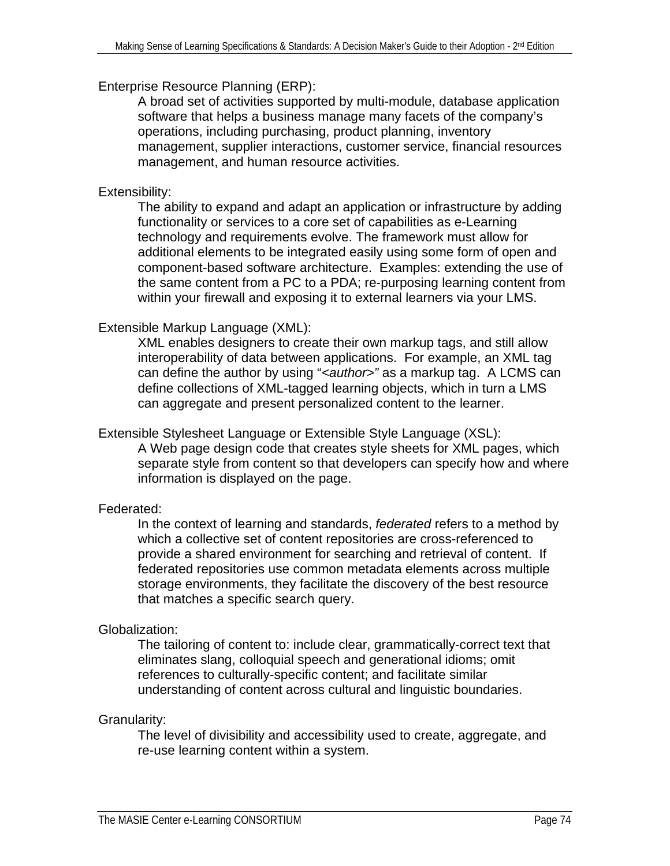## <span id="page-73-0"></span>Enterprise Resource Planning (ERP):

A broad set of activities supported by multi-module, database application software that helps a business manage many facets of the company's operations, including purchasing, product planning, inventory management, supplier interactions, customer service, financial resources management, and human resource activities.

# Extensibility:

The ability to expand and adapt an application or infrastructure by adding functionality or services to a core set of capabilities as e-Learning technology and requirements evolve. The framework must allow for additional elements to be integrated easily using some form of open and component-based software architecture. Examples: extending the use of the same content from a PC to a PDA; re-purposing learning content from within your firewall and exposing it to external learners via your LMS.

## Extensible Markup Language (XML):

XML enables designers to create their own markup tags, and still allow interoperability of data between applications. For example, an XML tag can define the author by using "<author>" as a markup tag. A LCMS can define collections of XML-tagged learning objects, which in turn a LMS can aggregate and present personalized content to the learner.

# Extensible Stylesheet Language or Extensible Style Language (XSL): A Web page design code that creates style sheets for XML pages, which

separate style from content so that developers can specify how and where information is displayed on the page.

# Federated:

In the context of learning and standards, *federated* refers to a method by which a collective set of content repositories are cross-referenced to provide a shared environment for searching and retrieval of content. If federated repositories use common metadata elements across multiple storage environments, they facilitate the discovery of the best resource that matches a specific search query.

# Globalization:

The tailoring of content to: include clear, grammatically-correct text that eliminates slang, colloquial speech and generational idioms; omit references to culturally-specific content; and facilitate similar understanding of content across cultural and linguistic boundaries.

#### Granularity:

The level of divisibility and accessibility used to create, aggregate, and re-use learning content within a system.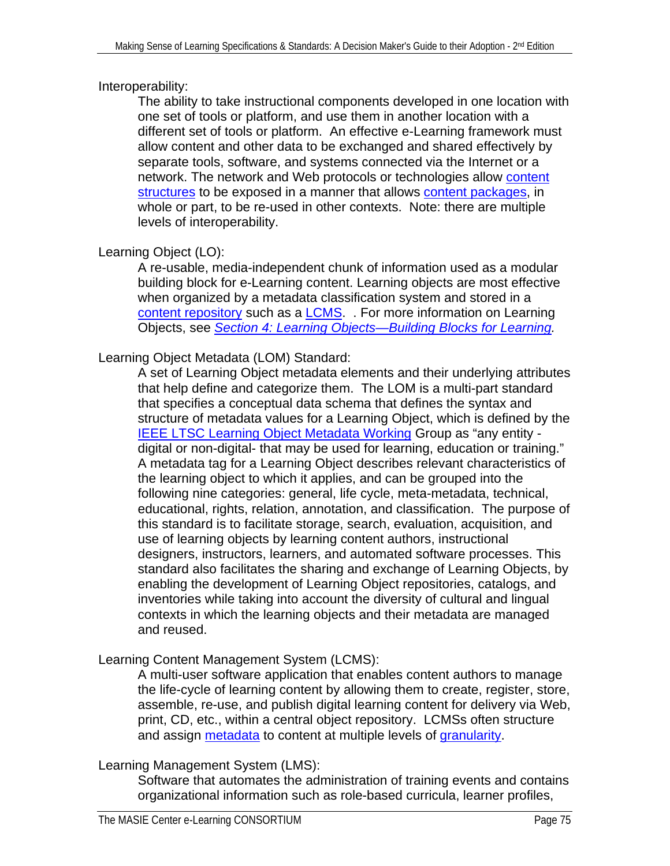# <span id="page-74-0"></span>Interoperability:

The ability to take instructional components developed in one location with one set of tools or platform, and use them in another location with a different set of tools or platform. An effective e-Learning framework must allow content and other data to be exchanged and shared effectively by separate tools, software, and systems connected via the Internet or a network. The network and Web protocols or technologies allow content [structures](#page-72-0) to be exposed in a manner that allows [content packages,](#page-71-0) in whole or part, to be re-used in other contexts. Note: there are multiple levels of interoperability.

# Learning Object (LO):

A re-usable, media-independent chunk of information used as a modular building block for e-Learning content. Learning objects are most effective when organized by a metadata classification system and stored in a [content repository](#page-72-0) such as a [LCMS.](#page-74-0) . For more information on Learning Objects, see *[Section 4: Learning Objects—Building Blocks for Learning](#page-40-0).* 

# Learning Object Metadata (LOM) Standard:

A set of Learning Object metadata elements and their underlying attributes that help define and categorize them. The LOM is a multi-part standard that specifies a conceptual data schema that defines the syntax and structure of metadata values for a Learning Object, which is defined by the [IEEE LTSC Learning Object Metadata Working](#page-66-0) Group as "any entity digital or non-digital- that may be used for learning, education or training." A metadata tag for a Learning Object describes relevant characteristics of the learning object to which it applies, and can be grouped into the following nine categories: general, life cycle, meta-metadata, technical, educational, rights, relation, annotation, and classification. The purpose of this standard is to facilitate storage, search, evaluation, acquisition, and use of learning objects by learning content authors, instructional designers, instructors, learners, and automated software processes. This standard also facilitates the sharing and exchange of Learning Objects, by enabling the development of Learning Object repositories, catalogs, and inventories while taking into account the diversity of cultural and lingual contexts in which the learning objects and their metadata are managed and reused.

# Learning Content Management System (LCMS):

A multi-user software application that enables content authors to manage the life-cycle of learning content by allowing them to create, register, store, assemble, re-use, and publish digital learning content for delivery via Web, print, CD, etc., within a central object repository. LCMSs often structure and assign [metadata](#page-75-0) to content at multiple levels of [granularity](#page-73-0).

# Learning Management System (LMS):

Software that automates the administration of training events and contains organizational information such as role-based curricula, learner profiles,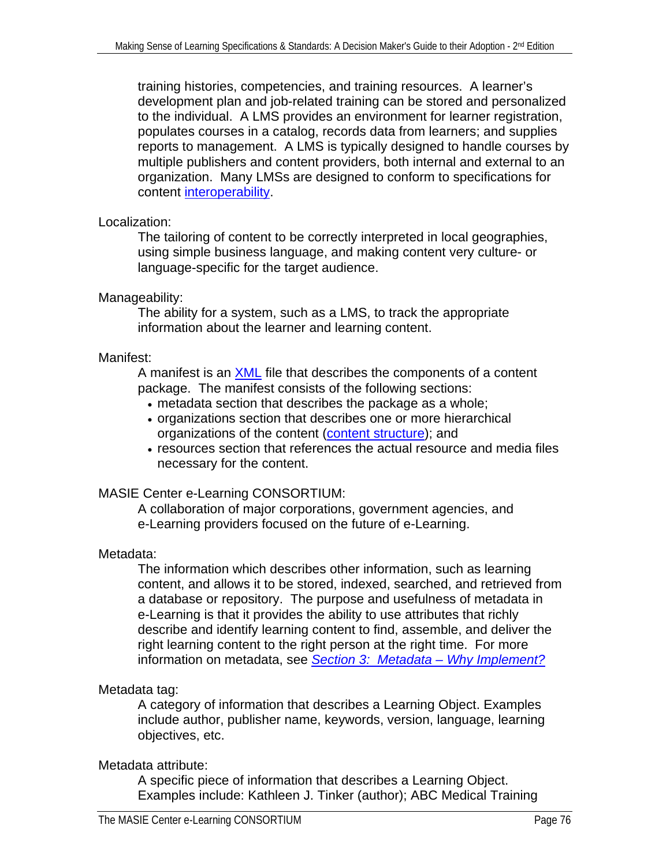<span id="page-75-0"></span>training histories, competencies, and training resources. A learner's development plan and job-related training can be stored and personalized to the individual. A LMS provides an environment for learner registration, populates courses in a catalog, records data from learners; and supplies reports to management. A LMS is typically designed to handle courses by multiple publishers and content providers, both internal and external to an organization. Many LMSs are designed to conform to specifications for content [interoperability.](#page-74-0)

## Localization:

The tailoring of content to be correctly interpreted in local geographies, using simple business language, and making content very culture- or language-specific for the target audience.

## Manageability:

The ability for a system, such as a LMS, to track the appropriate information about the learner and learning content.

## Manifest:

A manifest is an [XML](#page-73-0) file that describes the components of a content package. The manifest consists of the following sections:

- metadata section that describes the package as a whole;
- organizations section that describes one or more hierarchical organizations of the content ([content structure](#page-72-0)); and
- resources section that references the actual resource and media files necessary for the content.

# MASIE Center e-Learning CONSORTIUM:

A collaboration of major corporations, government agencies, and e-Learning providers focused on the future of e-Learning.

# Metadata:

The information which describes other information, such as learning content, and allows it to be stored, indexed, searched, and retrieved from a database or repository. The purpose and usefulness of metadata in e-Learning is that it provides the ability to use attributes that richly describe and identify learning content to find, assemble, and deliver the right learning content to the right person at the right time. For more information on metadata, see *[Section 3: Metadata – Why Implement?](#page-29-0)*

# Metadata tag:

A category of information that describes a Learning Object. Examples include author, publisher name, keywords, version, language, learning objectives, etc.

# Metadata attribute:

A specific piece of information that describes a Learning Object. Examples include: Kathleen J. Tinker (author); ABC Medical Training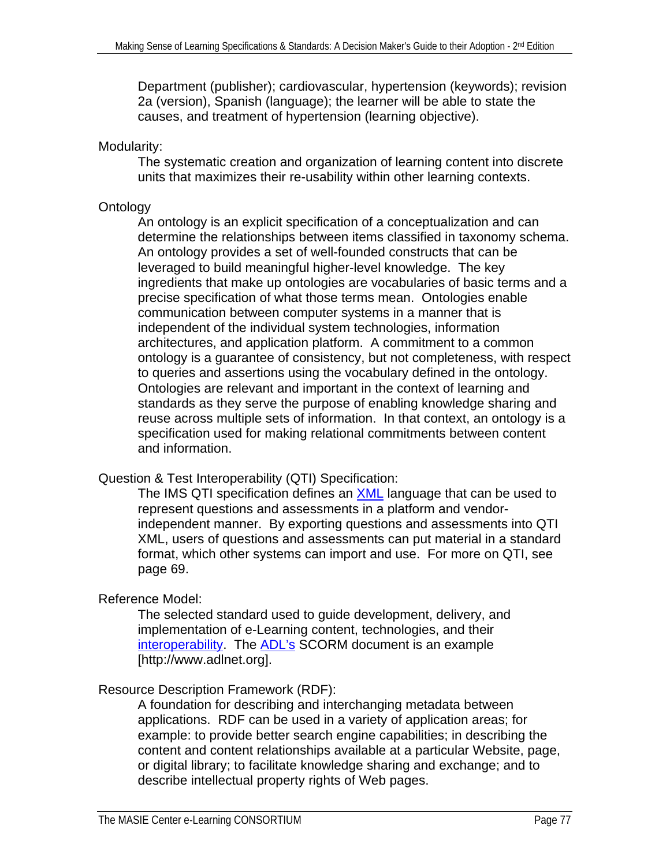Department (publisher); cardiovascular, hypertension (keywords); revision 2a (version), Spanish (language); the learner will be able to state the causes, and treatment of hypertension (learning objective).

## Modularity:

The systematic creation and organization of learning content into discrete units that maximizes their re-usability within other learning contexts.

# **Ontology**

An ontology is an explicit specification of a conceptualization and can determine the relationships between items classified in taxonomy schema. An ontology provides a set of well-founded constructs that can be leveraged to build meaningful higher-level knowledge. The key ingredients that make up ontologies are vocabularies of basic terms and a precise specification of what those terms mean. Ontologies enable communication between computer systems in a manner that is independent of the individual system technologies, information architectures, and application platform. A commitment to a common ontology is a guarantee of consistency, but not completeness, with respect to queries and assertions using the vocabulary defined in the ontology. Ontologies are relevant and important in the context of learning and standards as they serve the purpose of enabling knowledge sharing and reuse across multiple sets of information. In that context, an ontology is a specification used for making relational commitments between content and information.

# Question & Test Interoperability (QTI) Specification:

The IMS QTI specification defines an **XML** language that can be used to represent questions and assessments in a platform and vendorindependent manner. By exporting questions and assessments into QTI XML, users of questions and assessments can put material in a standard format, which other systems can import and use. For more on QTI, see page 69.

# Reference Model:

The selected standard used to guide development, delivery, and implementation of e-Learning content, technologies, and their [interoperability](#page-74-0). The [ADL's](#page-63-0) SCORM document is an example [http://www.adlnet.org].

# Resource Description Framework (RDF):

A foundation for describing and interchanging metadata between applications. RDF can be used in a variety of application areas; for example: to provide better search engine capabilities; in describing the content and content relationships available at a particular Website, page, or digital library; to facilitate knowledge sharing and exchange; and to describe intellectual property rights of Web pages.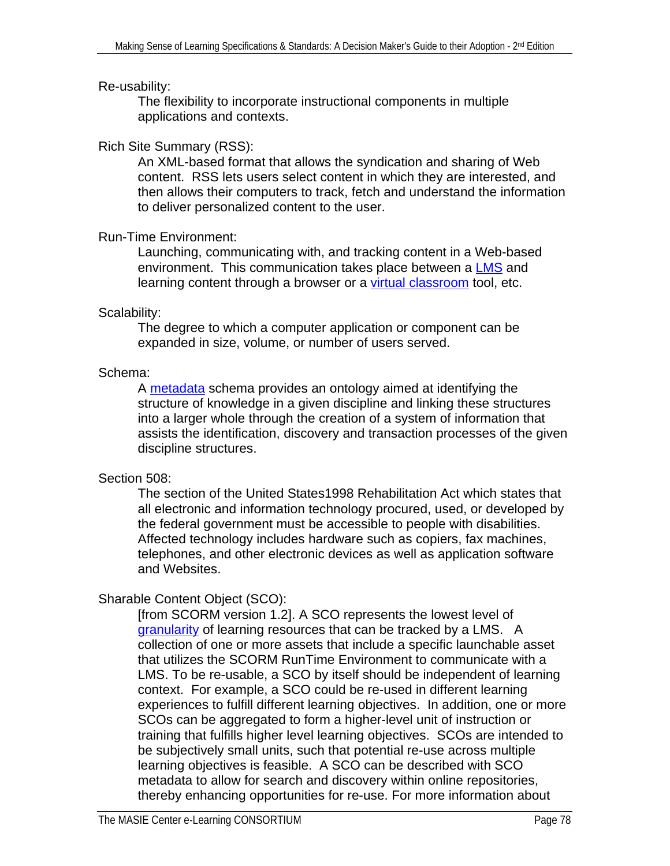#### Re-usability:

The flexibility to incorporate instructional components in multiple applications and contexts.

## Rich Site Summary (RSS):

An XML-based format that allows the syndication and sharing of Web content. RSS lets users select content in which they are interested, and then allows their computers to track, fetch and understand the information to deliver personalized content to the user.

#### Run-Time Environment:

Launching, communicating with, and tracking content in a Web-based environment. This communication takes place between a [LMS](#page-74-0) and learning content through a browser or a [virtual classroom](#page-79-0) tool, etc.

## Scalability:

The degree to which a computer application or component can be expanded in size, volume, or number of users served.

## Schema:

A [metadata](#page-75-0) schema provides an ontology aimed at identifying the structure of knowledge in a given discipline and linking these structures into a larger whole through the creation of a system of information that assists the identification, discovery and transaction processes of the given discipline structures.

# Section 508:

The section of the United States1998 Rehabilitation Act which states that all electronic and information technology procured, used, or developed by the federal government must be accessible to people with disabilities. Affected technology includes hardware such as copiers, fax machines, telephones, and other electronic devices as well as application software and Websites.

# Sharable Content Object (SCO):

[from SCORM version 1.2]. A SCO represents the lowest level of [granularity](#page-73-0) of learning resources that can be tracked by a LMS. A collection of one or more assets that include a specific launchable asset that utilizes the SCORM RunTime Environment to communicate with a LMS. To be re-usable, a SCO by itself should be independent of learning context. For example, a SCO could be re-used in different learning experiences to fulfill different learning objectives. In addition, one or more SCOs can be aggregated to form a higher-level unit of instruction or training that fulfills higher level learning objectives. SCOs are intended to be subjectively small units, such that potential re-use across multiple learning objectives is feasible. A SCO can be described with SCO metadata to allow for search and discovery within online repositories, thereby enhancing opportunities for re-use. For more information about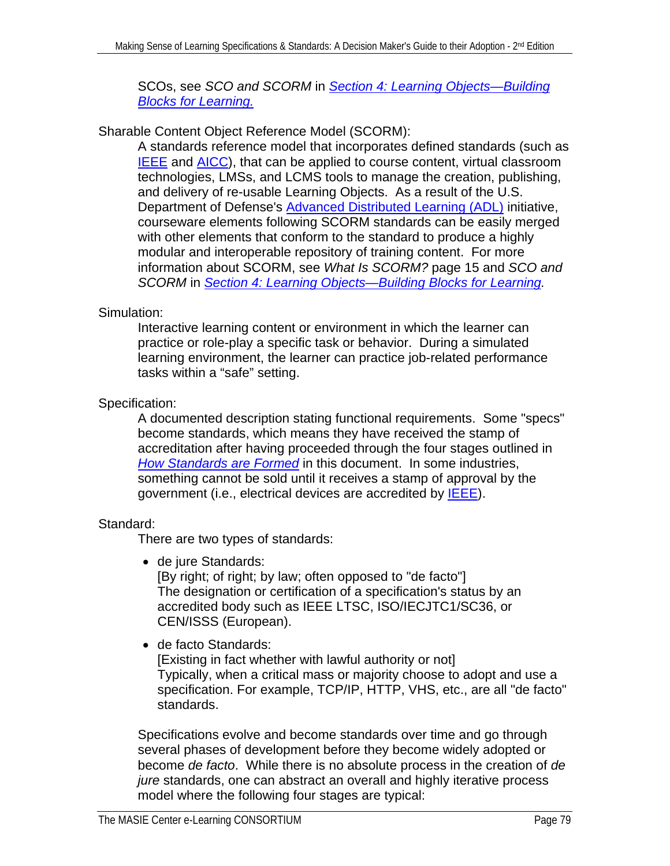SCOs, see *SCO and SCORM* in *[Section 4: Learning Objects—Building](#page-40-0)  [Blocks for Learning.](#page-40-0)* 

## Sharable Content Object Reference Model (SCORM):

A standards reference model that incorporates defined standards (such as **[IEEE](#page-65-0)** and **AICC**), that can be applied to course content, virtual classroom technologies, LMSs, and LCMS tools to manage the creation, publishing, and delivery of re-usable Learning Objects. As a result of the U.S. Department of Defense's [Advanced Distributed Learning \(ADL\)](#page-63-0) initiative, courseware elements following SCORM standards can be easily merged with other elements that conform to the standard to produce a highly modular and interoperable repository of training content. For more information about SCORM, see *What Is SCORM?* page 15 and *SCO and SCORM* in *[Section 4: Learning Objects—Building Blocks for Learning.](#page-40-0)* 

# Simulation:

Interactive learning content or environment in which the learner can practice or role-play a specific task or behavior. During a simulated learning environment, the learner can practice job-related performance tasks within a "safe" setting.

# Specification:

A documented description stating functional requirements. Some "specs" become standards, which means they have received the stamp of accreditation after having proceeded through the four stages outlined in *[How Standards are Formed](#page-10-0)* in this document. In some industries, something cannot be sold until it receives a stamp of approval by the government (i.e., electrical devices are accredited by [IEEE\)](#page-65-0).

# Standard:

There are two types of standards:

• de jure Standards:

[By right; of right; by law; often opposed to "de facto"] The designation or certification of a specification's status by an accredited body such as IEEE LTSC, ISO/IECJTC1/SC36, or CEN/ISSS (European).

• de facto Standards:

[Existing in fact whether with lawful authority or not] Typically, when a critical mass or majority choose to adopt and use a specification. For example, TCP/IP, HTTP, VHS, etc., are all "de facto" standards.

Specifications evolve and become standards over time and go through several phases of development before they become widely adopted or become *de facto*. While there is no absolute process in the creation of *de jure* standards, one can abstract an overall and highly iterative process model where the following four stages are typical: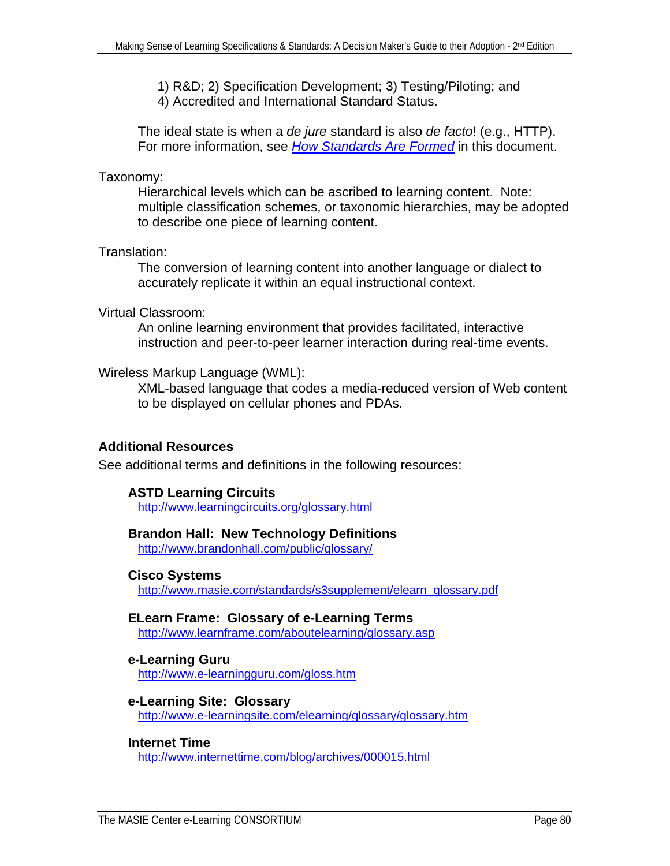<span id="page-79-0"></span>1) R&D; 2) Specification Development; 3) Testing/Piloting; and 4) Accredited and International Standard Status.

The ideal state is when a *de jure* standard is also *de facto*! (e.g., HTTP). For more information, see *[How Standards Are Formed](#page-10-0)* in this document.

#### Taxonomy:

Hierarchical levels which can be ascribed to learning content. Note: multiple classification schemes, or taxonomic hierarchies, may be adopted to describe one piece of learning content.

#### Translation:

The conversion of learning content into another language or dialect to accurately replicate it within an equal instructional context.

#### Virtual Classroom:

An online learning environment that provides facilitated, interactive instruction and peer-to-peer learner interaction during real-time events.

#### Wireless Markup Language (WML):

XML-based language that codes a media-reduced version of Web content to be displayed on cellular phones and PDAs.

#### **Additional Resources**

See additional terms and definitions in the following resources:

## **ASTD Learning Circuits**

<http://www.learningcircuits.org/glossary.html>

#### **Brandon Hall: New Technology Definitions**

<http://www.brandonhall.com/public/glossary/>

#### **Cisco Systems**

[http://www.masie.com/standards/s3supplement/elearn\\_glossary.pdf](http://www.masie.com/standards/s3supplement/elearn_glossary.pdf)

#### **ELearn Frame: Glossary of e-Learning Terms**

<http://www.learnframe.com/aboutelearning/glossary.asp>

# **e-Learning Guru**

<http://www.e-learningguru.com/gloss.htm>

#### **e-Learning Site: Glossary**

<http://www.e-learningsite.com/elearning/glossary/glossary.htm>

#### **Internet Time**

<http://www.internettime.com/blog/archives/000015.html>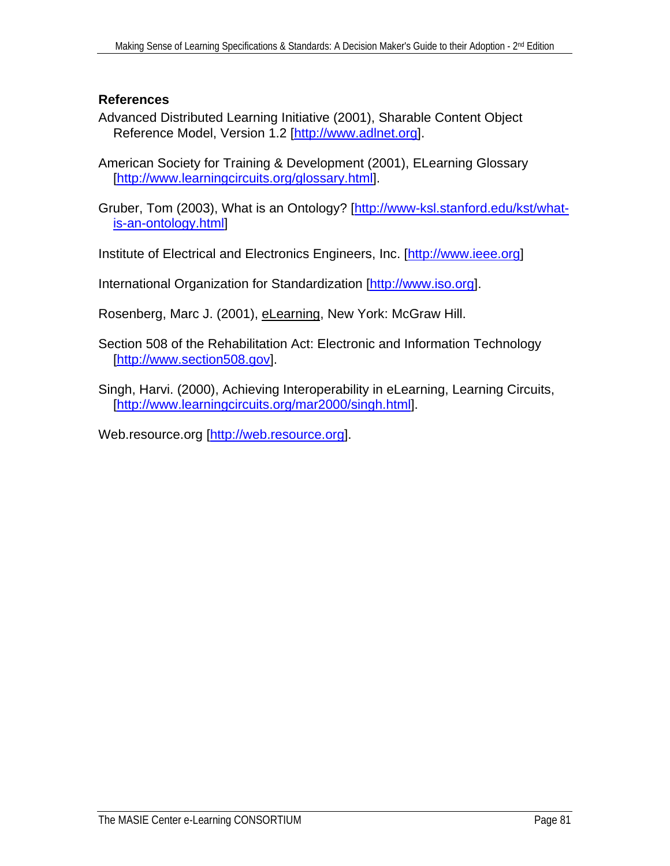## **References**

Advanced Distributed Learning Initiative (2001), Sharable Content Object Reference Model, Version 1.2 [[http://www.adlnet.org\]](http://www.adlnet.org/).

American Society for Training & Development (2001), ELearning Glossary [[http://www.learningcircuits.org/glossary.html\]](http://www.learningcircuits.org/glossary.html).

Gruber, Tom (2003), What is an Ontology? [\[http://www-ksl.stanford.edu/kst/what](http://www-ksl.stanford.edu/kst/what-is-an-ontology.html)[is-an-ontology.html\]](http://www-ksl.stanford.edu/kst/what-is-an-ontology.html)

Institute of Electrical and Electronics Engineers, Inc. [[http://www.ieee.org\]](http://www.ieee.org/)

International Organization for Standardization [\[http://www.iso.org](http://www.iso.org/)].

Rosenberg, Marc J. (2001), eLearning, New York: McGraw Hill.

Section 508 of the Rehabilitation Act: Electronic and Information Technology [[http://www.section508.gov\]](http://www.section508.gov/).

Singh, Harvi. (2000), Achieving Interoperability in eLearning, Learning Circuits, [[http://www.learningcircuits.org/mar2000/singh.html\]](http://www.learningcircuits.org/mar2000/singh.html).

Web.resource.org [\[http://web.resource.org\]](http://web.resource.org/).